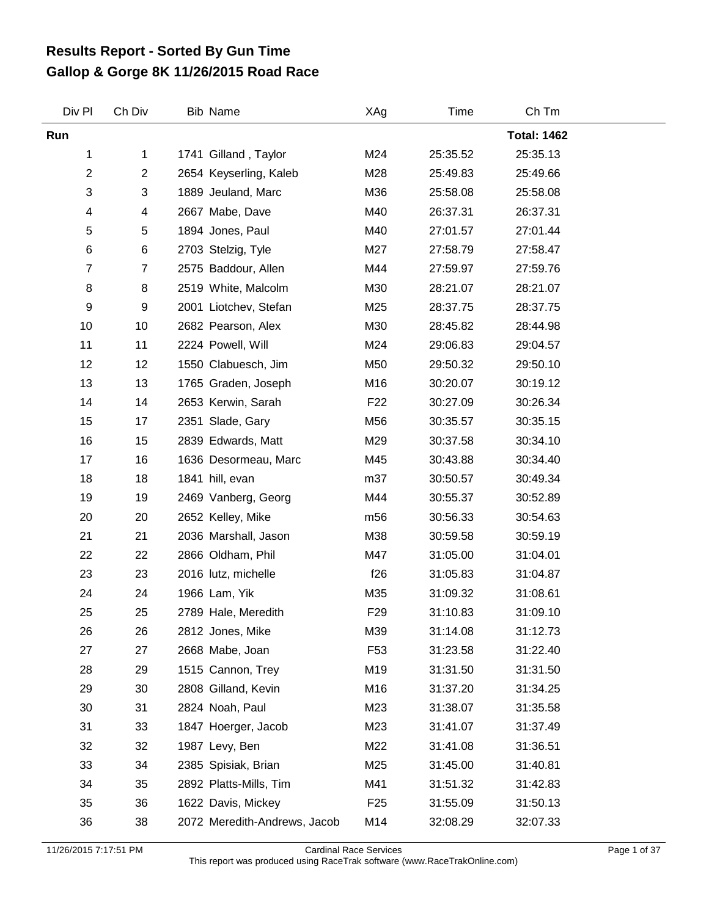## **Gallop & Gorge 8K 11/26/2015 Road Race Results Report - Sorted By Gun Time**

| Div Pl                    | Ch Div | <b>Bib Name</b>              | XAg             | Time     | Ch Tm              |  |
|---------------------------|--------|------------------------------|-----------------|----------|--------------------|--|
| Run                       |        |                              |                 |          | <b>Total: 1462</b> |  |
| 1                         | 1      | 1741 Gilland, Taylor         | M24             | 25:35.52 | 25:35.13           |  |
| $\boldsymbol{2}$          | 2      | 2654 Keyserling, Kaleb       | M28             | 25:49.83 | 25:49.66           |  |
| $\ensuremath{\mathsf{3}}$ | 3      | 1889 Jeuland, Marc           | M36             | 25:58.08 | 25:58.08           |  |
| 4                         | 4      | 2667 Mabe, Dave              | M40             | 26:37.31 | 26:37.31           |  |
| $\,$ 5 $\,$               | 5      | 1894 Jones, Paul             | M40             | 27:01.57 | 27:01.44           |  |
| $\,6$                     | 6      | 2703 Stelzig, Tyle           | M27             | 27:58.79 | 27:58.47           |  |
| 7                         | 7      | 2575 Baddour, Allen          | M44             | 27:59.97 | 27:59.76           |  |
| 8                         | 8      | 2519 White, Malcolm          | M30             | 28:21.07 | 28:21.07           |  |
| 9                         | 9      | 2001 Liotchev, Stefan        | M25             | 28:37.75 | 28:37.75           |  |
| 10                        | 10     | 2682 Pearson, Alex           | M30             | 28:45.82 | 28:44.98           |  |
| 11                        | 11     | 2224 Powell, Will            | M24             | 29:06.83 | 29:04.57           |  |
| 12                        | 12     | 1550 Clabuesch, Jim          | M50             | 29:50.32 | 29:50.10           |  |
| 13                        | 13     | 1765 Graden, Joseph          | M16             | 30:20.07 | 30:19.12           |  |
| 14                        | 14     | 2653 Kerwin, Sarah           | F <sub>22</sub> | 30:27.09 | 30:26.34           |  |
| 15                        | 17     | 2351 Slade, Gary             | M56             | 30:35.57 | 30:35.15           |  |
| 16                        | 15     | 2839 Edwards, Matt           | M29             | 30:37.58 | 30:34.10           |  |
| 17                        | 16     | 1636 Desormeau, Marc         | M45             | 30:43.88 | 30:34.40           |  |
| 18                        | 18     | 1841 hill, evan              | m37             | 30:50.57 | 30:49.34           |  |
| 19                        | 19     | 2469 Vanberg, Georg          | M44             | 30:55.37 | 30:52.89           |  |
| 20                        | 20     | 2652 Kelley, Mike            | m56             | 30:56.33 | 30:54.63           |  |
| 21                        | 21     | 2036 Marshall, Jason         | M38             | 30:59.58 | 30:59.19           |  |
| 22                        | 22     | 2866 Oldham, Phil            | M47             | 31:05.00 | 31:04.01           |  |
| 23                        | 23     | 2016 lutz, michelle          | f26             | 31:05.83 | 31:04.87           |  |
| 24                        | 24     | 1966 Lam, Yik                | M35             | 31:09.32 | 31:08.61           |  |
| 25                        | 25     | 2789 Hale, Meredith          | F <sub>29</sub> | 31:10.83 | 31:09.10           |  |
| 26                        | 26     | 2812 Jones, Mike             | M39             | 31:14.08 | 31:12.73           |  |
| 27                        | 27     | 2668 Mabe, Joan              | F <sub>53</sub> | 31:23.58 | 31:22.40           |  |
| 28                        | 29     | 1515 Cannon, Trey            | M19             | 31:31.50 | 31:31.50           |  |
| 29                        | 30     | 2808 Gilland, Kevin          | M16             | 31:37.20 | 31:34.25           |  |
| 30                        | 31     | 2824 Noah, Paul              | M23             | 31:38.07 | 31:35.58           |  |
| 31                        | 33     | 1847 Hoerger, Jacob          | M23             | 31:41.07 | 31:37.49           |  |
| 32                        | 32     | 1987 Levy, Ben               | M22             | 31:41.08 | 31:36.51           |  |
| 33                        | 34     | 2385 Spisiak, Brian          | M25             | 31:45.00 | 31:40.81           |  |
| 34                        | 35     | 2892 Platts-Mills, Tim       | M41             | 31:51.32 | 31:42.83           |  |
| 35                        | 36     | 1622 Davis, Mickey           | F <sub>25</sub> | 31:55.09 | 31:50.13           |  |
| 36                        | 38     | 2072 Meredith-Andrews, Jacob | M14             | 32:08.29 | 32:07.33           |  |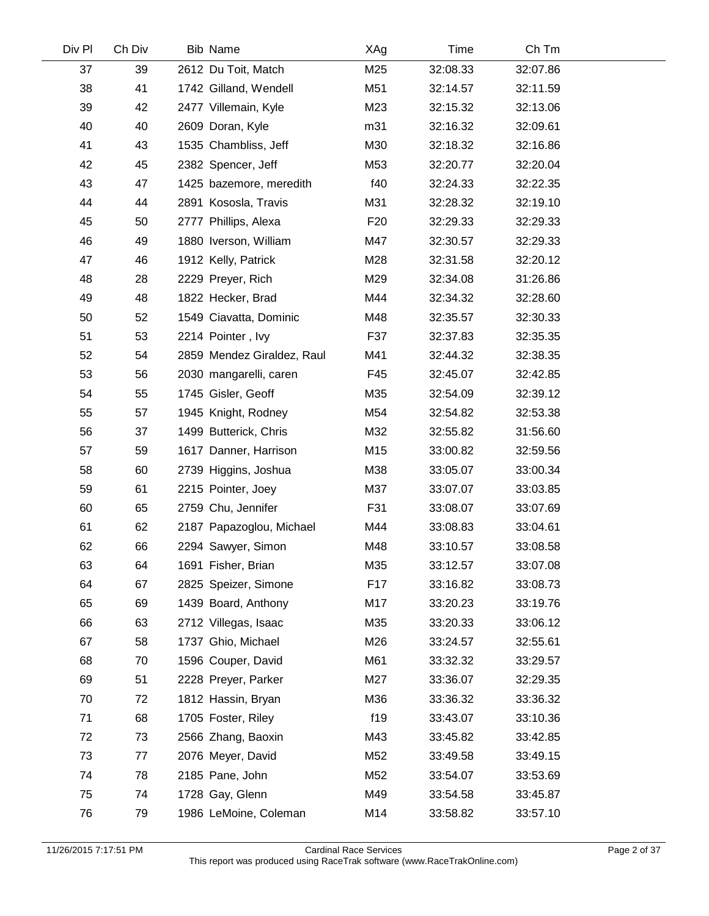| Div Pl | Ch Div | Bib Name              |                            | XAg             | Time     | Ch Tm    |  |
|--------|--------|-----------------------|----------------------------|-----------------|----------|----------|--|
| 37     | 39     | 2612 Du Toit, Match   |                            | M25             | 32:08.33 | 32:07.86 |  |
| 38     | 41     |                       | 1742 Gilland, Wendell      | M51             | 32:14.57 | 32:11.59 |  |
| 39     | 42     | 2477 Villemain, Kyle  |                            | M23             | 32:15.32 | 32:13.06 |  |
| 40     | 40     | 2609 Doran, Kyle      |                            | m31             | 32:16.32 | 32:09.61 |  |
| 41     | 43     | 1535 Chambliss, Jeff  |                            | M30             | 32:18.32 | 32:16.86 |  |
| 42     | 45     | 2382 Spencer, Jeff    |                            | M53             | 32:20.77 | 32:20.04 |  |
| 43     | 47     |                       | 1425 bazemore, meredith    | f40             | 32:24.33 | 32:22.35 |  |
| 44     | 44     | 2891 Kososla, Travis  |                            | M31             | 32:28.32 | 32:19.10 |  |
| 45     | 50     | 2777 Phillips, Alexa  |                            | F <sub>20</sub> | 32:29.33 | 32:29.33 |  |
| 46     | 49     | 1880 Iverson, William |                            | M47             | 32:30.57 | 32:29.33 |  |
| 47     | 46     | 1912 Kelly, Patrick   |                            | M28             | 32:31.58 | 32:20.12 |  |
| 48     | 28     | 2229 Preyer, Rich     |                            | M29             | 32:34.08 | 31:26.86 |  |
| 49     | 48     | 1822 Hecker, Brad     |                            | M44             | 32:34.32 | 32:28.60 |  |
| 50     | 52     |                       | 1549 Ciavatta, Dominic     | M48             | 32:35.57 | 32:30.33 |  |
| 51     | 53     | 2214 Pointer, Ivy     |                            | F37             | 32:37.83 | 32:35.35 |  |
| 52     | 54     |                       | 2859 Mendez Giraldez, Raul | M41             | 32:44.32 | 32:38.35 |  |
| 53     | 56     |                       | 2030 mangarelli, caren     | F45             | 32:45.07 | 32:42.85 |  |
| 54     | 55     | 1745 Gisler, Geoff    |                            | M35             | 32:54.09 | 32:39.12 |  |
| 55     | 57     | 1945 Knight, Rodney   |                            | M54             | 32:54.82 | 32:53.38 |  |
| 56     | 37     | 1499 Butterick, Chris |                            | M32             | 32:55.82 | 31:56.60 |  |
| 57     | 59     |                       | 1617 Danner, Harrison      | M15             | 33:00.82 | 32:59.56 |  |
| 58     | 60     | 2739 Higgins, Joshua  |                            | M38             | 33:05.07 | 33:00.34 |  |
| 59     | 61     | 2215 Pointer, Joey    |                            | M37             | 33:07.07 | 33:03.85 |  |
| 60     | 65     | 2759 Chu, Jennifer    |                            | F31             | 33:08.07 | 33:07.69 |  |
| 61     | 62     |                       | 2187 Papazoglou, Michael   | M44             | 33:08.83 | 33:04.61 |  |
| 62     | 66     | 2294 Sawyer, Simon    |                            | M48             | 33:10.57 | 33:08.58 |  |
| 63     | 64     | 1691 Fisher, Brian    |                            | M35             | 33:12.57 | 33:07.08 |  |
| 64     | 67     | 2825 Speizer, Simone  |                            | F <sub>17</sub> | 33:16.82 | 33:08.73 |  |
| 65     | 69     | 1439 Board, Anthony   |                            | M17             | 33:20.23 | 33:19.76 |  |
| 66     | 63     | 2712 Villegas, Isaac  |                            | M35             | 33:20.33 | 33:06.12 |  |
| 67     | 58     | 1737 Ghio, Michael    |                            | M26             | 33:24.57 | 32:55.61 |  |
| 68     | 70     | 1596 Couper, David    |                            | M61             | 33:32.32 | 33:29.57 |  |
| 69     | 51     | 2228 Preyer, Parker   |                            | M27             | 33:36.07 | 32:29.35 |  |
| 70     | 72     | 1812 Hassin, Bryan    |                            | M36             | 33:36.32 | 33:36.32 |  |
| 71     | 68     | 1705 Foster, Riley    |                            | f19             | 33:43.07 | 33:10.36 |  |
| 72     | 73     | 2566 Zhang, Baoxin    |                            | M43             | 33:45.82 | 33:42.85 |  |
| 73     | 77     | 2076 Meyer, David     |                            | M52             | 33:49.58 | 33:49.15 |  |
| 74     | 78     | 2185 Pane, John       |                            | M52             | 33:54.07 | 33:53.69 |  |
| 75     | 74     | 1728 Gay, Glenn       |                            | M49             | 33:54.58 | 33:45.87 |  |
| 76     | 79     |                       | 1986 LeMoine, Coleman      | M14             | 33:58.82 | 33:57.10 |  |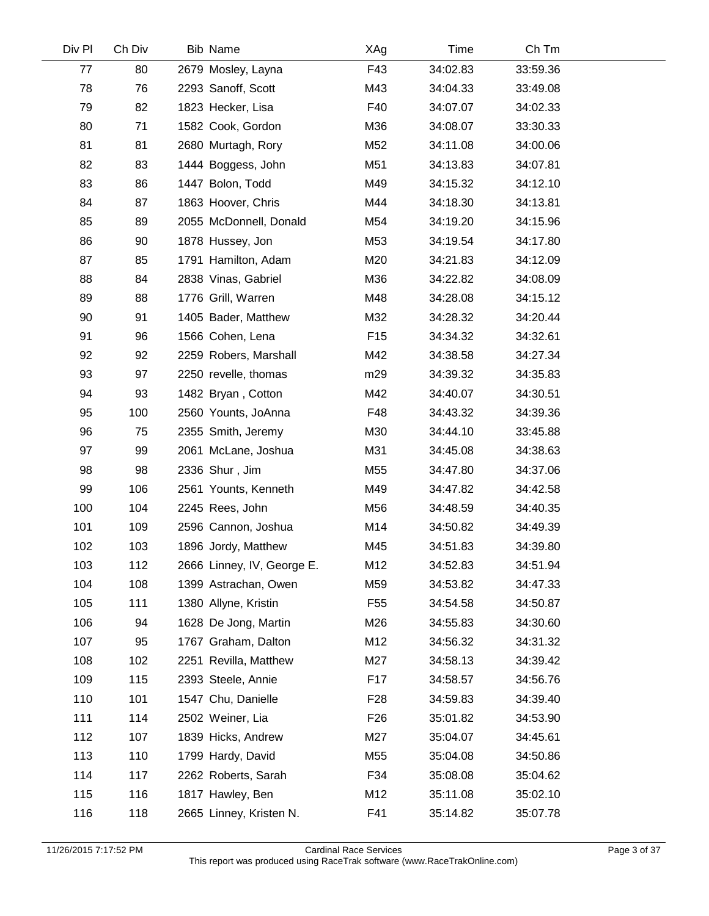| Div Pl | Ch Div | <b>Bib Name</b>            | XAg             | Time     | Ch Tm    |  |
|--------|--------|----------------------------|-----------------|----------|----------|--|
| 77     | 80     | 2679 Mosley, Layna         | F43             | 34:02.83 | 33:59.36 |  |
| 78     | 76     | 2293 Sanoff, Scott         | M43             | 34:04.33 | 33:49.08 |  |
| 79     | 82     | 1823 Hecker, Lisa          | F40             | 34:07.07 | 34:02.33 |  |
| 80     | 71     | 1582 Cook, Gordon          | M36             | 34:08.07 | 33:30.33 |  |
| 81     | 81     | 2680 Murtagh, Rory         | M52             | 34:11.08 | 34:00.06 |  |
| 82     | 83     | 1444 Boggess, John         | M51             | 34:13.83 | 34:07.81 |  |
| 83     | 86     | 1447 Bolon, Todd           | M49             | 34:15.32 | 34:12.10 |  |
| 84     | 87     | 1863 Hoover, Chris         | M44             | 34:18.30 | 34:13.81 |  |
| 85     | 89     | 2055 McDonnell, Donald     | M54             | 34:19.20 | 34:15.96 |  |
| 86     | 90     | 1878 Hussey, Jon           | M53             | 34:19.54 | 34:17.80 |  |
| 87     | 85     | 1791 Hamilton, Adam        | M20             | 34:21.83 | 34:12.09 |  |
| 88     | 84     | 2838 Vinas, Gabriel        | M36             | 34:22.82 | 34:08.09 |  |
| 89     | 88     | 1776 Grill, Warren         | M48             | 34:28.08 | 34:15.12 |  |
| 90     | 91     | 1405 Bader, Matthew        | M32             | 34:28.32 | 34:20.44 |  |
| 91     | 96     | 1566 Cohen, Lena           | F <sub>15</sub> | 34:34.32 | 34:32.61 |  |
| 92     | 92     | 2259 Robers, Marshall      | M42             | 34:38.58 | 34:27.34 |  |
| 93     | 97     | 2250 revelle, thomas       | m29             | 34:39.32 | 34:35.83 |  |
| 94     | 93     | 1482 Bryan, Cotton         | M42             | 34:40.07 | 34:30.51 |  |
| 95     | 100    | 2560 Younts, JoAnna        | F48             | 34:43.32 | 34:39.36 |  |
| 96     | 75     | 2355 Smith, Jeremy         | M30             | 34:44.10 | 33:45.88 |  |
| 97     | 99     | 2061 McLane, Joshua        | M31             | 34:45.08 | 34:38.63 |  |
| 98     | 98     | 2336 Shur, Jim             | M55             | 34:47.80 | 34:37.06 |  |
| 99     | 106    | 2561 Younts, Kenneth       | M49             | 34:47.82 | 34:42.58 |  |
| 100    | 104    | 2245 Rees, John            | M56             | 34:48.59 | 34:40.35 |  |
| 101    | 109    | 2596 Cannon, Joshua        | M14             | 34:50.82 | 34:49.39 |  |
| 102    | 103    | 1896 Jordy, Matthew        | M45             | 34:51.83 | 34:39.80 |  |
| 103    | 112    | 2666 Linney, IV, George E. | M12             | 34:52.83 | 34:51.94 |  |
| 104    | 108    | 1399 Astrachan, Owen       | M59             | 34:53.82 | 34:47.33 |  |
| 105    | 111    | 1380 Allyne, Kristin       | F55             | 34:54.58 | 34:50.87 |  |
| 106    | 94     | 1628 De Jong, Martin       | M26             | 34:55.83 | 34:30.60 |  |
| 107    | 95     | 1767 Graham, Dalton        | M12             | 34:56.32 | 34:31.32 |  |
| 108    | 102    | 2251 Revilla, Matthew      | M27             | 34:58.13 | 34:39.42 |  |
| 109    | 115    | 2393 Steele, Annie         | F <sub>17</sub> | 34:58.57 | 34:56.76 |  |
| 110    | 101    | 1547 Chu, Danielle         | F <sub>28</sub> | 34:59.83 | 34:39.40 |  |
| 111    | 114    | 2502 Weiner, Lia           | F <sub>26</sub> | 35:01.82 | 34:53.90 |  |
| 112    | 107    | 1839 Hicks, Andrew         | M27             | 35:04.07 | 34:45.61 |  |
| 113    | 110    | 1799 Hardy, David          | M55             | 35:04.08 | 34:50.86 |  |
| 114    | 117    | 2262 Roberts, Sarah        | F34             | 35:08.08 | 35:04.62 |  |
| 115    | 116    | 1817 Hawley, Ben           | M12             | 35:11.08 | 35:02.10 |  |
| 116    | 118    | 2665 Linney, Kristen N.    | F41             | 35:14.82 | 35:07.78 |  |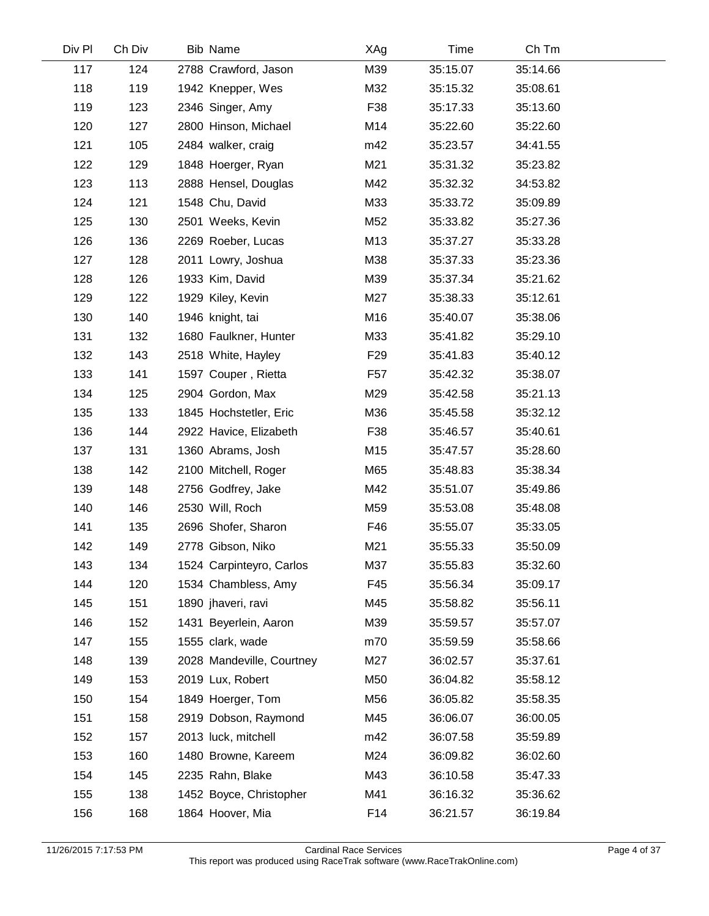| Div Pl | Ch Div | Bib Name                  | XAg             | Time     | Ch Tm    |  |
|--------|--------|---------------------------|-----------------|----------|----------|--|
| 117    | 124    | 2788 Crawford, Jason      | M39             | 35:15.07 | 35:14.66 |  |
| 118    | 119    | 1942 Knepper, Wes         | M32             | 35:15.32 | 35:08.61 |  |
| 119    | 123    | 2346 Singer, Amy          | F38             | 35:17.33 | 35:13.60 |  |
| 120    | 127    | 2800 Hinson, Michael      | M14             | 35:22.60 | 35:22.60 |  |
| 121    | 105    | 2484 walker, craig        | m42             | 35:23.57 | 34:41.55 |  |
| 122    | 129    | 1848 Hoerger, Ryan        | M21             | 35:31.32 | 35:23.82 |  |
| 123    | 113    | 2888 Hensel, Douglas      | M42             | 35:32.32 | 34:53.82 |  |
| 124    | 121    | 1548 Chu, David           | M33             | 35:33.72 | 35:09.89 |  |
| 125    | 130    | 2501 Weeks, Kevin         | M52             | 35:33.82 | 35:27.36 |  |
| 126    | 136    | 2269 Roeber, Lucas        | M13             | 35:37.27 | 35:33.28 |  |
| 127    | 128    | 2011 Lowry, Joshua        | M38             | 35:37.33 | 35:23.36 |  |
| 128    | 126    | 1933 Kim, David           | M39             | 35:37.34 | 35:21.62 |  |
| 129    | 122    | 1929 Kiley, Kevin         | M27             | 35:38.33 | 35:12.61 |  |
| 130    | 140    | 1946 knight, tai          | M16             | 35:40.07 | 35:38.06 |  |
| 131    | 132    | 1680 Faulkner, Hunter     | M33             | 35:41.82 | 35:29.10 |  |
| 132    | 143    | 2518 White, Hayley        | F <sub>29</sub> | 35:41.83 | 35:40.12 |  |
| 133    | 141    | 1597 Couper, Rietta       | F57             | 35:42.32 | 35:38.07 |  |
| 134    | 125    | 2904 Gordon, Max          | M29             | 35:42.58 | 35:21.13 |  |
| 135    | 133    | 1845 Hochstetler, Eric    | M36             | 35:45.58 | 35:32.12 |  |
| 136    | 144    | 2922 Havice, Elizabeth    | F38             | 35:46.57 | 35:40.61 |  |
| 137    | 131    | 1360 Abrams, Josh         | M15             | 35:47.57 | 35:28.60 |  |
| 138    | 142    | 2100 Mitchell, Roger      | M65             | 35:48.83 | 35:38.34 |  |
| 139    | 148    | 2756 Godfrey, Jake        | M42             | 35:51.07 | 35:49.86 |  |
| 140    | 146    | 2530 Will, Roch           | M59             | 35:53.08 | 35:48.08 |  |
| 141    | 135    | 2696 Shofer, Sharon       | F46             | 35:55.07 | 35:33.05 |  |
| 142    | 149    | 2778 Gibson, Niko         | M21             | 35:55.33 | 35:50.09 |  |
| 143    | 134    | 1524 Carpinteyro, Carlos  | M37             | 35:55.83 | 35:32.60 |  |
| 144    | 120    | 1534 Chambless, Amy       | F45             | 35:56.34 | 35:09.17 |  |
| 145    | 151    | 1890 jhaveri, ravi        | M45             | 35:58.82 | 35:56.11 |  |
| 146    | 152    | 1431 Beyerlein, Aaron     | M39             | 35:59.57 | 35:57.07 |  |
| 147    | 155    | 1555 clark, wade          | m70             | 35:59.59 | 35:58.66 |  |
| 148    | 139    | 2028 Mandeville, Courtney | M27             | 36:02.57 | 35:37.61 |  |
| 149    | 153    | 2019 Lux, Robert          | M50             | 36:04.82 | 35:58.12 |  |
| 150    | 154    | 1849 Hoerger, Tom         | M56             | 36:05.82 | 35:58.35 |  |
| 151    | 158    | 2919 Dobson, Raymond      | M45             | 36:06.07 | 36:00.05 |  |
| 152    | 157    | 2013 luck, mitchell       | m42             | 36:07.58 | 35:59.89 |  |
| 153    | 160    | 1480 Browne, Kareem       | M24             | 36:09.82 | 36:02.60 |  |
| 154    | 145    | 2235 Rahn, Blake          | M43             | 36:10.58 | 35:47.33 |  |
| 155    | 138    | 1452 Boyce, Christopher   | M41             | 36:16.32 | 35:36.62 |  |
| 156    | 168    | 1864 Hoover, Mia          | F14             | 36:21.57 | 36:19.84 |  |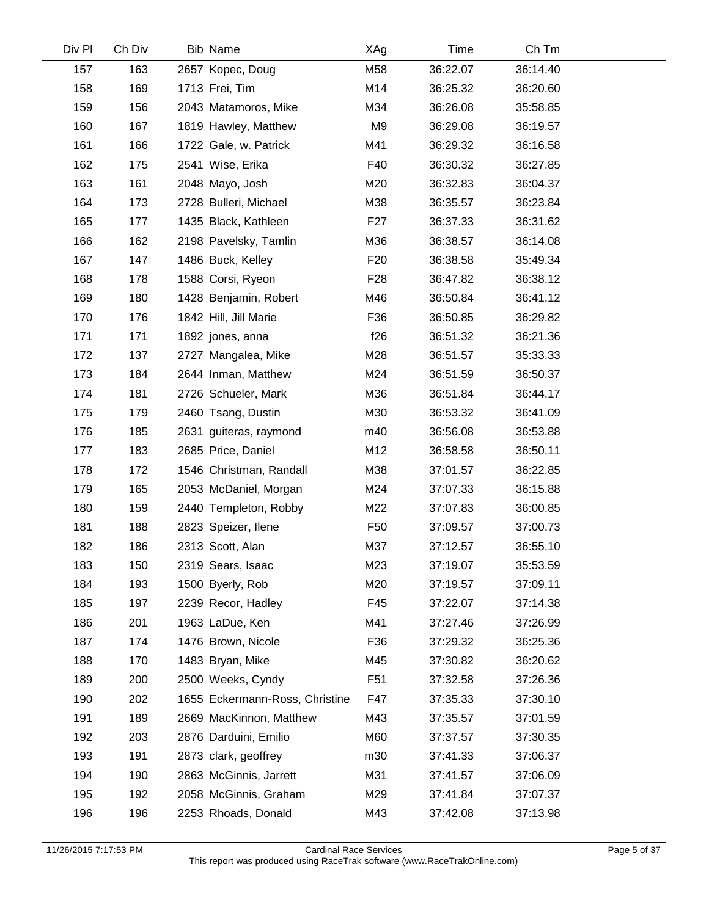| Div Pl | Ch Div | Bib Name                       | XAg             | Time     | Ch Tm    |  |
|--------|--------|--------------------------------|-----------------|----------|----------|--|
| 157    | 163    | 2657 Kopec, Doug               | M58             | 36:22.07 | 36:14.40 |  |
| 158    | 169    | 1713 Frei, Tim                 | M14             | 36:25.32 | 36:20.60 |  |
| 159    | 156    | 2043 Matamoros, Mike           | M34             | 36:26.08 | 35:58.85 |  |
| 160    | 167    | 1819 Hawley, Matthew           | M <sub>9</sub>  | 36:29.08 | 36:19.57 |  |
| 161    | 166    | 1722 Gale, w. Patrick          | M41             | 36:29.32 | 36:16.58 |  |
| 162    | 175    | 2541 Wise, Erika               | F40             | 36:30.32 | 36:27.85 |  |
| 163    | 161    | 2048 Mayo, Josh                | M20             | 36:32.83 | 36:04.37 |  |
| 164    | 173    | 2728 Bulleri, Michael          | M38             | 36:35.57 | 36:23.84 |  |
| 165    | 177    | 1435 Black, Kathleen           | F <sub>27</sub> | 36:37.33 | 36:31.62 |  |
| 166    | 162    | 2198 Pavelsky, Tamlin          | M36             | 36:38.57 | 36:14.08 |  |
| 167    | 147    | 1486 Buck, Kelley              | F <sub>20</sub> | 36:38.58 | 35:49.34 |  |
| 168    | 178    | 1588 Corsi, Ryeon              | F <sub>28</sub> | 36:47.82 | 36:38.12 |  |
| 169    | 180    | 1428 Benjamin, Robert          | M46             | 36:50.84 | 36:41.12 |  |
| 170    | 176    | 1842 Hill, Jill Marie          | F36             | 36:50.85 | 36:29.82 |  |
| 171    | 171    | 1892 jones, anna               | f26             | 36:51.32 | 36:21.36 |  |
| 172    | 137    | 2727 Mangalea, Mike            | M28             | 36:51.57 | 35:33.33 |  |
| 173    | 184    | 2644 Inman, Matthew            | M24             | 36:51.59 | 36:50.37 |  |
| 174    | 181    | 2726 Schueler, Mark            | M36             | 36:51.84 | 36:44.17 |  |
| 175    | 179    | 2460 Tsang, Dustin             | M30             | 36:53.32 | 36:41.09 |  |
| 176    | 185    | 2631 guiteras, raymond         | m40             | 36:56.08 | 36:53.88 |  |
| 177    | 183    | 2685 Price, Daniel             | M12             | 36:58.58 | 36:50.11 |  |
| 178    | 172    | 1546 Christman, Randall        | M38             | 37:01.57 | 36:22.85 |  |
| 179    | 165    | 2053 McDaniel, Morgan          | M24             | 37:07.33 | 36:15.88 |  |
| 180    | 159    | 2440 Templeton, Robby          | M22             | 37:07.83 | 36:00.85 |  |
| 181    | 188    | 2823 Speizer, Ilene            | F <sub>50</sub> | 37:09.57 | 37:00.73 |  |
| 182    | 186    | 2313 Scott, Alan               | M37             | 37:12.57 | 36:55.10 |  |
| 183    | 150    | 2319 Sears, Isaac              | M23             | 37:19.07 | 35:53.59 |  |
| 184    | 193    | 1500 Byerly, Rob               | M20             | 37:19.57 | 37:09.11 |  |
| 185    | 197    | 2239 Recor, Hadley             | F45             | 37:22.07 | 37:14.38 |  |
| 186    | 201    | 1963 LaDue, Ken                | M41             | 37:27.46 | 37:26.99 |  |
| 187    | 174    | 1476 Brown, Nicole             | F36             | 37:29.32 | 36:25.36 |  |
| 188    | 170    | 1483 Bryan, Mike               | M45             | 37:30.82 | 36:20.62 |  |
| 189    | 200    | 2500 Weeks, Cyndy              | F <sub>51</sub> | 37:32.58 | 37:26.36 |  |
| 190    | 202    | 1655 Eckermann-Ross, Christine | F47             | 37:35.33 | 37:30.10 |  |
| 191    | 189    | 2669 MacKinnon, Matthew        | M43             | 37:35.57 | 37:01.59 |  |
| 192    | 203    | 2876 Darduini, Emilio          | M60             | 37:37.57 | 37:30.35 |  |
| 193    | 191    | 2873 clark, geoffrey           | m30             | 37:41.33 | 37:06.37 |  |
| 194    | 190    | 2863 McGinnis, Jarrett         | M31             | 37:41.57 | 37:06.09 |  |
| 195    | 192    | 2058 McGinnis, Graham          | M29             | 37:41.84 | 37:07.37 |  |
| 196    | 196    | 2253 Rhoads, Donald            | M43             | 37:42.08 | 37:13.98 |  |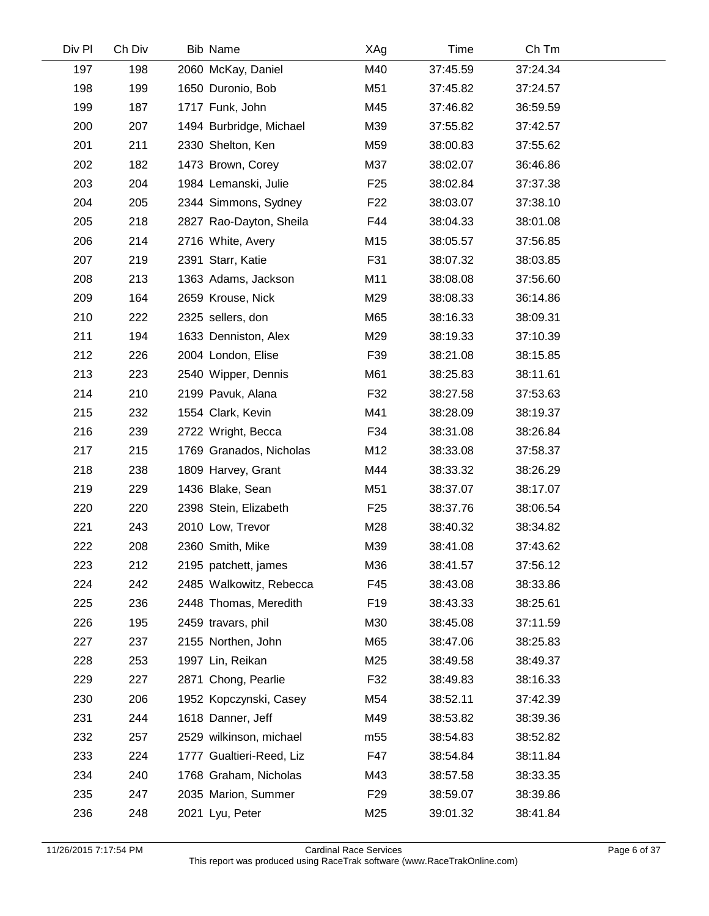| Div Pl | Ch Div | Bib Name                 | XAg             | Time     | Ch Tm    |  |
|--------|--------|--------------------------|-----------------|----------|----------|--|
| 197    | 198    | 2060 McKay, Daniel       | M40             | 37:45.59 | 37:24.34 |  |
| 198    | 199    | 1650 Duronio, Bob        | M51             | 37:45.82 | 37:24.57 |  |
| 199    | 187    | 1717 Funk, John          | M45             | 37:46.82 | 36:59.59 |  |
| 200    | 207    | 1494 Burbridge, Michael  | M39             | 37:55.82 | 37:42.57 |  |
| 201    | 211    | 2330 Shelton, Ken        | M59             | 38:00.83 | 37:55.62 |  |
| 202    | 182    | 1473 Brown, Corey        | M37             | 38:02.07 | 36:46.86 |  |
| 203    | 204    | 1984 Lemanski, Julie     | F <sub>25</sub> | 38:02.84 | 37:37.38 |  |
| 204    | 205    | 2344 Simmons, Sydney     | F <sub>22</sub> | 38:03.07 | 37:38.10 |  |
| 205    | 218    | 2827 Rao-Dayton, Sheila  | F44             | 38:04.33 | 38:01.08 |  |
| 206    | 214    | 2716 White, Avery        | M15             | 38:05.57 | 37:56.85 |  |
| 207    | 219    | 2391 Starr, Katie        | F31             | 38:07.32 | 38:03.85 |  |
| 208    | 213    | 1363 Adams, Jackson      | M11             | 38:08.08 | 37:56.60 |  |
| 209    | 164    | 2659 Krouse, Nick        | M29             | 38:08.33 | 36:14.86 |  |
| 210    | 222    | 2325 sellers, don        | M65             | 38:16.33 | 38:09.31 |  |
| 211    | 194    | 1633 Denniston, Alex     | M29             | 38:19.33 | 37:10.39 |  |
| 212    | 226    | 2004 London, Elise       | F39             | 38:21.08 | 38:15.85 |  |
| 213    | 223    | 2540 Wipper, Dennis      | M61             | 38:25.83 | 38:11.61 |  |
| 214    | 210    | 2199 Pavuk, Alana        | F32             | 38:27.58 | 37:53.63 |  |
| 215    | 232    | 1554 Clark, Kevin        | M41             | 38:28.09 | 38:19.37 |  |
| 216    | 239    | 2722 Wright, Becca       | F34             | 38:31.08 | 38:26.84 |  |
| 217    | 215    | 1769 Granados, Nicholas  | M12             | 38:33.08 | 37:58.37 |  |
| 218    | 238    | 1809 Harvey, Grant       | M44             | 38:33.32 | 38:26.29 |  |
| 219    | 229    | 1436 Blake, Sean         | M51             | 38:37.07 | 38:17.07 |  |
| 220    | 220    | 2398 Stein, Elizabeth    | F <sub>25</sub> | 38:37.76 | 38:06.54 |  |
| 221    | 243    | 2010 Low, Trevor         | M28             | 38:40.32 | 38:34.82 |  |
| 222    | 208    | 2360 Smith, Mike         | M39             | 38:41.08 | 37:43.62 |  |
| 223    | 212    | 2195 patchett, james     | M36             | 38:41.57 | 37:56.12 |  |
| 224    | 242    | 2485 Walkowitz, Rebecca  | F45             | 38:43.08 | 38:33.86 |  |
| 225    | 236    | 2448 Thomas, Meredith    | F <sub>19</sub> | 38:43.33 | 38:25.61 |  |
| 226    | 195    | 2459 travars, phil       | M30             | 38:45.08 | 37:11.59 |  |
| 227    | 237    | 2155 Northen, John       | M65             | 38:47.06 | 38:25.83 |  |
| 228    | 253    | 1997 Lin, Reikan         | M25             | 38:49.58 | 38:49.37 |  |
| 229    | 227    | 2871 Chong, Pearlie      | F32             | 38:49.83 | 38:16.33 |  |
| 230    | 206    | 1952 Kopczynski, Casey   | M54             | 38:52.11 | 37:42.39 |  |
| 231    | 244    | 1618 Danner, Jeff        | M49             | 38:53.82 | 38:39.36 |  |
| 232    | 257    | 2529 wilkinson, michael  | m <sub>55</sub> | 38:54.83 | 38:52.82 |  |
| 233    | 224    | 1777 Gualtieri-Reed, Liz | F47             | 38:54.84 | 38:11.84 |  |
| 234    | 240    | 1768 Graham, Nicholas    | M43             | 38:57.58 | 38:33.35 |  |
| 235    | 247    | 2035 Marion, Summer      | F <sub>29</sub> | 38:59.07 | 38:39.86 |  |
| 236    | 248    | 2021 Lyu, Peter          | M25             | 39:01.32 | 38:41.84 |  |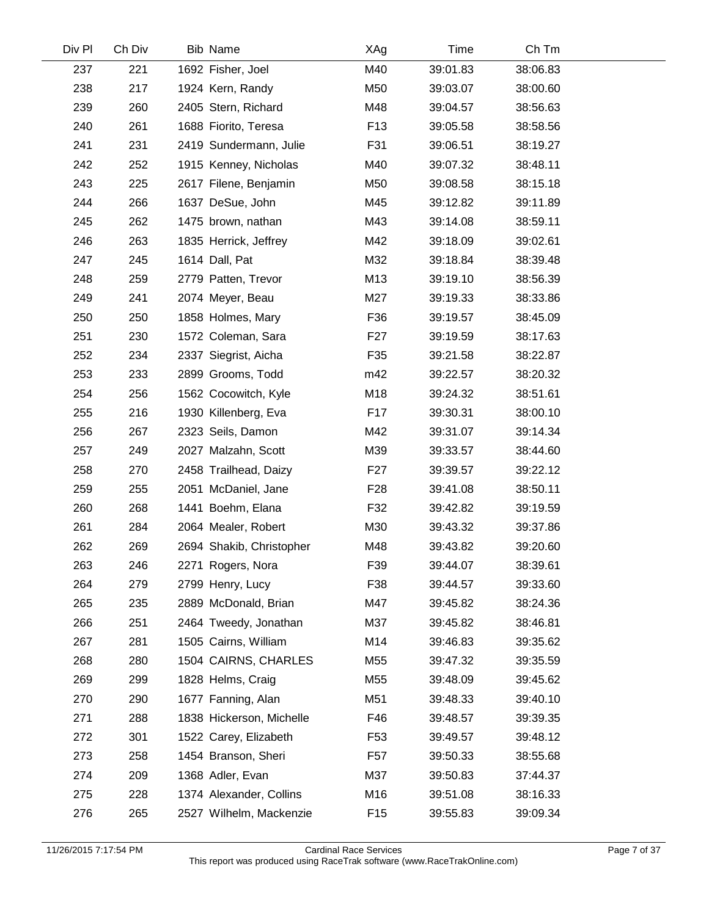| Div Pl | Ch Div | <b>Bib Name</b>          | XAg             | Time     | Ch Tm    |  |
|--------|--------|--------------------------|-----------------|----------|----------|--|
| 237    | 221    | 1692 Fisher, Joel        | M40             | 39:01.83 | 38:06.83 |  |
| 238    | 217    | 1924 Kern, Randy         | M50             | 39:03.07 | 38:00.60 |  |
| 239    | 260    | 2405 Stern, Richard      | M48             | 39:04.57 | 38:56.63 |  |
| 240    | 261    | 1688 Fiorito, Teresa     | F <sub>13</sub> | 39:05.58 | 38:58.56 |  |
| 241    | 231    | 2419 Sundermann, Julie   | F31             | 39:06.51 | 38:19.27 |  |
| 242    | 252    | 1915 Kenney, Nicholas    | M40             | 39:07.32 | 38:48.11 |  |
| 243    | 225    | 2617 Filene, Benjamin    | M50             | 39:08.58 | 38:15.18 |  |
| 244    | 266    | 1637 DeSue, John         | M45             | 39:12.82 | 39:11.89 |  |
| 245    | 262    | 1475 brown, nathan       | M43             | 39:14.08 | 38:59.11 |  |
| 246    | 263    | 1835 Herrick, Jeffrey    | M42             | 39:18.09 | 39:02.61 |  |
| 247    | 245    | 1614 Dall, Pat           | M32             | 39:18.84 | 38:39.48 |  |
| 248    | 259    | 2779 Patten, Trevor      | M13             | 39:19.10 | 38:56.39 |  |
| 249    | 241    | 2074 Meyer, Beau         | M27             | 39:19.33 | 38:33.86 |  |
| 250    | 250    | 1858 Holmes, Mary        | F36             | 39:19.57 | 38:45.09 |  |
| 251    | 230    | 1572 Coleman, Sara       | F <sub>27</sub> | 39:19.59 | 38:17.63 |  |
| 252    | 234    | 2337 Siegrist, Aicha     | F35             | 39:21.58 | 38:22.87 |  |
| 253    | 233    | 2899 Grooms, Todd        | m42             | 39:22.57 | 38:20.32 |  |
| 254    | 256    | 1562 Cocowitch, Kyle     | M18             | 39:24.32 | 38:51.61 |  |
| 255    | 216    | 1930 Killenberg, Eva     | F <sub>17</sub> | 39:30.31 | 38:00.10 |  |
| 256    | 267    | 2323 Seils, Damon        | M42             | 39:31.07 | 39:14.34 |  |
| 257    | 249    | 2027 Malzahn, Scott      | M39             | 39:33.57 | 38:44.60 |  |
| 258    | 270    | 2458 Trailhead, Daizy    | F <sub>27</sub> | 39:39.57 | 39:22.12 |  |
| 259    | 255    | 2051 McDaniel, Jane      | F <sub>28</sub> | 39:41.08 | 38:50.11 |  |
| 260    | 268    | 1441 Boehm, Elana        | F32             | 39:42.82 | 39:19.59 |  |
| 261    | 284    | 2064 Mealer, Robert      | M30             | 39:43.32 | 39:37.86 |  |
| 262    | 269    | 2694 Shakib, Christopher | M48             | 39:43.82 | 39:20.60 |  |
| 263    | 246    | 2271 Rogers, Nora        | F39             | 39:44.07 | 38:39.61 |  |
| 264    | 279    | 2799 Henry, Lucy         | F38             | 39:44.57 | 39:33.60 |  |
| 265    | 235    | 2889 McDonald, Brian     | M47             | 39:45.82 | 38:24.36 |  |
| 266    | 251    | 2464 Tweedy, Jonathan    | M37             | 39:45.82 | 38:46.81 |  |
| 267    | 281    | 1505 Cairns, William     | M14             | 39:46.83 | 39:35.62 |  |
| 268    | 280    | 1504 CAIRNS, CHARLES     | M55             | 39:47.32 | 39:35.59 |  |
| 269    | 299    | 1828 Helms, Craig        | M55             | 39:48.09 | 39:45.62 |  |
| 270    | 290    | 1677 Fanning, Alan       | M51             | 39:48.33 | 39:40.10 |  |
| 271    | 288    | 1838 Hickerson, Michelle | F46             | 39:48.57 | 39:39.35 |  |
| 272    | 301    | 1522 Carey, Elizabeth    | F <sub>53</sub> | 39:49.57 | 39:48.12 |  |
| 273    | 258    | 1454 Branson, Sheri      | F57             | 39:50.33 | 38:55.68 |  |
| 274    | 209    | 1368 Adler, Evan         | M37             | 39:50.83 | 37:44.37 |  |
| 275    | 228    | 1374 Alexander, Collins  | M16             | 39:51.08 | 38:16.33 |  |
| 276    | 265    | 2527 Wilhelm, Mackenzie  | F <sub>15</sub> | 39:55.83 | 39:09.34 |  |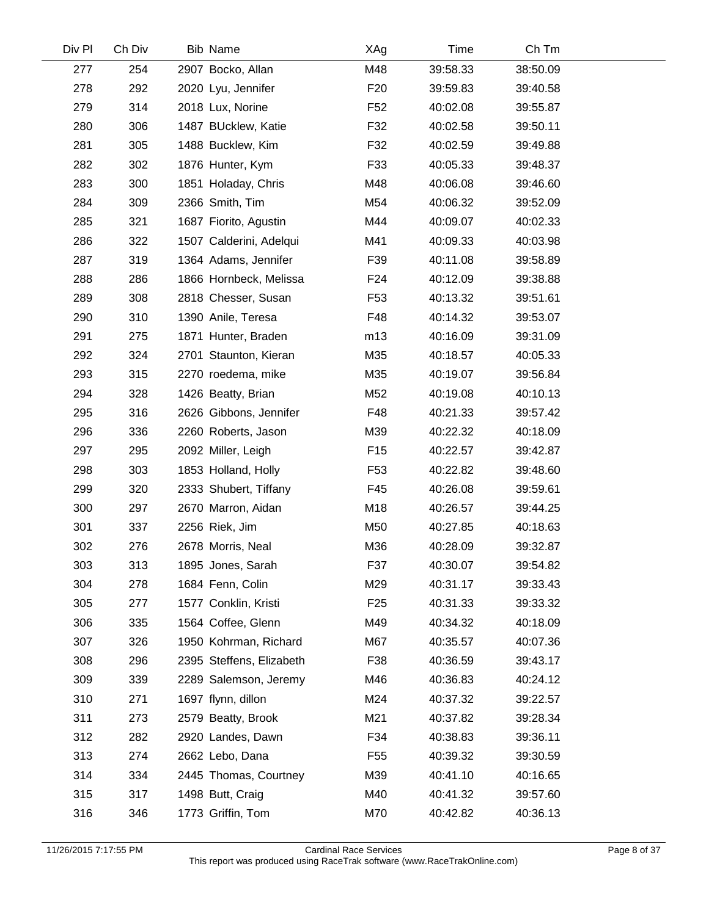| Div Pl | Ch Div | <b>Bib Name</b>          | XAg             | Time     | Ch Tm    |  |
|--------|--------|--------------------------|-----------------|----------|----------|--|
| 277    | 254    | 2907 Bocko, Allan        | M48             | 39:58.33 | 38:50.09 |  |
| 278    | 292    | 2020 Lyu, Jennifer       | F <sub>20</sub> | 39:59.83 | 39:40.58 |  |
| 279    | 314    | 2018 Lux, Norine         | F <sub>52</sub> | 40:02.08 | 39:55.87 |  |
| 280    | 306    | 1487 BUcklew, Katie      | F32             | 40:02.58 | 39:50.11 |  |
| 281    | 305    | 1488 Bucklew, Kim        | F32             | 40:02.59 | 39:49.88 |  |
| 282    | 302    | 1876 Hunter, Kym         | F33             | 40:05.33 | 39:48.37 |  |
| 283    | 300    | 1851 Holaday, Chris      | M48             | 40:06.08 | 39:46.60 |  |
| 284    | 309    | 2366 Smith, Tim          | M54             | 40:06.32 | 39:52.09 |  |
| 285    | 321    | 1687 Fiorito, Agustin    | M44             | 40:09.07 | 40:02.33 |  |
| 286    | 322    | 1507 Calderini, Adelqui  | M41             | 40:09.33 | 40:03.98 |  |
| 287    | 319    | 1364 Adams, Jennifer     | F39             | 40:11.08 | 39:58.89 |  |
| 288    | 286    | 1866 Hornbeck, Melissa   | F <sub>24</sub> | 40:12.09 | 39:38.88 |  |
| 289    | 308    | 2818 Chesser, Susan      | F <sub>53</sub> | 40:13.32 | 39:51.61 |  |
| 290    | 310    | 1390 Anile, Teresa       | F48             | 40:14.32 | 39:53.07 |  |
| 291    | 275    | 1871 Hunter, Braden      | m13             | 40:16.09 | 39:31.09 |  |
| 292    | 324    | 2701 Staunton, Kieran    | M35             | 40:18.57 | 40:05.33 |  |
| 293    | 315    | 2270 roedema, mike       | M35             | 40:19.07 | 39:56.84 |  |
| 294    | 328    | 1426 Beatty, Brian       | M52             | 40:19.08 | 40:10.13 |  |
| 295    | 316    | 2626 Gibbons, Jennifer   | F48             | 40:21.33 | 39:57.42 |  |
| 296    | 336    | 2260 Roberts, Jason      | M39             | 40:22.32 | 40:18.09 |  |
| 297    | 295    | 2092 Miller, Leigh       | F <sub>15</sub> | 40:22.57 | 39:42.87 |  |
| 298    | 303    | 1853 Holland, Holly      | F <sub>53</sub> | 40:22.82 | 39:48.60 |  |
| 299    | 320    | 2333 Shubert, Tiffany    | F45             | 40:26.08 | 39:59.61 |  |
| 300    | 297    | 2670 Marron, Aidan       | M18             | 40:26.57 | 39:44.25 |  |
| 301    | 337    | 2256 Riek, Jim           | M50             | 40:27.85 | 40:18.63 |  |
| 302    | 276    | 2678 Morris, Neal        | M36             | 40:28.09 | 39:32.87 |  |
| 303    | 313    | 1895 Jones, Sarah        | F37             | 40:30.07 | 39:54.82 |  |
| 304    | 278    | 1684 Fenn, Colin         | M29             | 40:31.17 | 39:33.43 |  |
| 305    | 277    | 1577 Conklin, Kristi     | F <sub>25</sub> | 40:31.33 | 39:33.32 |  |
| 306    | 335    | 1564 Coffee, Glenn       | M49             | 40:34.32 | 40:18.09 |  |
| 307    | 326    | 1950 Kohrman, Richard    | M67             | 40:35.57 | 40:07.36 |  |
| 308    | 296    | 2395 Steffens, Elizabeth | F38             | 40:36.59 | 39:43.17 |  |
| 309    | 339    | 2289 Salemson, Jeremy    | M46             | 40:36.83 | 40:24.12 |  |
| 310    | 271    | 1697 flynn, dillon       | M24             | 40:37.32 | 39:22.57 |  |
| 311    | 273    | 2579 Beatty, Brook       | M21             | 40:37.82 | 39:28.34 |  |
| 312    | 282    | 2920 Landes, Dawn        | F34             | 40:38.83 | 39:36.11 |  |
| 313    | 274    | 2662 Lebo, Dana          | F55             | 40:39.32 | 39:30.59 |  |
| 314    | 334    | 2445 Thomas, Courtney    | M39             | 40:41.10 | 40:16.65 |  |
| 315    | 317    | 1498 Butt, Craig         | M40             | 40:41.32 | 39:57.60 |  |
| 316    | 346    | 1773 Griffin, Tom        | M70             | 40:42.82 | 40:36.13 |  |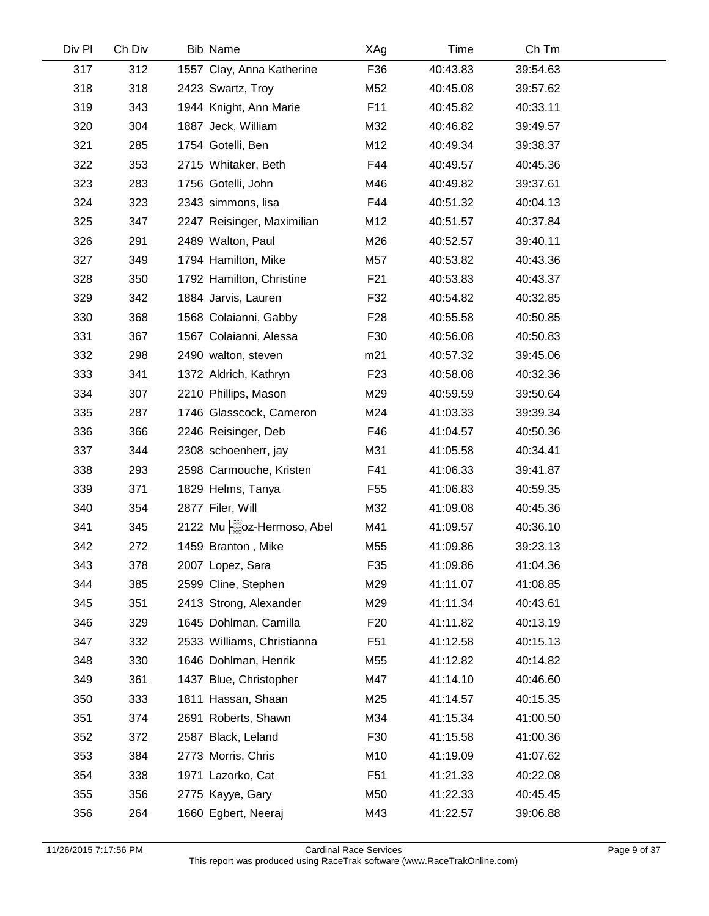| Div Pl | Ch Div | <b>Bib Name</b>            | XAg             | Time     | Ch Tm    |  |
|--------|--------|----------------------------|-----------------|----------|----------|--|
| 317    | 312    | 1557 Clay, Anna Katherine  | F36             | 40:43.83 | 39:54.63 |  |
| 318    | 318    | 2423 Swartz, Troy          | M52             | 40:45.08 | 39:57.62 |  |
| 319    | 343    | 1944 Knight, Ann Marie     | F <sub>11</sub> | 40:45.82 | 40:33.11 |  |
| 320    | 304    | 1887 Jeck, William         | M32             | 40:46.82 | 39:49.57 |  |
| 321    | 285    | 1754 Gotelli, Ben          | M12             | 40:49.34 | 39:38.37 |  |
| 322    | 353    | 2715 Whitaker, Beth        | F44             | 40:49.57 | 40:45.36 |  |
| 323    | 283    | 1756 Gotelli, John         | M46             | 40:49.82 | 39:37.61 |  |
| 324    | 323    | 2343 simmons, lisa         | F44             | 40:51.32 | 40:04.13 |  |
| 325    | 347    | 2247 Reisinger, Maximilian | M12             | 40:51.57 | 40:37.84 |  |
| 326    | 291    | 2489 Walton, Paul          | M26             | 40:52.57 | 39:40.11 |  |
| 327    | 349    | 1794 Hamilton, Mike        | M57             | 40:53.82 | 40:43.36 |  |
| 328    | 350    | 1792 Hamilton, Christine   | F21             | 40:53.83 | 40:43.37 |  |
| 329    | 342    | 1884 Jarvis, Lauren        | F32             | 40:54.82 | 40:32.85 |  |
| 330    | 368    | 1568 Colaianni, Gabby      | F <sub>28</sub> | 40:55.58 | 40:50.85 |  |
| 331    | 367    | 1567 Colaianni, Alessa     | F30             | 40:56.08 | 40:50.83 |  |
| 332    | 298    | 2490 walton, steven        | m21             | 40:57.32 | 39:45.06 |  |
| 333    | 341    | 1372 Aldrich, Kathryn      | F <sub>23</sub> | 40:58.08 | 40:32.36 |  |
| 334    | 307    | 2210 Phillips, Mason       | M29             | 40:59.59 | 39:50.64 |  |
| 335    | 287    | 1746 Glasscock, Cameron    | M24             | 41:03.33 | 39:39.34 |  |
| 336    | 366    | 2246 Reisinger, Deb        | F46             | 41:04.57 | 40:50.36 |  |
| 337    | 344    | 2308 schoenherr, jay       | M31             | 41:05.58 | 40:34.41 |  |
| 338    | 293    | 2598 Carmouche, Kristen    | F41             | 41:06.33 | 39:41.87 |  |
| 339    | 371    | 1829 Helms, Tanya          | F <sub>55</sub> | 41:06.83 | 40:59.35 |  |
| 340    | 354    | 2877 Filer, Will           | M32             | 41:09.08 | 40:45.36 |  |
| 341    | 345    | 2122 Mu   oz-Hermoso, Abel | M41             | 41:09.57 | 40:36.10 |  |
| 342    | 272    | 1459 Branton, Mike         | M55             | 41:09.86 | 39:23.13 |  |
| 343    | 378    | 2007 Lopez, Sara           | F35             | 41:09.86 | 41:04.36 |  |
| 344    | 385    | 2599 Cline, Stephen        | M29             | 41:11.07 | 41:08.85 |  |
| 345    | 351    | 2413 Strong, Alexander     | M29             | 41:11.34 | 40:43.61 |  |
| 346    | 329    | 1645 Dohlman, Camilla      | F <sub>20</sub> | 41:11.82 | 40:13.19 |  |
| 347    | 332    | 2533 Williams, Christianna | F <sub>51</sub> | 41:12.58 | 40:15.13 |  |
| 348    | 330    | 1646 Dohlman, Henrik       | M55             | 41:12.82 | 40:14.82 |  |
| 349    | 361    | 1437 Blue, Christopher     | M47             | 41:14.10 | 40:46.60 |  |
| 350    | 333    | 1811 Hassan, Shaan         | M25             | 41:14.57 | 40:15.35 |  |
| 351    | 374    | 2691 Roberts, Shawn        | M34             | 41:15.34 | 41:00.50 |  |
| 352    | 372    | 2587 Black, Leland         | F30             | 41:15.58 | 41:00.36 |  |
| 353    | 384    | 2773 Morris, Chris         | M10             | 41:19.09 | 41:07.62 |  |
| 354    | 338    | 1971 Lazorko, Cat          | F <sub>51</sub> | 41:21.33 | 40:22.08 |  |
| 355    | 356    | 2775 Kayye, Gary           | M50             | 41:22.33 | 40:45.45 |  |
| 356    | 264    | 1660 Egbert, Neeraj        | M43             | 41:22.57 | 39:06.88 |  |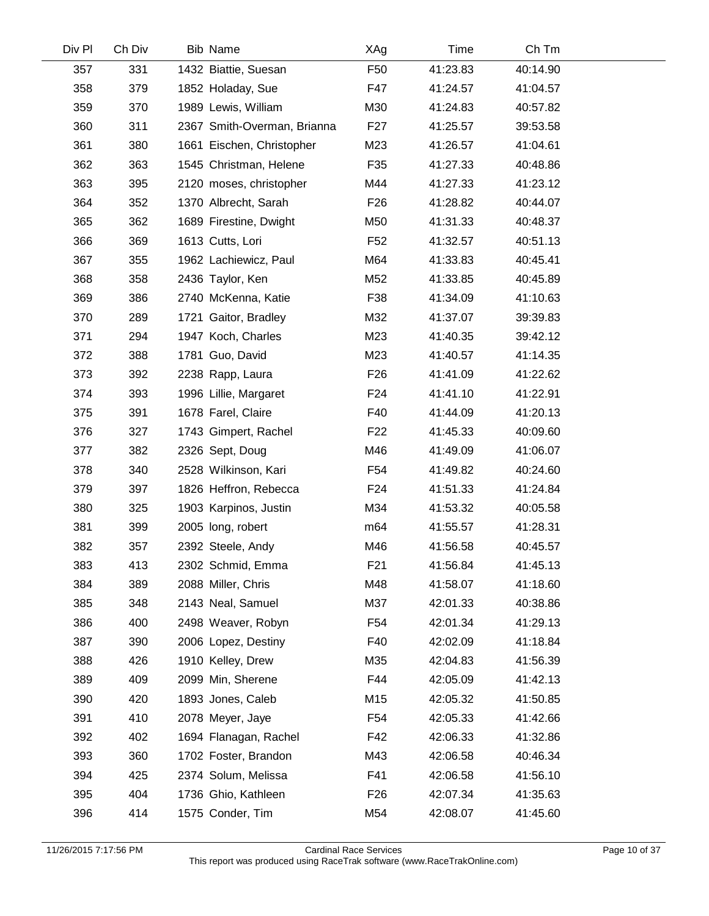| Div Pl | Ch Div | <b>Bib Name</b>             | XAg             | Time     | Ch Tm    |  |
|--------|--------|-----------------------------|-----------------|----------|----------|--|
| 357    | 331    | 1432 Biattie, Suesan        | F <sub>50</sub> | 41:23.83 | 40:14.90 |  |
| 358    | 379    | 1852 Holaday, Sue           | F47             | 41:24.57 | 41:04.57 |  |
| 359    | 370    | 1989 Lewis, William         | M30             | 41:24.83 | 40:57.82 |  |
| 360    | 311    | 2367 Smith-Overman, Brianna | F <sub>27</sub> | 41:25.57 | 39:53.58 |  |
| 361    | 380    | 1661 Eischen, Christopher   | M23             | 41:26.57 | 41:04.61 |  |
| 362    | 363    | 1545 Christman, Helene      | F35             | 41:27.33 | 40:48.86 |  |
| 363    | 395    | 2120 moses, christopher     | M44             | 41:27.33 | 41:23.12 |  |
| 364    | 352    | 1370 Albrecht, Sarah        | F <sub>26</sub> | 41:28.82 | 40:44.07 |  |
| 365    | 362    | 1689 Firestine, Dwight      | M50             | 41:31.33 | 40:48.37 |  |
| 366    | 369    | 1613 Cutts, Lori            | F <sub>52</sub> | 41:32.57 | 40:51.13 |  |
| 367    | 355    | 1962 Lachiewicz, Paul       | M64             | 41:33.83 | 40:45.41 |  |
| 368    | 358    | 2436 Taylor, Ken            | M52             | 41:33.85 | 40:45.89 |  |
| 369    | 386    | 2740 McKenna, Katie         | F38             | 41:34.09 | 41:10.63 |  |
| 370    | 289    | 1721 Gaitor, Bradley        | M32             | 41:37.07 | 39:39.83 |  |
| 371    | 294    | 1947 Koch, Charles          | M23             | 41:40.35 | 39:42.12 |  |
| 372    | 388    | 1781 Guo, David             | M23             | 41:40.57 | 41:14.35 |  |
| 373    | 392    | 2238 Rapp, Laura            | F <sub>26</sub> | 41:41.09 | 41:22.62 |  |
| 374    | 393    | 1996 Lillie, Margaret       | F <sub>24</sub> | 41:41.10 | 41:22.91 |  |
| 375    | 391    | 1678 Farel, Claire          | F40             | 41:44.09 | 41:20.13 |  |
| 376    | 327    | 1743 Gimpert, Rachel        | F <sub>22</sub> | 41:45.33 | 40:09.60 |  |
| 377    | 382    | 2326 Sept, Doug             | M46             | 41:49.09 | 41:06.07 |  |
| 378    | 340    | 2528 Wilkinson, Kari        | F54             | 41:49.82 | 40:24.60 |  |
| 379    | 397    | 1826 Heffron, Rebecca       | F <sub>24</sub> | 41:51.33 | 41:24.84 |  |
| 380    | 325    | 1903 Karpinos, Justin       | M34             | 41:53.32 | 40:05.58 |  |
| 381    | 399    | 2005 long, robert           | m <sub>64</sub> | 41:55.57 | 41:28.31 |  |
| 382    | 357    | 2392 Steele, Andy           | M46             | 41:56.58 | 40:45.57 |  |
| 383    | 413    | 2302 Schmid, Emma           | F <sub>21</sub> | 41:56.84 | 41:45.13 |  |
| 384    | 389    | 2088 Miller, Chris          | M48             | 41:58.07 | 41:18.60 |  |
| 385    | 348    | 2143 Neal, Samuel           | M37             | 42:01.33 | 40:38.86 |  |
| 386    | 400    | 2498 Weaver, Robyn          | F <sub>54</sub> | 42:01.34 | 41:29.13 |  |
| 387    | 390    | 2006 Lopez, Destiny         | F40             | 42:02.09 | 41:18.84 |  |
| 388    | 426    | 1910 Kelley, Drew           | M35             | 42:04.83 | 41:56.39 |  |
| 389    | 409    | 2099 Min, Sherene           | F44             | 42:05.09 | 41:42.13 |  |
| 390    | 420    | 1893 Jones, Caleb           | M15             | 42:05.32 | 41:50.85 |  |
| 391    | 410    | 2078 Meyer, Jaye            | F <sub>54</sub> | 42:05.33 | 41:42.66 |  |
| 392    | 402    | 1694 Flanagan, Rachel       | F42             | 42:06.33 | 41:32.86 |  |
| 393    | 360    | 1702 Foster, Brandon        | M43             | 42:06.58 | 40:46.34 |  |
| 394    | 425    | 2374 Solum, Melissa         | F41             | 42:06.58 | 41:56.10 |  |
| 395    | 404    | 1736 Ghio, Kathleen         | F <sub>26</sub> | 42:07.34 | 41:35.63 |  |
| 396    | 414    | 1575 Conder, Tim            | M54             | 42:08.07 | 41:45.60 |  |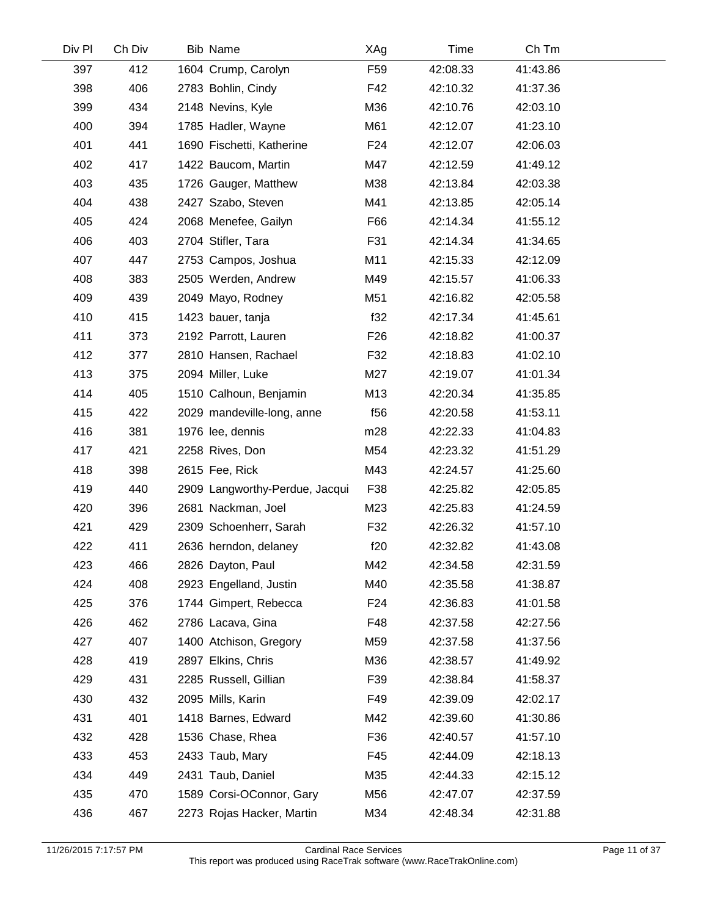| Div Pl | Ch Div | <b>Bib Name</b>                | XAg             | Time     | Ch Tm    |  |
|--------|--------|--------------------------------|-----------------|----------|----------|--|
| 397    | 412    | 1604 Crump, Carolyn            | F <sub>59</sub> | 42:08.33 | 41:43.86 |  |
| 398    | 406    | 2783 Bohlin, Cindy             | F42             | 42:10.32 | 41:37.36 |  |
| 399    | 434    | 2148 Nevins, Kyle              | M36             | 42:10.76 | 42:03.10 |  |
| 400    | 394    | 1785 Hadler, Wayne             | M61             | 42:12.07 | 41:23.10 |  |
| 401    | 441    | 1690 Fischetti, Katherine      | F <sub>24</sub> | 42:12.07 | 42:06.03 |  |
| 402    | 417    | 1422 Baucom, Martin            | M47             | 42:12.59 | 41:49.12 |  |
| 403    | 435    | 1726 Gauger, Matthew           | M38             | 42:13.84 | 42:03.38 |  |
| 404    | 438    | 2427 Szabo, Steven             | M41             | 42:13.85 | 42:05.14 |  |
| 405    | 424    | 2068 Menefee, Gailyn           | F66             | 42:14.34 | 41:55.12 |  |
| 406    | 403    | 2704 Stifler, Tara             | F31             | 42:14.34 | 41:34.65 |  |
| 407    | 447    | 2753 Campos, Joshua            | M11             | 42:15.33 | 42:12.09 |  |
| 408    | 383    | 2505 Werden, Andrew            | M49             | 42:15.57 | 41:06.33 |  |
| 409    | 439    | 2049 Mayo, Rodney              | M51             | 42:16.82 | 42:05.58 |  |
| 410    | 415    | 1423 bauer, tanja              | f32             | 42:17.34 | 41:45.61 |  |
| 411    | 373    | 2192 Parrott, Lauren           | F <sub>26</sub> | 42:18.82 | 41:00.37 |  |
| 412    | 377    | 2810 Hansen, Rachael           | F32             | 42:18.83 | 41:02.10 |  |
| 413    | 375    | 2094 Miller, Luke              | M27             | 42:19.07 | 41:01.34 |  |
| 414    | 405    | 1510 Calhoun, Benjamin         | M13             | 42:20.34 | 41:35.85 |  |
| 415    | 422    | 2029 mandeville-long, anne     | f56             | 42:20.58 | 41:53.11 |  |
| 416    | 381    | 1976 lee, dennis               | m28             | 42:22.33 | 41:04.83 |  |
| 417    | 421    | 2258 Rives, Don                | M54             | 42:23.32 | 41:51.29 |  |
| 418    | 398    | 2615 Fee, Rick                 | M43             | 42:24.57 | 41:25.60 |  |
| 419    | 440    | 2909 Langworthy-Perdue, Jacqui | F38             | 42:25.82 | 42:05.85 |  |
| 420    | 396    | 2681 Nackman, Joel             | M23             | 42:25.83 | 41:24.59 |  |
| 421    | 429    | 2309 Schoenherr, Sarah         | F32             | 42:26.32 | 41:57.10 |  |
| 422    | 411    | 2636 herndon, delaney          | f20             | 42:32.82 | 41:43.08 |  |
| 423    | 466    | 2826 Dayton, Paul              | M42             | 42:34.58 | 42:31.59 |  |
| 424    | 408    | 2923 Engelland, Justin         | M40             | 42:35.58 | 41:38.87 |  |
| 425    | 376    | 1744 Gimpert, Rebecca          | F24             | 42:36.83 | 41:01.58 |  |
| 426    | 462    | 2786 Lacava, Gina              | F48             | 42:37.58 | 42:27.56 |  |
| 427    | 407    | 1400 Atchison, Gregory         | M59             | 42:37.58 | 41:37.56 |  |
| 428    | 419    | 2897 Elkins, Chris             | M36             | 42:38.57 | 41:49.92 |  |
| 429    | 431    | 2285 Russell, Gillian          | F39             | 42:38.84 | 41:58.37 |  |
| 430    | 432    | 2095 Mills, Karin              | F49             | 42:39.09 | 42:02.17 |  |
| 431    | 401    | 1418 Barnes, Edward            | M42             | 42:39.60 | 41:30.86 |  |
| 432    | 428    | 1536 Chase, Rhea               | F36             | 42:40.57 | 41:57.10 |  |
| 433    | 453    | 2433 Taub, Mary                | F45             | 42:44.09 | 42:18.13 |  |
| 434    | 449    | 2431 Taub, Daniel              | M35             | 42:44.33 | 42:15.12 |  |
| 435    | 470    | 1589 Corsi-OConnor, Gary       | M56             | 42:47.07 | 42:37.59 |  |
| 436    | 467    | 2273 Rojas Hacker, Martin      | M34             | 42:48.34 | 42:31.88 |  |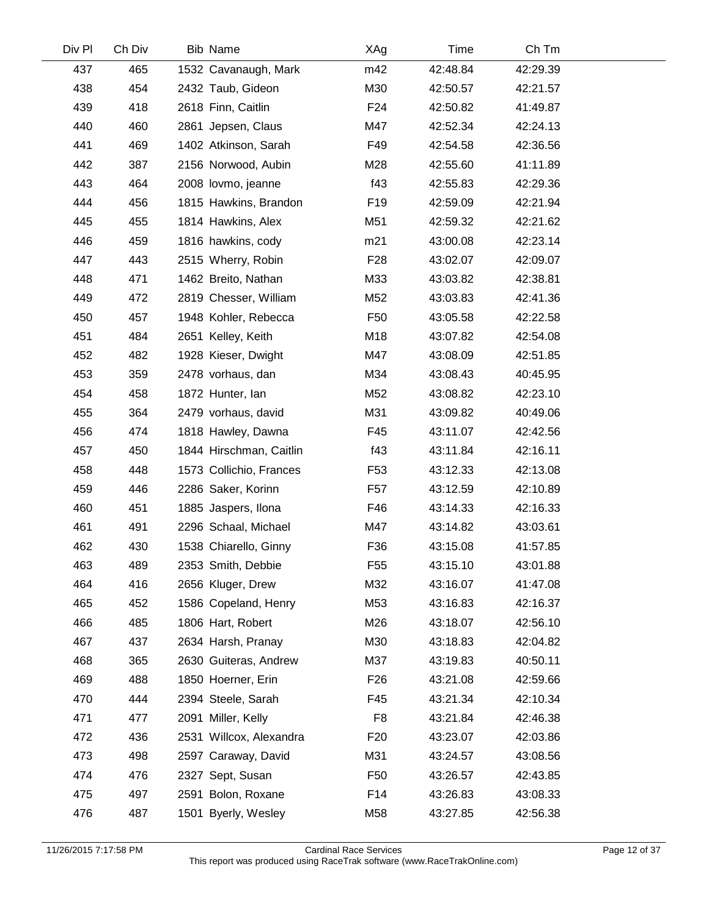| Div Pl | Ch Div | <b>Bib Name</b>         | XAg             | Time     | Ch Tm    |  |
|--------|--------|-------------------------|-----------------|----------|----------|--|
| 437    | 465    | 1532 Cavanaugh, Mark    | m42             | 42:48.84 | 42:29.39 |  |
| 438    | 454    | 2432 Taub, Gideon       | M30             | 42:50.57 | 42:21.57 |  |
| 439    | 418    | 2618 Finn, Caitlin      | F24             | 42:50.82 | 41:49.87 |  |
| 440    | 460    | 2861 Jepsen, Claus      | M47             | 42:52.34 | 42:24.13 |  |
| 441    | 469    | 1402 Atkinson, Sarah    | F49             | 42:54.58 | 42:36.56 |  |
| 442    | 387    | 2156 Norwood, Aubin     | M28             | 42:55.60 | 41:11.89 |  |
| 443    | 464    | 2008 lovmo, jeanne      | f43             | 42:55.83 | 42:29.36 |  |
| 444    | 456    | 1815 Hawkins, Brandon   | F <sub>19</sub> | 42:59.09 | 42:21.94 |  |
| 445    | 455    | 1814 Hawkins, Alex      | M51             | 42:59.32 | 42:21.62 |  |
| 446    | 459    | 1816 hawkins, cody      | m21             | 43:00.08 | 42:23.14 |  |
| 447    | 443    | 2515 Wherry, Robin      | F <sub>28</sub> | 43:02.07 | 42:09.07 |  |
| 448    | 471    | 1462 Breito, Nathan     | M33             | 43:03.82 | 42:38.81 |  |
| 449    | 472    | 2819 Chesser, William   | M52             | 43:03.83 | 42:41.36 |  |
| 450    | 457    | 1948 Kohler, Rebecca    | F <sub>50</sub> | 43:05.58 | 42:22.58 |  |
| 451    | 484    | 2651 Kelley, Keith      | M18             | 43:07.82 | 42:54.08 |  |
| 452    | 482    | 1928 Kieser, Dwight     | M47             | 43:08.09 | 42:51.85 |  |
| 453    | 359    | 2478 vorhaus, dan       | M34             | 43:08.43 | 40:45.95 |  |
| 454    | 458    | 1872 Hunter, lan        | M52             | 43:08.82 | 42:23.10 |  |
| 455    | 364    | 2479 vorhaus, david     | M31             | 43:09.82 | 40:49.06 |  |
| 456    | 474    | 1818 Hawley, Dawna      | F45             | 43:11.07 | 42:42.56 |  |
| 457    | 450    | 1844 Hirschman, Caitlin | f43             | 43:11.84 | 42:16.11 |  |
| 458    | 448    | 1573 Collichio, Frances | F53             | 43:12.33 | 42:13.08 |  |
| 459    | 446    | 2286 Saker, Korinn      | F57             | 43:12.59 | 42:10.89 |  |
| 460    | 451    | 1885 Jaspers, Ilona     | F46             | 43:14.33 | 42:16.33 |  |
| 461    | 491    | 2296 Schaal, Michael    | M47             | 43:14.82 | 43:03.61 |  |
| 462    | 430    | 1538 Chiarello, Ginny   | F36             | 43:15.08 | 41:57.85 |  |
| 463    | 489    | 2353 Smith, Debbie      | F <sub>55</sub> | 43:15.10 | 43:01.88 |  |
| 464    | 416    | 2656 Kluger, Drew       | M32             | 43:16.07 | 41:47.08 |  |
| 465    | 452    | 1586 Copeland, Henry    | M53             | 43:16.83 | 42:16.37 |  |
| 466    | 485    | 1806 Hart, Robert       | M26             | 43:18.07 | 42:56.10 |  |
| 467    | 437    | 2634 Harsh, Pranay      | M30             | 43:18.83 | 42:04.82 |  |
| 468    | 365    | 2630 Guiteras, Andrew   | M37             | 43:19.83 | 40:50.11 |  |
| 469    | 488    | 1850 Hoerner, Erin      | F <sub>26</sub> | 43:21.08 | 42:59.66 |  |
| 470    | 444    | 2394 Steele, Sarah      | F45             | 43:21.34 | 42:10.34 |  |
| 471    | 477    | 2091 Miller, Kelly      | F <sub>8</sub>  | 43:21.84 | 42:46.38 |  |
| 472    | 436    | 2531 Willcox, Alexandra | F <sub>20</sub> | 43:23.07 | 42:03.86 |  |
| 473    | 498    | 2597 Caraway, David     | M31             | 43:24.57 | 43:08.56 |  |
| 474    | 476    | 2327 Sept, Susan        | F <sub>50</sub> | 43:26.57 | 42:43.85 |  |
| 475    | 497    | 2591 Bolon, Roxane      | F14             | 43:26.83 | 43:08.33 |  |
| 476    | 487    | 1501 Byerly, Wesley     | M58             | 43:27.85 | 42:56.38 |  |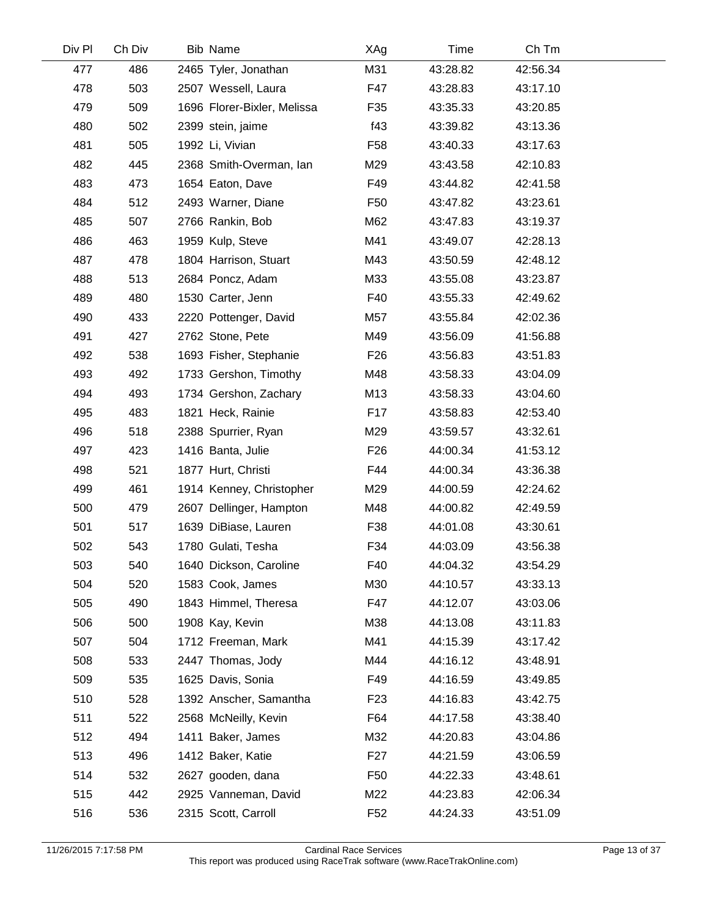| Div Pl | Ch Div | Bib Name                    | XAg             | Time     | Ch Tm    |  |
|--------|--------|-----------------------------|-----------------|----------|----------|--|
| 477    | 486    | 2465 Tyler, Jonathan        | M31             | 43:28.82 | 42:56.34 |  |
| 478    | 503    | 2507 Wessell, Laura         | F47             | 43:28.83 | 43:17.10 |  |
| 479    | 509    | 1696 Florer-Bixler, Melissa | F35             | 43:35.33 | 43:20.85 |  |
| 480    | 502    | 2399 stein, jaime           | f43             | 43:39.82 | 43:13.36 |  |
| 481    | 505    | 1992 Li, Vivian             | F <sub>58</sub> | 43:40.33 | 43:17.63 |  |
| 482    | 445    | 2368 Smith-Overman, lan     | M29             | 43:43.58 | 42:10.83 |  |
| 483    | 473    | 1654 Eaton, Dave            | F49             | 43:44.82 | 42:41.58 |  |
| 484    | 512    | 2493 Warner, Diane          | F <sub>50</sub> | 43:47.82 | 43:23.61 |  |
| 485    | 507    | 2766 Rankin, Bob            | M62             | 43:47.83 | 43:19.37 |  |
| 486    | 463    | 1959 Kulp, Steve            | M41             | 43:49.07 | 42:28.13 |  |
| 487    | 478    | 1804 Harrison, Stuart       | M43             | 43:50.59 | 42:48.12 |  |
| 488    | 513    | 2684 Poncz, Adam            | M33             | 43:55.08 | 43:23.87 |  |
| 489    | 480    | 1530 Carter, Jenn           | F40             | 43:55.33 | 42:49.62 |  |
| 490    | 433    | 2220 Pottenger, David       | M57             | 43:55.84 | 42:02.36 |  |
| 491    | 427    | 2762 Stone, Pete            | M49             | 43:56.09 | 41:56.88 |  |
| 492    | 538    | 1693 Fisher, Stephanie      | F <sub>26</sub> | 43:56.83 | 43:51.83 |  |
| 493    | 492    | 1733 Gershon, Timothy       | M48             | 43:58.33 | 43:04.09 |  |
| 494    | 493    | 1734 Gershon, Zachary       | M13             | 43:58.33 | 43:04.60 |  |
| 495    | 483    | 1821 Heck, Rainie           | F17             | 43:58.83 | 42:53.40 |  |
| 496    | 518    | 2388 Spurrier, Ryan         | M29             | 43:59.57 | 43:32.61 |  |
| 497    | 423    | 1416 Banta, Julie           | F <sub>26</sub> | 44:00.34 | 41:53.12 |  |
| 498    | 521    | 1877 Hurt, Christi          | F44             | 44:00.34 | 43:36.38 |  |
| 499    | 461    | 1914 Kenney, Christopher    | M29             | 44:00.59 | 42:24.62 |  |
| 500    | 479    | 2607 Dellinger, Hampton     | M48             | 44:00.82 | 42:49.59 |  |
| 501    | 517    | 1639 DiBiase, Lauren        | F38             | 44:01.08 | 43:30.61 |  |
| 502    | 543    | 1780 Gulati, Tesha          | F34             | 44:03.09 | 43:56.38 |  |
| 503    | 540    | 1640 Dickson, Caroline      | F40             | 44:04.32 | 43:54.29 |  |
| 504    | 520    | 1583 Cook, James            | M30             | 44:10.57 | 43:33.13 |  |
| 505    | 490    | 1843 Himmel, Theresa        | F47             | 44:12.07 | 43:03.06 |  |
| 506    | 500    | 1908 Kay, Kevin             | M38             | 44:13.08 | 43:11.83 |  |
| 507    | 504    | 1712 Freeman, Mark          | M41             | 44:15.39 | 43:17.42 |  |
| 508    | 533    | 2447 Thomas, Jody           | M44             | 44:16.12 | 43:48.91 |  |
| 509    | 535    | 1625 Davis, Sonia           | F49             | 44:16.59 | 43:49.85 |  |
| 510    | 528    | 1392 Anscher, Samantha      | F <sub>23</sub> | 44:16.83 | 43:42.75 |  |
| 511    | 522    | 2568 McNeilly, Kevin        | F64             | 44:17.58 | 43:38.40 |  |
| 512    | 494    | 1411 Baker, James           | M32             | 44:20.83 | 43:04.86 |  |
| 513    | 496    | 1412 Baker, Katie           | F <sub>27</sub> | 44:21.59 | 43:06.59 |  |
| 514    | 532    | 2627 gooden, dana           | F <sub>50</sub> | 44:22.33 | 43:48.61 |  |
| 515    | 442    | 2925 Vanneman, David        | M22             | 44:23.83 | 42:06.34 |  |
| 516    | 536    | 2315 Scott, Carroll         | F <sub>52</sub> | 44:24.33 | 43:51.09 |  |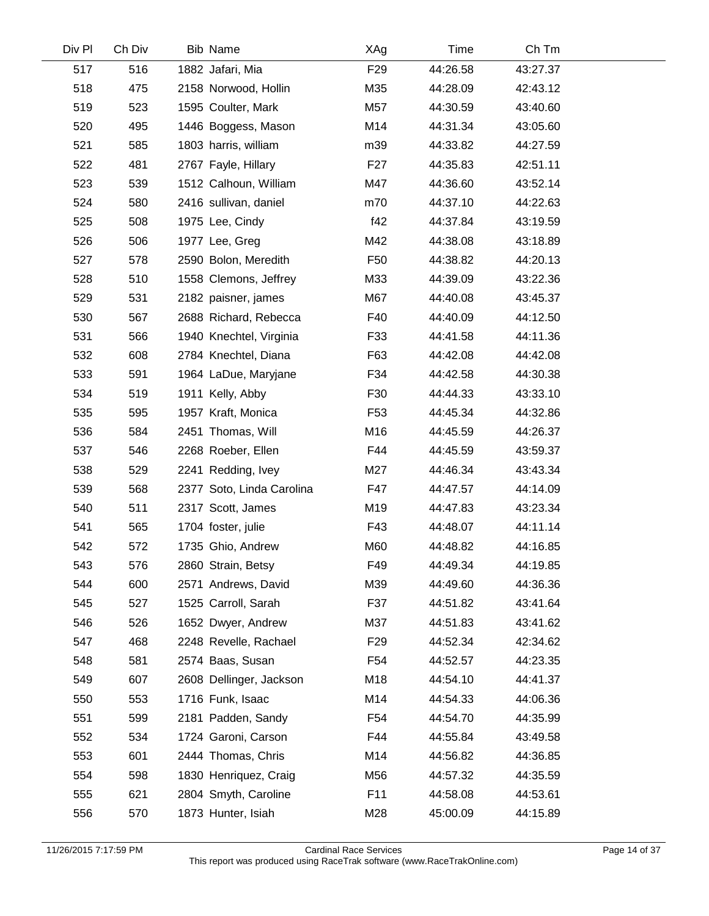| Div Pl | Ch Div | <b>Bib Name</b>           | XAg             | Time     | Ch Tm    |  |
|--------|--------|---------------------------|-----------------|----------|----------|--|
| 517    | 516    | 1882 Jafari, Mia          | F <sub>29</sub> | 44:26.58 | 43:27.37 |  |
| 518    | 475    | 2158 Norwood, Hollin      | M35             | 44:28.09 | 42:43.12 |  |
| 519    | 523    | 1595 Coulter, Mark        | M57             | 44:30.59 | 43:40.60 |  |
| 520    | 495    | 1446 Boggess, Mason       | M14             | 44:31.34 | 43:05.60 |  |
| 521    | 585    | 1803 harris, william      | m39             | 44:33.82 | 44:27.59 |  |
| 522    | 481    | 2767 Fayle, Hillary       | F <sub>27</sub> | 44:35.83 | 42:51.11 |  |
| 523    | 539    | 1512 Calhoun, William     | M47             | 44:36.60 | 43:52.14 |  |
| 524    | 580    | 2416 sullivan, daniel     | m70             | 44:37.10 | 44:22.63 |  |
| 525    | 508    | 1975 Lee, Cindy           | f42             | 44:37.84 | 43:19.59 |  |
| 526    | 506    | 1977 Lee, Greg            | M42             | 44:38.08 | 43:18.89 |  |
| 527    | 578    | 2590 Bolon, Meredith      | F <sub>50</sub> | 44:38.82 | 44:20.13 |  |
| 528    | 510    | 1558 Clemons, Jeffrey     | M33             | 44:39.09 | 43:22.36 |  |
| 529    | 531    | 2182 paisner, james       | M67             | 44:40.08 | 43:45.37 |  |
| 530    | 567    | 2688 Richard, Rebecca     | F40             | 44:40.09 | 44:12.50 |  |
| 531    | 566    | 1940 Knechtel, Virginia   | F33             | 44:41.58 | 44:11.36 |  |
| 532    | 608    | 2784 Knechtel, Diana      | F63             | 44:42.08 | 44:42.08 |  |
| 533    | 591    | 1964 LaDue, Maryjane      | F34             | 44:42.58 | 44:30.38 |  |
| 534    | 519    | 1911 Kelly, Abby          | F30             | 44:44.33 | 43:33.10 |  |
| 535    | 595    | 1957 Kraft, Monica        | F <sub>53</sub> | 44:45.34 | 44:32.86 |  |
| 536    | 584    | 2451 Thomas, Will         | M16             | 44:45.59 | 44:26.37 |  |
| 537    | 546    | 2268 Roeber, Ellen        | F44             | 44:45.59 | 43:59.37 |  |
| 538    | 529    | 2241 Redding, Ivey        | M27             | 44:46.34 | 43:43.34 |  |
| 539    | 568    | 2377 Soto, Linda Carolina | F47             | 44:47.57 | 44:14.09 |  |
| 540    | 511    | 2317 Scott, James         | M19             | 44:47.83 | 43:23.34 |  |
| 541    | 565    | 1704 foster, julie        | F43             | 44:48.07 | 44:11.14 |  |
| 542    | 572    | 1735 Ghio, Andrew         | M60             | 44:48.82 | 44:16.85 |  |
| 543    | 576    | 2860 Strain, Betsy        | F49             | 44:49.34 | 44:19.85 |  |
| 544    | 600    | 2571 Andrews, David       | M39             | 44:49.60 | 44:36.36 |  |
| 545    | 527    | 1525 Carroll, Sarah       | F37             | 44:51.82 | 43:41.64 |  |
| 546    | 526    | 1652 Dwyer, Andrew        | M37             | 44:51.83 | 43:41.62 |  |
| 547    | 468    | 2248 Revelle, Rachael     | F <sub>29</sub> | 44:52.34 | 42:34.62 |  |
| 548    | 581    | 2574 Baas, Susan          | F54             | 44:52.57 | 44:23.35 |  |
| 549    | 607    | 2608 Dellinger, Jackson   | M18             | 44:54.10 | 44:41.37 |  |
| 550    | 553    | 1716 Funk, Isaac          | M14             | 44:54.33 | 44:06.36 |  |
| 551    | 599    | 2181 Padden, Sandy        | F <sub>54</sub> | 44:54.70 | 44:35.99 |  |
| 552    | 534    | 1724 Garoni, Carson       | F44             | 44:55.84 | 43:49.58 |  |
| 553    | 601    | 2444 Thomas, Chris        | M14             | 44:56.82 | 44:36.85 |  |
| 554    | 598    | 1830 Henriquez, Craig     | M56             | 44:57.32 | 44:35.59 |  |
| 555    | 621    | 2804 Smyth, Caroline      | F11             | 44:58.08 | 44:53.61 |  |
| 556    | 570    | 1873 Hunter, Isiah        | M28             | 45:00.09 | 44:15.89 |  |

 $\sim$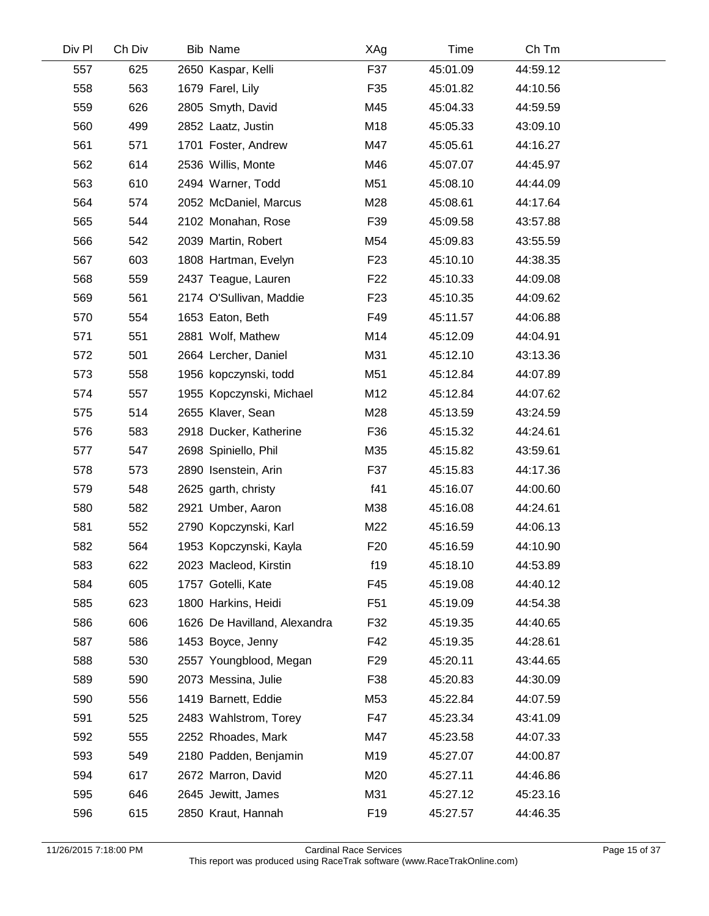| Ch Div |  | XAg                                                                                                                                                                                                                                                                                                                                                                                                                                                                                                                                                                                                                                                                                                                                                                                                                                                                                                                                                                                     | Time     | Ch Tm    |  |
|--------|--|-----------------------------------------------------------------------------------------------------------------------------------------------------------------------------------------------------------------------------------------------------------------------------------------------------------------------------------------------------------------------------------------------------------------------------------------------------------------------------------------------------------------------------------------------------------------------------------------------------------------------------------------------------------------------------------------------------------------------------------------------------------------------------------------------------------------------------------------------------------------------------------------------------------------------------------------------------------------------------------------|----------|----------|--|
| 625    |  | F37                                                                                                                                                                                                                                                                                                                                                                                                                                                                                                                                                                                                                                                                                                                                                                                                                                                                                                                                                                                     | 45:01.09 | 44:59.12 |  |
| 563    |  | F35                                                                                                                                                                                                                                                                                                                                                                                                                                                                                                                                                                                                                                                                                                                                                                                                                                                                                                                                                                                     | 45:01.82 | 44:10.56 |  |
| 626    |  | M45                                                                                                                                                                                                                                                                                                                                                                                                                                                                                                                                                                                                                                                                                                                                                                                                                                                                                                                                                                                     | 45:04.33 | 44:59.59 |  |
| 499    |  | M18                                                                                                                                                                                                                                                                                                                                                                                                                                                                                                                                                                                                                                                                                                                                                                                                                                                                                                                                                                                     | 45:05.33 | 43:09.10 |  |
| 571    |  | M47                                                                                                                                                                                                                                                                                                                                                                                                                                                                                                                                                                                                                                                                                                                                                                                                                                                                                                                                                                                     | 45:05.61 | 44:16.27 |  |
| 614    |  | M46                                                                                                                                                                                                                                                                                                                                                                                                                                                                                                                                                                                                                                                                                                                                                                                                                                                                                                                                                                                     | 45:07.07 | 44:45.97 |  |
| 610    |  | M51                                                                                                                                                                                                                                                                                                                                                                                                                                                                                                                                                                                                                                                                                                                                                                                                                                                                                                                                                                                     | 45:08.10 | 44:44.09 |  |
| 574    |  | M28                                                                                                                                                                                                                                                                                                                                                                                                                                                                                                                                                                                                                                                                                                                                                                                                                                                                                                                                                                                     | 45:08.61 | 44:17.64 |  |
| 544    |  | F39                                                                                                                                                                                                                                                                                                                                                                                                                                                                                                                                                                                                                                                                                                                                                                                                                                                                                                                                                                                     | 45:09.58 | 43:57.88 |  |
| 542    |  | M54                                                                                                                                                                                                                                                                                                                                                                                                                                                                                                                                                                                                                                                                                                                                                                                                                                                                                                                                                                                     | 45:09.83 | 43:55.59 |  |
| 603    |  | F <sub>23</sub>                                                                                                                                                                                                                                                                                                                                                                                                                                                                                                                                                                                                                                                                                                                                                                                                                                                                                                                                                                         | 45:10.10 | 44:38.35 |  |
| 559    |  | F <sub>22</sub>                                                                                                                                                                                                                                                                                                                                                                                                                                                                                                                                                                                                                                                                                                                                                                                                                                                                                                                                                                         | 45:10.33 | 44:09.08 |  |
| 561    |  | F <sub>23</sub>                                                                                                                                                                                                                                                                                                                                                                                                                                                                                                                                                                                                                                                                                                                                                                                                                                                                                                                                                                         | 45:10.35 | 44:09.62 |  |
| 554    |  | F49                                                                                                                                                                                                                                                                                                                                                                                                                                                                                                                                                                                                                                                                                                                                                                                                                                                                                                                                                                                     | 45:11.57 | 44:06.88 |  |
| 551    |  | M14                                                                                                                                                                                                                                                                                                                                                                                                                                                                                                                                                                                                                                                                                                                                                                                                                                                                                                                                                                                     | 45:12.09 | 44:04.91 |  |
| 501    |  | M31                                                                                                                                                                                                                                                                                                                                                                                                                                                                                                                                                                                                                                                                                                                                                                                                                                                                                                                                                                                     | 45:12.10 | 43:13.36 |  |
| 558    |  | M51                                                                                                                                                                                                                                                                                                                                                                                                                                                                                                                                                                                                                                                                                                                                                                                                                                                                                                                                                                                     | 45:12.84 | 44:07.89 |  |
| 557    |  | M12                                                                                                                                                                                                                                                                                                                                                                                                                                                                                                                                                                                                                                                                                                                                                                                                                                                                                                                                                                                     | 45:12.84 | 44:07.62 |  |
| 514    |  | M28                                                                                                                                                                                                                                                                                                                                                                                                                                                                                                                                                                                                                                                                                                                                                                                                                                                                                                                                                                                     | 45:13.59 | 43:24.59 |  |
| 583    |  | F36                                                                                                                                                                                                                                                                                                                                                                                                                                                                                                                                                                                                                                                                                                                                                                                                                                                                                                                                                                                     | 45:15.32 | 44:24.61 |  |
| 547    |  | M35                                                                                                                                                                                                                                                                                                                                                                                                                                                                                                                                                                                                                                                                                                                                                                                                                                                                                                                                                                                     | 45:15.82 | 43:59.61 |  |
| 573    |  | F37                                                                                                                                                                                                                                                                                                                                                                                                                                                                                                                                                                                                                                                                                                                                                                                                                                                                                                                                                                                     | 45:15.83 | 44:17.36 |  |
| 548    |  | f41                                                                                                                                                                                                                                                                                                                                                                                                                                                                                                                                                                                                                                                                                                                                                                                                                                                                                                                                                                                     | 45:16.07 | 44:00.60 |  |
| 582    |  | M38                                                                                                                                                                                                                                                                                                                                                                                                                                                                                                                                                                                                                                                                                                                                                                                                                                                                                                                                                                                     | 45:16.08 | 44:24.61 |  |
| 552    |  | M22                                                                                                                                                                                                                                                                                                                                                                                                                                                                                                                                                                                                                                                                                                                                                                                                                                                                                                                                                                                     | 45:16.59 | 44:06.13 |  |
| 564    |  | F <sub>20</sub>                                                                                                                                                                                                                                                                                                                                                                                                                                                                                                                                                                                                                                                                                                                                                                                                                                                                                                                                                                         | 45:16.59 | 44:10.90 |  |
| 622    |  | f19                                                                                                                                                                                                                                                                                                                                                                                                                                                                                                                                                                                                                                                                                                                                                                                                                                                                                                                                                                                     | 45:18.10 | 44:53.89 |  |
| 605    |  | F45                                                                                                                                                                                                                                                                                                                                                                                                                                                                                                                                                                                                                                                                                                                                                                                                                                                                                                                                                                                     | 45:19.08 | 44:40.12 |  |
| 623    |  | F <sub>51</sub>                                                                                                                                                                                                                                                                                                                                                                                                                                                                                                                                                                                                                                                                                                                                                                                                                                                                                                                                                                         | 45:19.09 | 44:54.38 |  |
| 606    |  | F32                                                                                                                                                                                                                                                                                                                                                                                                                                                                                                                                                                                                                                                                                                                                                                                                                                                                                                                                                                                     | 45:19.35 | 44:40.65 |  |
| 586    |  | F42                                                                                                                                                                                                                                                                                                                                                                                                                                                                                                                                                                                                                                                                                                                                                                                                                                                                                                                                                                                     | 45:19.35 | 44:28.61 |  |
| 530    |  | F <sub>29</sub>                                                                                                                                                                                                                                                                                                                                                                                                                                                                                                                                                                                                                                                                                                                                                                                                                                                                                                                                                                         | 45:20.11 | 43:44.65 |  |
| 590    |  | F38                                                                                                                                                                                                                                                                                                                                                                                                                                                                                                                                                                                                                                                                                                                                                                                                                                                                                                                                                                                     | 45:20.83 | 44:30.09 |  |
| 556    |  | M53                                                                                                                                                                                                                                                                                                                                                                                                                                                                                                                                                                                                                                                                                                                                                                                                                                                                                                                                                                                     | 45:22.84 | 44:07.59 |  |
| 525    |  | F47                                                                                                                                                                                                                                                                                                                                                                                                                                                                                                                                                                                                                                                                                                                                                                                                                                                                                                                                                                                     | 45:23.34 | 43:41.09 |  |
| 555    |  | M47                                                                                                                                                                                                                                                                                                                                                                                                                                                                                                                                                                                                                                                                                                                                                                                                                                                                                                                                                                                     | 45:23.58 | 44:07.33 |  |
| 549    |  | M19                                                                                                                                                                                                                                                                                                                                                                                                                                                                                                                                                                                                                                                                                                                                                                                                                                                                                                                                                                                     | 45:27.07 | 44:00.87 |  |
| 617    |  | M20                                                                                                                                                                                                                                                                                                                                                                                                                                                                                                                                                                                                                                                                                                                                                                                                                                                                                                                                                                                     | 45:27.11 | 44:46.86 |  |
| 646    |  | M31                                                                                                                                                                                                                                                                                                                                                                                                                                                                                                                                                                                                                                                                                                                                                                                                                                                                                                                                                                                     | 45:27.12 | 45:23.16 |  |
| 615    |  | F <sub>19</sub>                                                                                                                                                                                                                                                                                                                                                                                                                                                                                                                                                                                                                                                                                                                                                                                                                                                                                                                                                                         | 45:27.57 | 44:46.35 |  |
|        |  | <b>Bib Name</b><br>2650 Kaspar, Kelli<br>1679 Farel, Lily<br>2805 Smyth, David<br>2852 Laatz, Justin<br>1701 Foster, Andrew<br>2536 Willis, Monte<br>2494 Warner, Todd<br>2052 McDaniel, Marcus<br>2102 Monahan, Rose<br>2039 Martin, Robert<br>1808 Hartman, Evelyn<br>2437 Teague, Lauren<br>2174 O'Sullivan, Maddie<br>1653 Eaton, Beth<br>2881 Wolf, Mathew<br>2664 Lercher, Daniel<br>1956 kopczynski, todd<br>1955 Kopczynski, Michael<br>2655 Klaver, Sean<br>2918 Ducker, Katherine<br>2698 Spiniello, Phil<br>2890 Isenstein, Arin<br>2625 garth, christy<br>2921 Umber, Aaron<br>2790 Kopczynski, Karl<br>1953 Kopczynski, Kayla<br>2023 Macleod, Kirstin<br>1757 Gotelli, Kate<br>1800 Harkins, Heidi<br>1626 De Havilland, Alexandra<br>1453 Boyce, Jenny<br>2557 Youngblood, Megan<br>2073 Messina, Julie<br>1419 Barnett, Eddie<br>2483 Wahlstrom, Torey<br>2252 Rhoades, Mark<br>2180 Padden, Benjamin<br>2672 Marron, David<br>2645 Jewitt, James<br>2850 Kraut, Hannah |          |          |  |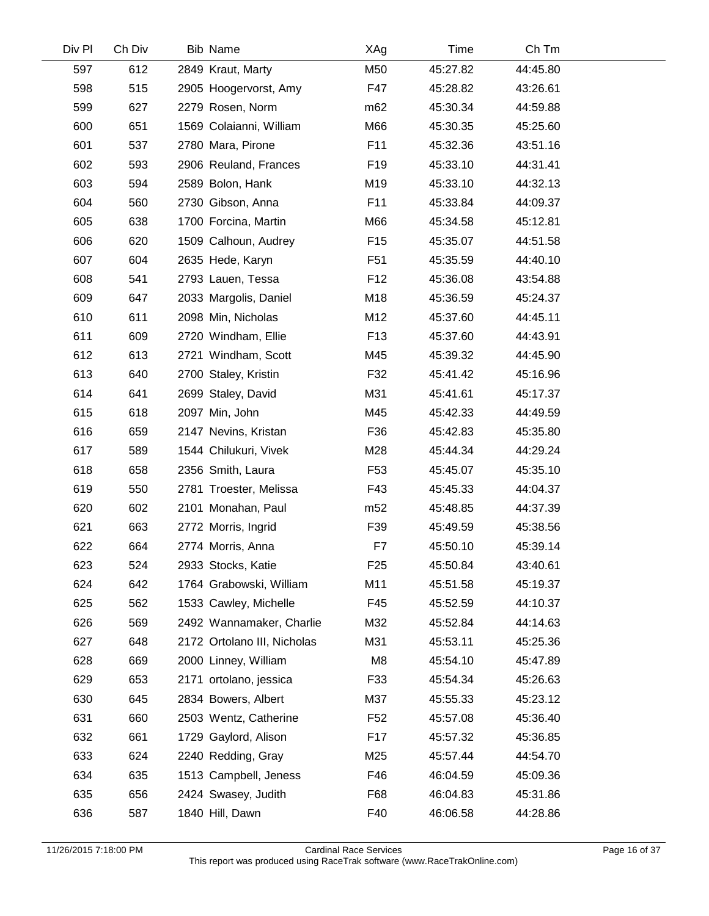| Div Pl | Ch Div | <b>Bib Name</b>             | XAg             | Time     | Ch Tm    |  |
|--------|--------|-----------------------------|-----------------|----------|----------|--|
| 597    | 612    | 2849 Kraut, Marty           | M50             | 45:27.82 | 44:45.80 |  |
| 598    | 515    | 2905 Hoogervorst, Amy       | F47             | 45:28.82 | 43:26.61 |  |
| 599    | 627    | 2279 Rosen, Norm            | m <sub>62</sub> | 45:30.34 | 44:59.88 |  |
| 600    | 651    | 1569 Colaianni, William     | M66             | 45:30.35 | 45:25.60 |  |
| 601    | 537    | 2780 Mara, Pirone           | F11             | 45:32.36 | 43:51.16 |  |
| 602    | 593    | 2906 Reuland, Frances       | F <sub>19</sub> | 45:33.10 | 44:31.41 |  |
| 603    | 594    | 2589 Bolon, Hank            | M19             | 45:33.10 | 44:32.13 |  |
| 604    | 560    | 2730 Gibson, Anna           | F11             | 45:33.84 | 44:09.37 |  |
| 605    | 638    | 1700 Forcina, Martin        | M66             | 45:34.58 | 45:12.81 |  |
| 606    | 620    | 1509 Calhoun, Audrey        | F <sub>15</sub> | 45:35.07 | 44:51.58 |  |
| 607    | 604    | 2635 Hede, Karyn            | F <sub>51</sub> | 45:35.59 | 44:40.10 |  |
| 608    | 541    | 2793 Lauen, Tessa           | F <sub>12</sub> | 45:36.08 | 43:54.88 |  |
| 609    | 647    | 2033 Margolis, Daniel       | M18             | 45:36.59 | 45:24.37 |  |
| 610    | 611    | 2098 Min, Nicholas          | M12             | 45:37.60 | 44:45.11 |  |
| 611    | 609    | 2720 Windham, Ellie         | F <sub>13</sub> | 45:37.60 | 44:43.91 |  |
| 612    | 613    | 2721 Windham, Scott         | M45             | 45:39.32 | 44:45.90 |  |
| 613    | 640    | 2700 Staley, Kristin        | F32             | 45:41.42 | 45:16.96 |  |
| 614    | 641    | 2699 Staley, David          | M31             | 45:41.61 | 45:17.37 |  |
| 615    | 618    | 2097 Min, John              | M45             | 45:42.33 | 44:49.59 |  |
| 616    | 659    | 2147 Nevins, Kristan        | F36             | 45:42.83 | 45:35.80 |  |
| 617    | 589    | 1544 Chilukuri, Vivek       | M28             | 45:44.34 | 44:29.24 |  |
| 618    | 658    | 2356 Smith, Laura           | F <sub>53</sub> | 45:45.07 | 45:35.10 |  |
| 619    | 550    | 2781 Troester, Melissa      | F43             | 45:45.33 | 44:04.37 |  |
| 620    | 602    | 2101 Monahan, Paul          | m <sub>52</sub> | 45:48.85 | 44:37.39 |  |
| 621    | 663    | 2772 Morris, Ingrid         | F39             | 45:49.59 | 45:38.56 |  |
| 622    | 664    | 2774 Morris, Anna           | F7              | 45:50.10 | 45:39.14 |  |
| 623    | 524    | 2933 Stocks, Katie          | F <sub>25</sub> | 45:50.84 | 43:40.61 |  |
| 624    | 642    | 1764 Grabowski, William     | M11             | 45:51.58 | 45:19.37 |  |
| 625    | 562    | 1533 Cawley, Michelle       | F45             | 45:52.59 | 44:10.37 |  |
| 626    | 569    | 2492 Wannamaker, Charlie    | M32             | 45:52.84 | 44:14.63 |  |
| 627    | 648    | 2172 Ortolano III, Nicholas | M31             | 45:53.11 | 45:25.36 |  |
| 628    | 669    | 2000 Linney, William        | M <sub>8</sub>  | 45:54.10 | 45:47.89 |  |
| 629    | 653    | 2171 ortolano, jessica      | F33             | 45:54.34 | 45:26.63 |  |
| 630    | 645    | 2834 Bowers, Albert         | M37             | 45:55.33 | 45:23.12 |  |
| 631    | 660    | 2503 Wentz, Catherine       | F <sub>52</sub> | 45:57.08 | 45:36.40 |  |
| 632    | 661    | 1729 Gaylord, Alison        | F <sub>17</sub> | 45:57.32 | 45:36.85 |  |
| 633    | 624    | 2240 Redding, Gray          | M25             | 45:57.44 | 44:54.70 |  |
| 634    | 635    | 1513 Campbell, Jeness       | F46             | 46:04.59 | 45:09.36 |  |
| 635    | 656    | 2424 Swasey, Judith         | F68             | 46:04.83 | 45:31.86 |  |
| 636    | 587    | 1840 Hill, Dawn             | F40             | 46:06.58 | 44:28.86 |  |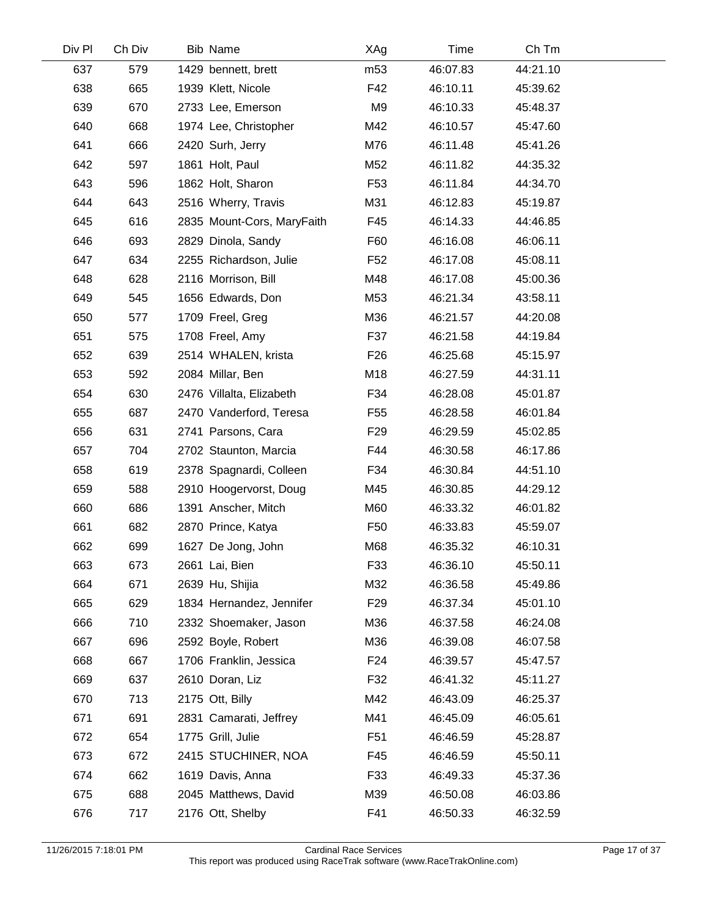| Div Pl | Ch Div | <b>Bib Name</b>            | XAg             | Time     | Ch Tm    |  |
|--------|--------|----------------------------|-----------------|----------|----------|--|
| 637    | 579    | 1429 bennett, brett        | m <sub>53</sub> | 46:07.83 | 44:21.10 |  |
| 638    | 665    | 1939 Klett, Nicole         | F42             | 46:10.11 | 45:39.62 |  |
| 639    | 670    | 2733 Lee, Emerson          | M9              | 46:10.33 | 45:48.37 |  |
| 640    | 668    | 1974 Lee, Christopher      | M42             | 46:10.57 | 45:47.60 |  |
| 641    | 666    | 2420 Surh, Jerry           | M76             | 46:11.48 | 45:41.26 |  |
| 642    | 597    | 1861 Holt, Paul            | M52             | 46:11.82 | 44:35.32 |  |
| 643    | 596    | 1862 Holt, Sharon          | F <sub>53</sub> | 46:11.84 | 44:34.70 |  |
| 644    | 643    | 2516 Wherry, Travis        | M31             | 46:12.83 | 45:19.87 |  |
| 645    | 616    | 2835 Mount-Cors, MaryFaith | F45             | 46:14.33 | 44:46.85 |  |
| 646    | 693    | 2829 Dinola, Sandy         | F60             | 46:16.08 | 46:06.11 |  |
| 647    | 634    | 2255 Richardson, Julie     | F <sub>52</sub> | 46:17.08 | 45:08.11 |  |
| 648    | 628    | 2116 Morrison, Bill        | M48             | 46:17.08 | 45:00.36 |  |
| 649    | 545    | 1656 Edwards, Don          | M53             | 46:21.34 | 43:58.11 |  |
| 650    | 577    | 1709 Freel, Greg           | M36             | 46:21.57 | 44:20.08 |  |
| 651    | 575    | 1708 Freel, Amy            | F37             | 46:21.58 | 44:19.84 |  |
| 652    | 639    | 2514 WHALEN, krista        | F <sub>26</sub> | 46:25.68 | 45:15.97 |  |
| 653    | 592    | 2084 Millar, Ben           | M18             | 46:27.59 | 44:31.11 |  |
| 654    | 630    | 2476 Villalta, Elizabeth   | F34             | 46:28.08 | 45:01.87 |  |
| 655    | 687    | 2470 Vanderford, Teresa    | F <sub>55</sub> | 46:28.58 | 46:01.84 |  |
| 656    | 631    | 2741 Parsons, Cara         | F <sub>29</sub> | 46:29.59 | 45:02.85 |  |
| 657    | 704    | 2702 Staunton, Marcia      | F44             | 46:30.58 | 46:17.86 |  |
| 658    | 619    | 2378 Spagnardi, Colleen    | F34             | 46:30.84 | 44:51.10 |  |
| 659    | 588    | 2910 Hoogervorst, Doug     | M45             | 46:30.85 | 44:29.12 |  |
| 660    | 686    | 1391 Anscher, Mitch        | M60             | 46:33.32 | 46:01.82 |  |
| 661    | 682    | 2870 Prince, Katya         | F <sub>50</sub> | 46:33.83 | 45:59.07 |  |
| 662    | 699    | 1627 De Jong, John         | M68             | 46:35.32 | 46:10.31 |  |
| 663    | 673    | 2661 Lai, Bien             | F33             | 46:36.10 | 45:50.11 |  |
| 664    | 671    | 2639 Hu, Shijia            | M32             | 46:36.58 | 45:49.86 |  |
| 665    | 629    | 1834 Hernandez, Jennifer   | F <sub>29</sub> | 46:37.34 | 45:01.10 |  |
| 666    | 710    | 2332 Shoemaker, Jason      | M36             | 46:37.58 | 46:24.08 |  |
| 667    | 696    | 2592 Boyle, Robert         | M36             | 46:39.08 | 46:07.58 |  |
| 668    | 667    | 1706 Franklin, Jessica     | F <sub>24</sub> | 46:39.57 | 45:47.57 |  |
| 669    | 637    | 2610 Doran, Liz            | F32             | 46:41.32 | 45:11.27 |  |
| 670    | 713    | 2175 Ott, Billy            | M42             | 46:43.09 | 46:25.37 |  |
| 671    | 691    | 2831 Camarati, Jeffrey     | M41             | 46:45.09 | 46:05.61 |  |
| 672    | 654    | 1775 Grill, Julie          | F51             | 46:46.59 | 45:28.87 |  |
| 673    | 672    | 2415 STUCHINER, NOA        | F45             | 46:46.59 | 45:50.11 |  |
| 674    | 662    | 1619 Davis, Anna           | F33             | 46:49.33 | 45:37.36 |  |
| 675    | 688    | 2045 Matthews, David       | M39             | 46:50.08 | 46:03.86 |  |
| 676    | 717    | 2176 Ott, Shelby           | F41             | 46:50.33 | 46:32.59 |  |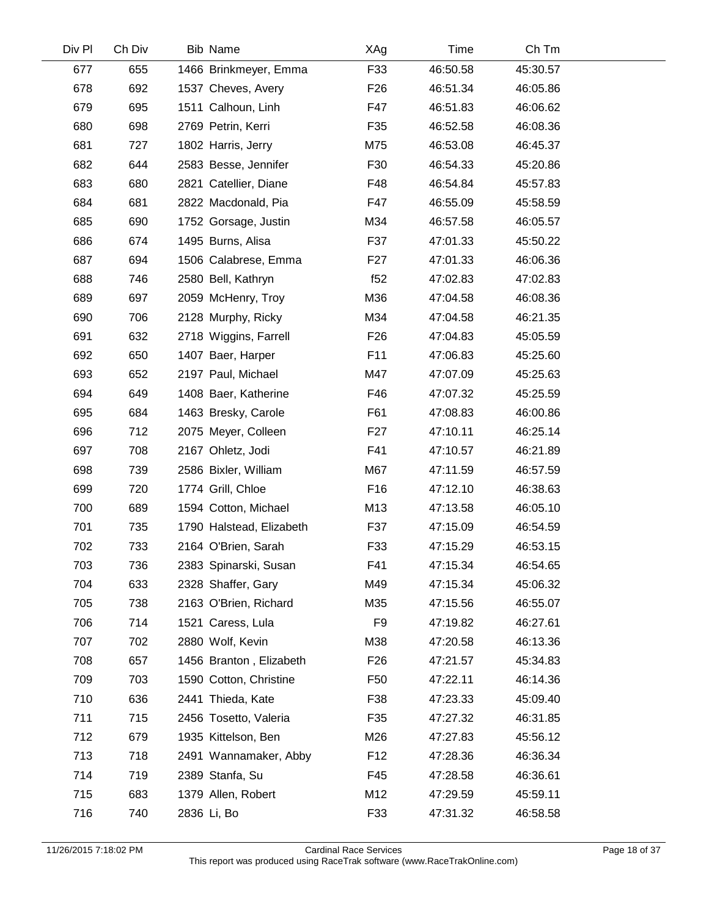| Div Pl | Ch Div | <b>Bib Name</b>          | XAg             | Time     | Ch Tm    |  |
|--------|--------|--------------------------|-----------------|----------|----------|--|
| 677    | 655    | 1466 Brinkmeyer, Emma    | F33             | 46:50.58 | 45:30.57 |  |
| 678    | 692    | 1537 Cheves, Avery       | F <sub>26</sub> | 46:51.34 | 46:05.86 |  |
| 679    | 695    | 1511 Calhoun, Linh       | F47             | 46:51.83 | 46:06.62 |  |
| 680    | 698    | 2769 Petrin, Kerri       | F35             | 46:52.58 | 46:08.36 |  |
| 681    | 727    | 1802 Harris, Jerry       | M75             | 46:53.08 | 46:45.37 |  |
| 682    | 644    | 2583 Besse, Jennifer     | F30             | 46:54.33 | 45:20.86 |  |
| 683    | 680    | 2821 Catellier, Diane    | F48             | 46:54.84 | 45:57.83 |  |
| 684    | 681    | 2822 Macdonald, Pia      | F47             | 46:55.09 | 45:58.59 |  |
| 685    | 690    | 1752 Gorsage, Justin     | M34             | 46:57.58 | 46:05.57 |  |
| 686    | 674    | 1495 Burns, Alisa        | F37             | 47:01.33 | 45:50.22 |  |
| 687    | 694    | 1506 Calabrese, Emma     | F <sub>27</sub> | 47:01.33 | 46:06.36 |  |
| 688    | 746    | 2580 Bell, Kathryn       | f52             | 47:02.83 | 47:02.83 |  |
| 689    | 697    | 2059 McHenry, Troy       | M36             | 47:04.58 | 46:08.36 |  |
| 690    | 706    | 2128 Murphy, Ricky       | M34             | 47:04.58 | 46:21.35 |  |
| 691    | 632    | 2718 Wiggins, Farrell    | F <sub>26</sub> | 47:04.83 | 45:05.59 |  |
| 692    | 650    | 1407 Baer, Harper        | F11             | 47:06.83 | 45:25.60 |  |
| 693    | 652    | 2197 Paul, Michael       | M47             | 47:07.09 | 45:25.63 |  |
| 694    | 649    | 1408 Baer, Katherine     | F46             | 47:07.32 | 45:25.59 |  |
| 695    | 684    | 1463 Bresky, Carole      | F61             | 47:08.83 | 46:00.86 |  |
| 696    | 712    | 2075 Meyer, Colleen      | F <sub>27</sub> | 47:10.11 | 46:25.14 |  |
| 697    | 708    | 2167 Ohletz, Jodi        | F41             | 47:10.57 | 46:21.89 |  |
| 698    | 739    | 2586 Bixler, William     | M67             | 47:11.59 | 46:57.59 |  |
| 699    | 720    | 1774 Grill, Chloe        | F16             | 47:12.10 | 46:38.63 |  |
| 700    | 689    | 1594 Cotton, Michael     | M13             | 47:13.58 | 46:05.10 |  |
| 701    | 735    | 1790 Halstead, Elizabeth | F37             | 47:15.09 | 46:54.59 |  |
| 702    | 733    | 2164 O'Brien, Sarah      | F33             | 47:15.29 | 46:53.15 |  |
| 703    | 736    | 2383 Spinarski, Susan    | F41             | 47:15.34 | 46:54.65 |  |
| 704    | 633    | 2328 Shaffer, Gary       | M49             | 47:15.34 | 45:06.32 |  |
| 705    | 738    | 2163 O'Brien, Richard    | M35             | 47:15.56 | 46:55.07 |  |
| 706    | 714    | 1521 Caress, Lula        | F <sub>9</sub>  | 47:19.82 | 46:27.61 |  |
| 707    | 702    | 2880 Wolf, Kevin         | M38             | 47:20.58 | 46:13.36 |  |
| 708    | 657    | 1456 Branton, Elizabeth  | F <sub>26</sub> | 47:21.57 | 45:34.83 |  |
| 709    | 703    | 1590 Cotton, Christine   | F <sub>50</sub> | 47:22.11 | 46:14.36 |  |
| 710    | 636    | 2441 Thieda, Kate        | F38             | 47:23.33 | 45:09.40 |  |
| 711    | 715    | 2456 Tosetto, Valeria    | F35             | 47:27.32 | 46:31.85 |  |
| 712    | 679    | 1935 Kittelson, Ben      | M26             | 47:27.83 | 45:56.12 |  |
| 713    | 718    | 2491 Wannamaker, Abby    | F <sub>12</sub> | 47:28.36 | 46:36.34 |  |
| 714    | 719    | 2389 Stanfa, Su          | F45             | 47:28.58 | 46:36.61 |  |
| 715    | 683    | 1379 Allen, Robert       | M12             | 47:29.59 | 45:59.11 |  |
| 716    | 740    | 2836 Li, Bo              | F33             | 47:31.32 | 46:58.58 |  |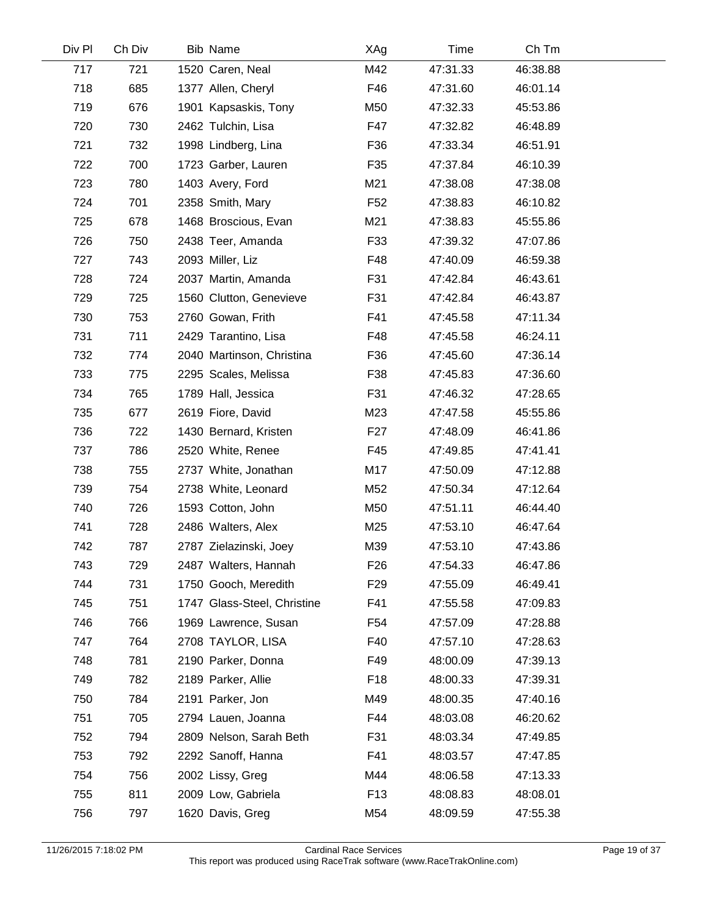| Div Pl | Ch Div | <b>Bib Name</b>             | XAg             | Time     | Ch Tm    |  |
|--------|--------|-----------------------------|-----------------|----------|----------|--|
| 717    | 721    | 1520 Caren, Neal            | M42             | 47:31.33 | 46:38.88 |  |
| 718    | 685    | 1377 Allen, Cheryl          | F46             | 47:31.60 | 46:01.14 |  |
| 719    | 676    | 1901 Kapsaskis, Tony        | M50             | 47:32.33 | 45:53.86 |  |
| 720    | 730    | 2462 Tulchin, Lisa          | F47             | 47:32.82 | 46:48.89 |  |
| 721    | 732    | 1998 Lindberg, Lina         | F36             | 47:33.34 | 46:51.91 |  |
| 722    | 700    | 1723 Garber, Lauren         | F35             | 47:37.84 | 46:10.39 |  |
| 723    | 780    | 1403 Avery, Ford            | M21             | 47:38.08 | 47:38.08 |  |
| 724    | 701    | 2358 Smith, Mary            | F <sub>52</sub> | 47:38.83 | 46:10.82 |  |
| 725    | 678    | 1468 Broscious, Evan        | M21             | 47:38.83 | 45:55.86 |  |
| 726    | 750    | 2438 Teer, Amanda           | F33             | 47:39.32 | 47:07.86 |  |
| 727    | 743    | 2093 Miller, Liz            | F48             | 47:40.09 | 46:59.38 |  |
| 728    | 724    | 2037 Martin, Amanda         | F31             | 47:42.84 | 46:43.61 |  |
| 729    | 725    | 1560 Clutton, Genevieve     | F31             | 47:42.84 | 46:43.87 |  |
| 730    | 753    | 2760 Gowan, Frith           | F41             | 47:45.58 | 47:11.34 |  |
| 731    | 711    | 2429 Tarantino, Lisa        | F48             | 47:45.58 | 46:24.11 |  |
| 732    | 774    | 2040 Martinson, Christina   | F36             | 47:45.60 | 47:36.14 |  |
| 733    | 775    | 2295 Scales, Melissa        | F38             | 47:45.83 | 47:36.60 |  |
| 734    | 765    | 1789 Hall, Jessica          | F31             | 47:46.32 | 47:28.65 |  |
| 735    | 677    | 2619 Fiore, David           | M23             | 47:47.58 | 45:55.86 |  |
| 736    | 722    | 1430 Bernard, Kristen       | F <sub>27</sub> | 47:48.09 | 46:41.86 |  |
| 737    | 786    | 2520 White, Renee           | F45             | 47:49.85 | 47:41.41 |  |
| 738    | 755    | 2737 White, Jonathan        | M17             | 47:50.09 | 47:12.88 |  |
| 739    | 754    | 2738 White, Leonard         | M52             | 47:50.34 | 47:12.64 |  |
| 740    | 726    | 1593 Cotton, John           | M50             | 47:51.11 | 46:44.40 |  |
| 741    | 728    | 2486 Walters, Alex          | M25             | 47:53.10 | 46:47.64 |  |
| 742    | 787    | 2787 Zielazinski, Joey      | M39             | 47:53.10 | 47:43.86 |  |
| 743    | 729    | 2487 Walters, Hannah        | F <sub>26</sub> | 47:54.33 | 46:47.86 |  |
| 744    | 731    | 1750 Gooch, Meredith        | F <sub>29</sub> | 47:55.09 | 46:49.41 |  |
| 745    | 751    | 1747 Glass-Steel, Christine | F41             | 47:55.58 | 47:09.83 |  |
| 746    | 766    | 1969 Lawrence, Susan        | F <sub>54</sub> | 47:57.09 | 47:28.88 |  |
| 747    | 764    | 2708 TAYLOR, LISA           | F40             | 47:57.10 | 47:28.63 |  |
| 748    | 781    | 2190 Parker, Donna          | F49             | 48:00.09 | 47:39.13 |  |
| 749    | 782    | 2189 Parker, Allie          | F <sub>18</sub> | 48:00.33 | 47:39.31 |  |
| 750    | 784    | 2191 Parker, Jon            | M49             | 48:00.35 | 47:40.16 |  |
| 751    | 705    | 2794 Lauen, Joanna          | F44             | 48:03.08 | 46:20.62 |  |
| 752    | 794    | 2809 Nelson, Sarah Beth     | F31             | 48:03.34 | 47:49.85 |  |
| 753    | 792    | 2292 Sanoff, Hanna          | F41             | 48:03.57 | 47:47.85 |  |
| 754    | 756    | 2002 Lissy, Greg            | M44             | 48:06.58 | 47:13.33 |  |
| 755    | 811    | 2009 Low, Gabriela          | F <sub>13</sub> | 48:08.83 | 48:08.01 |  |
| 756    | 797    | 1620 Davis, Greg            | M54             | 48:09.59 | 47:55.38 |  |

 $\overline{\phantom{a}}$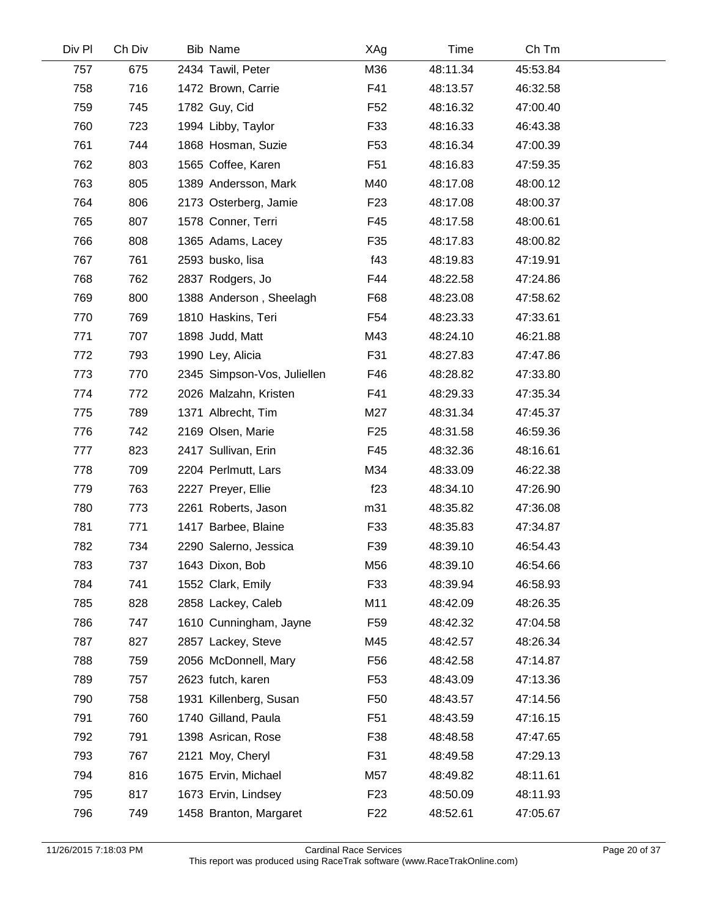| Div Pl | Ch Div | <b>Bib Name</b>             | XAg             | Time     | Ch Tm    |  |
|--------|--------|-----------------------------|-----------------|----------|----------|--|
| 757    | 675    | 2434 Tawil, Peter           | M36             | 48:11.34 | 45:53.84 |  |
| 758    | 716    | 1472 Brown, Carrie          | F41             | 48:13.57 | 46:32.58 |  |
| 759    | 745    | 1782 Guy, Cid               | F <sub>52</sub> | 48:16.32 | 47:00.40 |  |
| 760    | 723    | 1994 Libby, Taylor          | F33             | 48:16.33 | 46:43.38 |  |
| 761    | 744    | 1868 Hosman, Suzie          | F <sub>53</sub> | 48:16.34 | 47:00.39 |  |
| 762    | 803    | 1565 Coffee, Karen          | F <sub>51</sub> | 48:16.83 | 47:59.35 |  |
| 763    | 805    | 1389 Andersson, Mark        | M40             | 48:17.08 | 48:00.12 |  |
| 764    | 806    | 2173 Osterberg, Jamie       | F <sub>23</sub> | 48:17.08 | 48:00.37 |  |
| 765    | 807    | 1578 Conner, Terri          | F45             | 48:17.58 | 48:00.61 |  |
| 766    | 808    | 1365 Adams, Lacey           | F35             | 48:17.83 | 48:00.82 |  |
| 767    | 761    | 2593 busko, lisa            | f43             | 48:19.83 | 47:19.91 |  |
| 768    | 762    | 2837 Rodgers, Jo            | F44             | 48:22.58 | 47:24.86 |  |
| 769    | 800    | 1388 Anderson, Sheelagh     | F68             | 48:23.08 | 47:58.62 |  |
| 770    | 769    | 1810 Haskins, Teri          | F54             | 48:23.33 | 47:33.61 |  |
| 771    | 707    | 1898 Judd, Matt             | M43             | 48:24.10 | 46:21.88 |  |
| 772    | 793    | 1990 Ley, Alicia            | F31             | 48:27.83 | 47:47.86 |  |
| 773    | 770    | 2345 Simpson-Vos, Juliellen | F46             | 48:28.82 | 47:33.80 |  |
| 774    | 772    | 2026 Malzahn, Kristen       | F41             | 48:29.33 | 47:35.34 |  |
| 775    | 789    | 1371 Albrecht, Tim          | M27             | 48:31.34 | 47:45.37 |  |
| 776    | 742    | 2169 Olsen, Marie           | F <sub>25</sub> | 48:31.58 | 46:59.36 |  |
| 777    | 823    | 2417 Sullivan, Erin         | F45             | 48:32.36 | 48:16.61 |  |
| 778    | 709    | 2204 Perlmutt, Lars         | M34             | 48:33.09 | 46:22.38 |  |
| 779    | 763    | 2227 Preyer, Ellie          | f23             | 48:34.10 | 47:26.90 |  |
| 780    | 773    | 2261 Roberts, Jason         | m31             | 48:35.82 | 47:36.08 |  |
| 781    | 771    | 1417 Barbee, Blaine         | F33             | 48:35.83 | 47:34.87 |  |
| 782    | 734    | 2290 Salerno, Jessica       | F39             | 48:39.10 | 46:54.43 |  |
| 783    | 737    | 1643 Dixon, Bob             | M56             | 48:39.10 | 46:54.66 |  |
| 784    | 741    | 1552 Clark, Emily           | F33             | 48:39.94 | 46:58.93 |  |
| 785    | 828    | 2858 Lackey, Caleb          | M11             | 48:42.09 | 48:26.35 |  |
| 786    | 747    | 1610 Cunningham, Jayne      | F <sub>59</sub> | 48:42.32 | 47:04.58 |  |
| 787    | 827    | 2857 Lackey, Steve          | M45             | 48:42.57 | 48:26.34 |  |
| 788    | 759    | 2056 McDonnell, Mary        | F <sub>56</sub> | 48:42.58 | 47:14.87 |  |
| 789    | 757    | 2623 futch, karen           | F <sub>53</sub> | 48:43.09 | 47:13.36 |  |
| 790    | 758    | 1931 Killenberg, Susan      | F50             | 48:43.57 | 47:14.56 |  |
| 791    | 760    | 1740 Gilland, Paula         | F <sub>51</sub> | 48:43.59 | 47:16.15 |  |
| 792    | 791    | 1398 Asrican, Rose          | F38             | 48:48.58 | 47:47.65 |  |
| 793    | 767    | 2121 Moy, Cheryl            | F31             | 48:49.58 | 47:29.13 |  |
| 794    | 816    | 1675 Ervin, Michael         | M57             | 48:49.82 | 48:11.61 |  |
| 795    | 817    | 1673 Ervin, Lindsey         | F <sub>23</sub> | 48:50.09 | 48:11.93 |  |
| 796    | 749    | 1458 Branton, Margaret      | F <sub>22</sub> | 48:52.61 | 47:05.67 |  |
|        |        |                             |                 |          |          |  |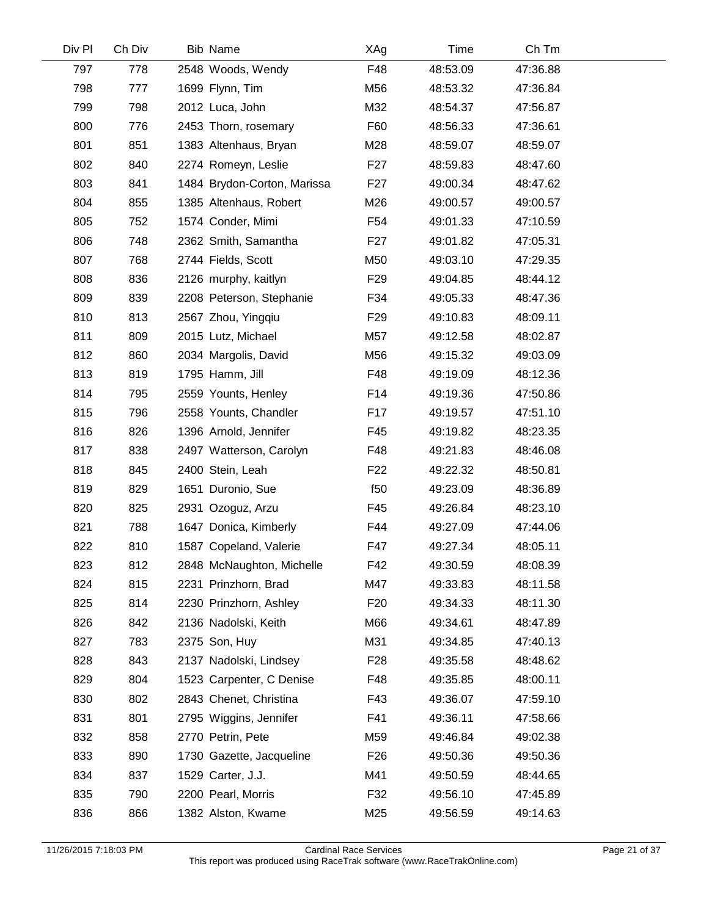| Div Pl | Ch Div | Bib Name                    | XAg             | Time     | Ch Tm    |  |
|--------|--------|-----------------------------|-----------------|----------|----------|--|
| 797    | 778    | 2548 Woods, Wendy           | F48             | 48:53.09 | 47:36.88 |  |
| 798    | 777    | 1699 Flynn, Tim             | M56             | 48:53.32 | 47:36.84 |  |
| 799    | 798    | 2012 Luca, John             | M32             | 48:54.37 | 47:56.87 |  |
| 800    | 776    | 2453 Thorn, rosemary        | F60             | 48:56.33 | 47:36.61 |  |
| 801    | 851    | 1383 Altenhaus, Bryan       | M28             | 48:59.07 | 48:59.07 |  |
| 802    | 840    | 2274 Romeyn, Leslie         | F <sub>27</sub> | 48:59.83 | 48:47.60 |  |
| 803    | 841    | 1484 Brydon-Corton, Marissa | F <sub>27</sub> | 49:00.34 | 48:47.62 |  |
| 804    | 855    | 1385 Altenhaus, Robert      | M26             | 49:00.57 | 49:00.57 |  |
| 805    | 752    | 1574 Conder, Mimi           | F54             | 49:01.33 | 47:10.59 |  |
| 806    | 748    | 2362 Smith, Samantha        | F <sub>27</sub> | 49:01.82 | 47:05.31 |  |
| 807    | 768    | 2744 Fields, Scott          | M50             | 49:03.10 | 47:29.35 |  |
| 808    | 836    | 2126 murphy, kaitlyn        | F <sub>29</sub> | 49:04.85 | 48:44.12 |  |
| 809    | 839    | 2208 Peterson, Stephanie    | F34             | 49:05.33 | 48:47.36 |  |
| 810    | 813    | 2567 Zhou, Yingqiu          | F <sub>29</sub> | 49:10.83 | 48:09.11 |  |
| 811    | 809    | 2015 Lutz, Michael          | M57             | 49:12.58 | 48:02.87 |  |
| 812    | 860    | 2034 Margolis, David        | M56             | 49:15.32 | 49:03.09 |  |
| 813    | 819    | 1795 Hamm, Jill             | F48             | 49:19.09 | 48:12.36 |  |
| 814    | 795    | 2559 Younts, Henley         | F14             | 49:19.36 | 47:50.86 |  |
| 815    | 796    | 2558 Younts, Chandler       | F <sub>17</sub> | 49:19.57 | 47:51.10 |  |
| 816    | 826    | 1396 Arnold, Jennifer       | F45             | 49:19.82 | 48:23.35 |  |
| 817    | 838    | 2497 Watterson, Carolyn     | F48             | 49:21.83 | 48:46.08 |  |
| 818    | 845    | 2400 Stein, Leah            | F <sub>22</sub> | 49:22.32 | 48:50.81 |  |
| 819    | 829    | 1651 Duronio, Sue           | f50             | 49:23.09 | 48:36.89 |  |
| 820    | 825    | 2931 Ozoguz, Arzu           | F45             | 49:26.84 | 48:23.10 |  |
| 821    | 788    | 1647 Donica, Kimberly       | F44             | 49:27.09 | 47:44.06 |  |
| 822    | 810    | 1587 Copeland, Valerie      | F47             | 49:27.34 | 48:05.11 |  |
| 823    | 812    | 2848 McNaughton, Michelle   | F42             | 49:30.59 | 48:08.39 |  |
| 824    | 815    | 2231 Prinzhorn, Brad        | M47             | 49:33.83 | 48:11.58 |  |
| 825    | 814    | 2230 Prinzhorn, Ashley      | F <sub>20</sub> | 49:34.33 | 48:11.30 |  |
| 826    | 842    | 2136 Nadolski, Keith        | M66             | 49:34.61 | 48:47.89 |  |
| 827    | 783    | 2375 Son, Huy               | M31             | 49:34.85 | 47:40.13 |  |
| 828    | 843    | 2137 Nadolski, Lindsey      | F <sub>28</sub> | 49:35.58 | 48:48.62 |  |
| 829    | 804    | 1523 Carpenter, C Denise    | F48             | 49:35.85 | 48:00.11 |  |
| 830    | 802    | 2843 Chenet, Christina      | F43             | 49:36.07 | 47:59.10 |  |
| 831    | 801    | 2795 Wiggins, Jennifer      | F41             | 49:36.11 | 47:58.66 |  |
| 832    | 858    | 2770 Petrin, Pete           | M59             | 49:46.84 | 49:02.38 |  |
| 833    | 890    | 1730 Gazette, Jacqueline    | F <sub>26</sub> | 49:50.36 | 49:50.36 |  |
| 834    | 837    | 1529 Carter, J.J.           | M41             | 49:50.59 | 48:44.65 |  |
| 835    | 790    | 2200 Pearl, Morris          | F32             | 49:56.10 | 47:45.89 |  |
| 836    | 866    | 1382 Alston, Kwame          | M25             | 49:56.59 | 49:14.63 |  |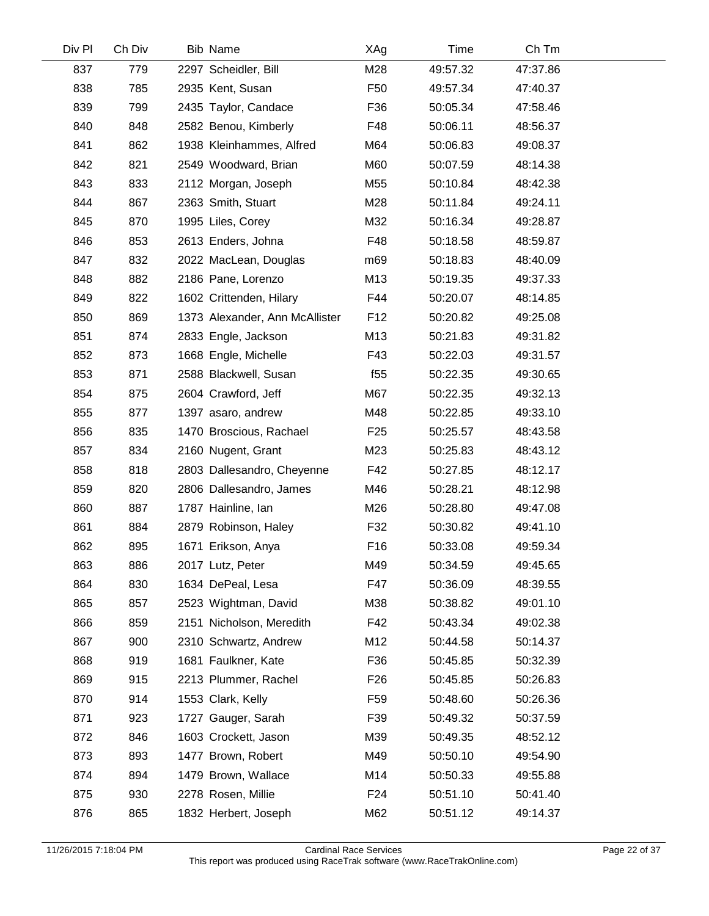| Div Pl | Ch Div | <b>Bib Name</b>                | XAg             | Time     | Ch Tm    |  |
|--------|--------|--------------------------------|-----------------|----------|----------|--|
| 837    | 779    | 2297 Scheidler, Bill           | M28             | 49:57.32 | 47:37.86 |  |
| 838    | 785    | 2935 Kent, Susan               | F <sub>50</sub> | 49:57.34 | 47:40.37 |  |
| 839    | 799    | 2435 Taylor, Candace           | F36             | 50:05.34 | 47:58.46 |  |
| 840    | 848    | 2582 Benou, Kimberly           | F48             | 50:06.11 | 48:56.37 |  |
| 841    | 862    | 1938 Kleinhammes, Alfred       | M64             | 50:06.83 | 49:08.37 |  |
| 842    | 821    | 2549 Woodward, Brian           | M60             | 50:07.59 | 48:14.38 |  |
| 843    | 833    | 2112 Morgan, Joseph            | M55             | 50:10.84 | 48:42.38 |  |
| 844    | 867    | 2363 Smith, Stuart             | M28             | 50:11.84 | 49:24.11 |  |
| 845    | 870    | 1995 Liles, Corey              | M32             | 50:16.34 | 49:28.87 |  |
| 846    | 853    | 2613 Enders, Johna             | F48             | 50:18.58 | 48:59.87 |  |
| 847    | 832    | 2022 MacLean, Douglas          | m69             | 50:18.83 | 48:40.09 |  |
| 848    | 882    | 2186 Pane, Lorenzo             | M13             | 50:19.35 | 49:37.33 |  |
| 849    | 822    | 1602 Crittenden, Hilary        | F44             | 50:20.07 | 48:14.85 |  |
| 850    | 869    | 1373 Alexander, Ann McAllister | F <sub>12</sub> | 50:20.82 | 49:25.08 |  |
| 851    | 874    | 2833 Engle, Jackson            | M13             | 50:21.83 | 49:31.82 |  |
| 852    | 873    | 1668 Engle, Michelle           | F43             | 50:22.03 | 49:31.57 |  |
| 853    | 871    | 2588 Blackwell, Susan          | f55             | 50:22.35 | 49:30.65 |  |
| 854    | 875    | 2604 Crawford, Jeff            | M67             | 50:22.35 | 49:32.13 |  |
| 855    | 877    | 1397 asaro, andrew             | M48             | 50:22.85 | 49:33.10 |  |
| 856    | 835    | 1470 Broscious, Rachael        | F <sub>25</sub> | 50:25.57 | 48:43.58 |  |
| 857    | 834    | 2160 Nugent, Grant             | M23             | 50:25.83 | 48:43.12 |  |
| 858    | 818    | 2803 Dallesandro, Cheyenne     | F42             | 50:27.85 | 48:12.17 |  |
| 859    | 820    | 2806 Dallesandro, James        | M46             | 50:28.21 | 48:12.98 |  |
| 860    | 887    | 1787 Hainline, Ian             | M26             | 50:28.80 | 49:47.08 |  |
| 861    | 884    | 2879 Robinson, Haley           | F32             | 50:30.82 | 49:41.10 |  |
| 862    | 895    | 1671 Erikson, Anya             | F <sub>16</sub> | 50:33.08 | 49:59.34 |  |
| 863    | 886    | 2017 Lutz, Peter               | M49             | 50:34.59 | 49:45.65 |  |
| 864    | 830    | 1634 DePeal, Lesa              | F47             | 50:36.09 | 48:39.55 |  |
| 865    | 857    | 2523 Wightman, David           | M38             | 50:38.82 | 49:01.10 |  |
| 866    | 859    | 2151 Nicholson, Meredith       | F42             | 50:43.34 | 49:02.38 |  |
| 867    | 900    | 2310 Schwartz, Andrew          | M12             | 50:44.58 | 50:14.37 |  |
| 868    | 919    | 1681 Faulkner, Kate            | F36             | 50:45.85 | 50:32.39 |  |
| 869    | 915    | 2213 Plummer, Rachel           | F <sub>26</sub> | 50:45.85 | 50:26.83 |  |
| 870    | 914    | 1553 Clark, Kelly              | F59             | 50:48.60 | 50:26.36 |  |
| 871    | 923    | 1727 Gauger, Sarah             | F39             | 50:49.32 | 50:37.59 |  |
| 872    | 846    | 1603 Crockett, Jason           | M39             | 50:49.35 | 48:52.12 |  |
| 873    | 893    | 1477 Brown, Robert             | M49             | 50:50.10 | 49:54.90 |  |
| 874    | 894    | 1479 Brown, Wallace            | M14             | 50:50.33 | 49:55.88 |  |
| 875    | 930    | 2278 Rosen, Millie             | F <sub>24</sub> | 50:51.10 | 50:41.40 |  |
| 876    | 865    | 1832 Herbert, Joseph           | M62             | 50:51.12 | 49:14.37 |  |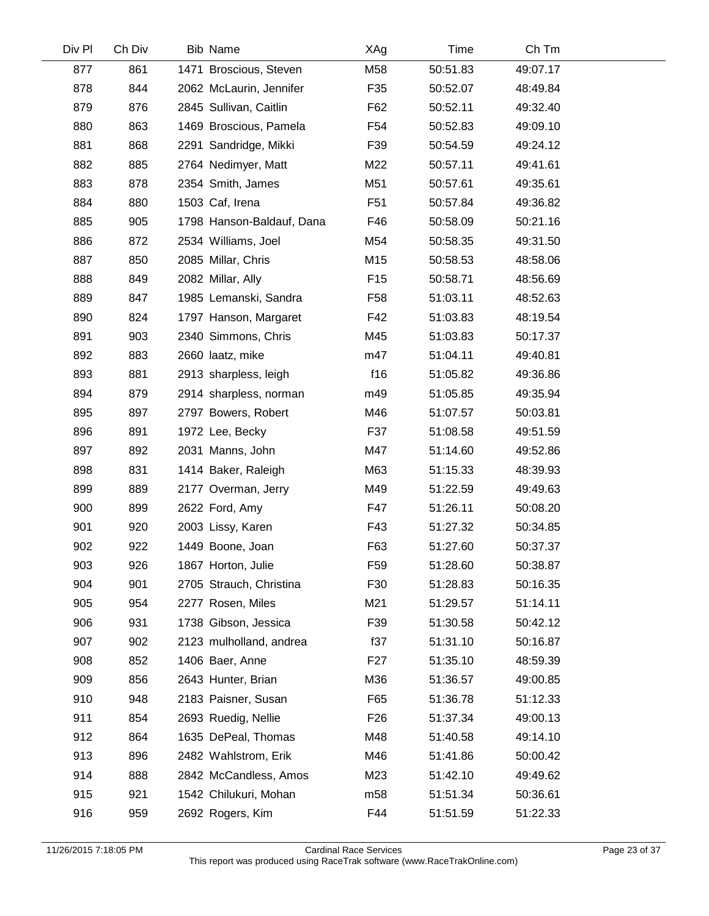| Div Pl | Ch Div | Bib Name                  | XAg             | Time     | Ch Tm    |  |
|--------|--------|---------------------------|-----------------|----------|----------|--|
| 877    | 861    | 1471 Broscious, Steven    | M58             | 50:51.83 | 49:07.17 |  |
| 878    | 844    | 2062 McLaurin, Jennifer   | F35             | 50:52.07 | 48:49.84 |  |
| 879    | 876    | 2845 Sullivan, Caitlin    | F62             | 50:52.11 | 49:32.40 |  |
| 880    | 863    | 1469 Broscious, Pamela    | F <sub>54</sub> | 50:52.83 | 49:09.10 |  |
| 881    | 868    | 2291 Sandridge, Mikki     | F39             | 50:54.59 | 49:24.12 |  |
| 882    | 885    | 2764 Nedimyer, Matt       | M22             | 50:57.11 | 49:41.61 |  |
| 883    | 878    | 2354 Smith, James         | M51             | 50:57.61 | 49:35.61 |  |
| 884    | 880    | 1503 Caf, Irena           | F <sub>51</sub> | 50:57.84 | 49:36.82 |  |
| 885    | 905    | 1798 Hanson-Baldauf, Dana | F46             | 50:58.09 | 50:21.16 |  |
| 886    | 872    | 2534 Williams, Joel       | M54             | 50:58.35 | 49:31.50 |  |
| 887    | 850    | 2085 Millar, Chris        | M15             | 50:58.53 | 48:58.06 |  |
| 888    | 849    | 2082 Millar, Ally         | F <sub>15</sub> | 50:58.71 | 48:56.69 |  |
| 889    | 847    | 1985 Lemanski, Sandra     | F <sub>58</sub> | 51:03.11 | 48:52.63 |  |
| 890    | 824    | 1797 Hanson, Margaret     | F42             | 51:03.83 | 48:19.54 |  |
| 891    | 903    | 2340 Simmons, Chris       | M45             | 51:03.83 | 50:17.37 |  |
| 892    | 883    | 2660 laatz, mike          | m47             | 51:04.11 | 49:40.81 |  |
| 893    | 881    | 2913 sharpless, leigh     | f16             | 51:05.82 | 49:36.86 |  |
| 894    | 879    | 2914 sharpless, norman    | m49             | 51:05.85 | 49:35.94 |  |
| 895    | 897    | 2797 Bowers, Robert       | M46             | 51:07.57 | 50:03.81 |  |
| 896    | 891    | 1972 Lee, Becky           | F37             | 51:08.58 | 49:51.59 |  |
| 897    | 892    | 2031 Manns, John          | M47             | 51:14.60 | 49:52.86 |  |
| 898    | 831    | 1414 Baker, Raleigh       | M63             | 51:15.33 | 48:39.93 |  |
| 899    | 889    | 2177 Overman, Jerry       | M49             | 51:22.59 | 49:49.63 |  |
| 900    | 899    | 2622 Ford, Amy            | F47             | 51:26.11 | 50:08.20 |  |
| 901    | 920    | 2003 Lissy, Karen         | F43             | 51:27.32 | 50:34.85 |  |
| 902    | 922    | 1449 Boone, Joan          | F63             | 51:27.60 | 50:37.37 |  |
| 903    | 926    | 1867 Horton, Julie        | F <sub>59</sub> | 51:28.60 | 50:38.87 |  |
| 904    | 901    | 2705 Strauch, Christina   | F30             | 51:28.83 | 50:16.35 |  |
| 905    | 954    | 2277 Rosen, Miles         | M21             | 51:29.57 | 51:14.11 |  |
| 906    | 931    | 1738 Gibson, Jessica      | F39             | 51:30.58 | 50:42.12 |  |
| 907    | 902    | 2123 mulholland, andrea   | f37             | 51:31.10 | 50:16.87 |  |
| 908    | 852    | 1406 Baer, Anne           | F <sub>27</sub> | 51:35.10 | 48:59.39 |  |
| 909    | 856    | 2643 Hunter, Brian        | M36             | 51:36.57 | 49:00.85 |  |
| 910    | 948    | 2183 Paisner, Susan       | F65             | 51:36.78 | 51:12.33 |  |
| 911    | 854    | 2693 Ruedig, Nellie       | F <sub>26</sub> | 51:37.34 | 49:00.13 |  |
| 912    | 864    | 1635 DePeal, Thomas       | M48             | 51:40.58 | 49:14.10 |  |
| 913    | 896    | 2482 Wahlstrom, Erik      | M46             | 51:41.86 | 50:00.42 |  |
| 914    | 888    | 2842 McCandless, Amos     | M23             | 51:42.10 | 49:49.62 |  |
| 915    | 921    | 1542 Chilukuri, Mohan     | m <sub>58</sub> | 51:51.34 | 50:36.61 |  |
| 916    | 959    | 2692 Rogers, Kim          | F44             | 51:51.59 | 51:22.33 |  |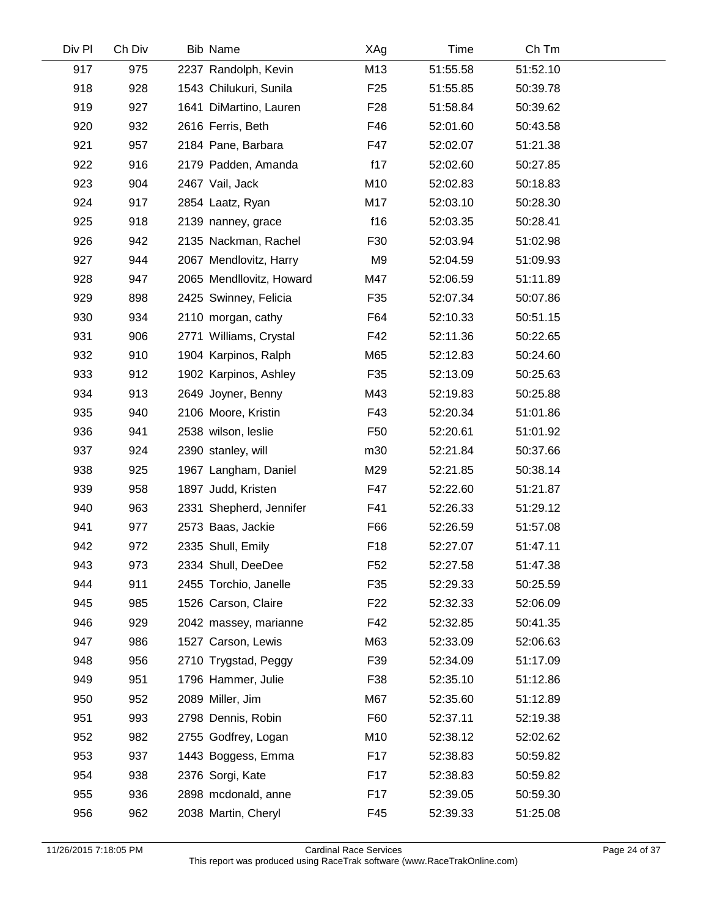| Div Pl | Ch Div | Bib Name                 | XAg             | Time     | Ch Tm    |  |
|--------|--------|--------------------------|-----------------|----------|----------|--|
| 917    | 975    | 2237 Randolph, Kevin     | M13             | 51:55.58 | 51:52.10 |  |
| 918    | 928    | 1543 Chilukuri, Sunila   | F <sub>25</sub> | 51:55.85 | 50:39.78 |  |
| 919    | 927    | 1641 DiMartino, Lauren   | F <sub>28</sub> | 51:58.84 | 50:39.62 |  |
| 920    | 932    | 2616 Ferris, Beth        | F46             | 52:01.60 | 50:43.58 |  |
| 921    | 957    | 2184 Pane, Barbara       | F47             | 52:02.07 | 51:21.38 |  |
| 922    | 916    | 2179 Padden, Amanda      | f17             | 52:02.60 | 50:27.85 |  |
| 923    | 904    | 2467 Vail, Jack          | M10             | 52:02.83 | 50:18.83 |  |
| 924    | 917    | 2854 Laatz, Ryan         | M17             | 52:03.10 | 50:28.30 |  |
| 925    | 918    | 2139 nanney, grace       | f16             | 52:03.35 | 50:28.41 |  |
| 926    | 942    | 2135 Nackman, Rachel     | F30             | 52:03.94 | 51:02.98 |  |
| 927    | 944    | 2067 Mendlovitz, Harry   | M9              | 52:04.59 | 51:09.93 |  |
| 928    | 947    | 2065 Mendllovitz, Howard | M47             | 52:06.59 | 51:11.89 |  |
| 929    | 898    | 2425 Swinney, Felicia    | F35             | 52:07.34 | 50:07.86 |  |
| 930    | 934    | 2110 morgan, cathy       | F64             | 52:10.33 | 50:51.15 |  |
| 931    | 906    | 2771 Williams, Crystal   | F42             | 52:11.36 | 50:22.65 |  |
| 932    | 910    | 1904 Karpinos, Ralph     | M65             | 52:12.83 | 50:24.60 |  |
| 933    | 912    | 1902 Karpinos, Ashley    | F35             | 52:13.09 | 50:25.63 |  |
| 934    | 913    | 2649 Joyner, Benny       | M43             | 52:19.83 | 50:25.88 |  |
| 935    | 940    | 2106 Moore, Kristin      | F43             | 52:20.34 | 51:01.86 |  |
| 936    | 941    | 2538 wilson, leslie      | F <sub>50</sub> | 52:20.61 | 51:01.92 |  |
| 937    | 924    | 2390 stanley, will       | m30             | 52:21.84 | 50:37.66 |  |
| 938    | 925    | 1967 Langham, Daniel     | M29             | 52:21.85 | 50:38.14 |  |
| 939    | 958    | 1897 Judd, Kristen       | F47             | 52:22.60 | 51:21.87 |  |
| 940    | 963    | 2331 Shepherd, Jennifer  | F41             | 52:26.33 | 51:29.12 |  |
| 941    | 977    | 2573 Baas, Jackie        | F66             | 52:26.59 | 51:57.08 |  |
| 942    | 972    | 2335 Shull, Emily        | F18             | 52:27.07 | 51:47.11 |  |
| 943    | 973    | 2334 Shull, DeeDee       | F <sub>52</sub> | 52:27.58 | 51:47.38 |  |
| 944    | 911    | 2455 Torchio, Janelle    | F35             | 52:29.33 | 50:25.59 |  |
| 945    | 985    | 1526 Carson, Claire      | F <sub>22</sub> | 52:32.33 | 52:06.09 |  |
| 946    | 929    | 2042 massey, marianne    | F42             | 52:32.85 | 50:41.35 |  |
| 947    | 986    | 1527 Carson, Lewis       | M63             | 52:33.09 | 52:06.63 |  |
| 948    | 956    | 2710 Trygstad, Peggy     | F39             | 52:34.09 | 51:17.09 |  |
| 949    | 951    | 1796 Hammer, Julie       | F38             | 52:35.10 | 51:12.86 |  |
| 950    | 952    | 2089 Miller, Jim         | M67             | 52:35.60 | 51:12.89 |  |
| 951    | 993    | 2798 Dennis, Robin       | F60             | 52:37.11 | 52:19.38 |  |
| 952    | 982    | 2755 Godfrey, Logan      | M10             | 52:38.12 | 52:02.62 |  |
| 953    | 937    | 1443 Boggess, Emma       | F17             | 52:38.83 | 50:59.82 |  |
| 954    | 938    | 2376 Sorgi, Kate         | F17             | 52:38.83 | 50:59.82 |  |
| 955    | 936    | 2898 mcdonald, anne      | F17             | 52:39.05 | 50:59.30 |  |
| 956    | 962    | 2038 Martin, Cheryl      | F45             | 52:39.33 | 51:25.08 |  |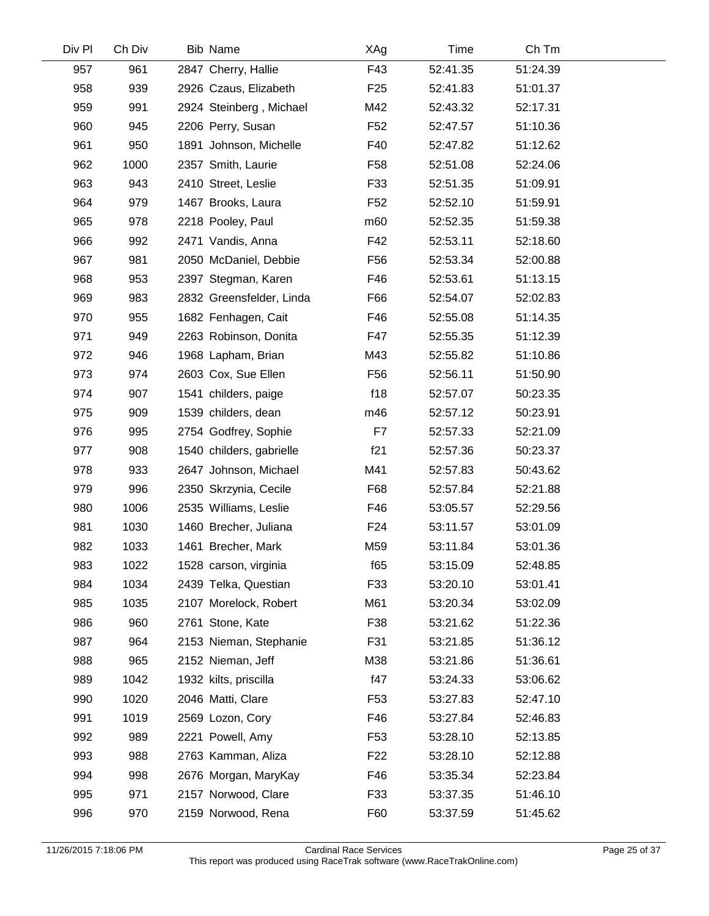| Div Pl | Ch Div | Bib Name                 | XAg             | Time     | Ch Tm    |  |
|--------|--------|--------------------------|-----------------|----------|----------|--|
| 957    | 961    | 2847 Cherry, Hallie      | F43             | 52:41.35 | 51:24.39 |  |
| 958    | 939    | 2926 Czaus, Elizabeth    | F <sub>25</sub> | 52:41.83 | 51:01.37 |  |
| 959    | 991    | 2924 Steinberg, Michael  | M42             | 52:43.32 | 52:17.31 |  |
| 960    | 945    | 2206 Perry, Susan        | F <sub>52</sub> | 52:47.57 | 51:10.36 |  |
| 961    | 950    | 1891 Johnson, Michelle   | F40             | 52:47.82 | 51:12.62 |  |
| 962    | 1000   | 2357 Smith, Laurie       | F58             | 52:51.08 | 52:24.06 |  |
| 963    | 943    | 2410 Street, Leslie      | F33             | 52:51.35 | 51:09.91 |  |
| 964    | 979    | 1467 Brooks, Laura       | F <sub>52</sub> | 52:52.10 | 51:59.91 |  |
| 965    | 978    | 2218 Pooley, Paul        | m60             | 52:52.35 | 51:59.38 |  |
| 966    | 992    | 2471 Vandis, Anna        | F42             | 52:53.11 | 52:18.60 |  |
| 967    | 981    | 2050 McDaniel, Debbie    | F <sub>56</sub> | 52:53.34 | 52:00.88 |  |
| 968    | 953    | 2397 Stegman, Karen      | F46             | 52:53.61 | 51:13.15 |  |
| 969    | 983    | 2832 Greensfelder, Linda | F66             | 52:54.07 | 52:02.83 |  |
| 970    | 955    | 1682 Fenhagen, Cait      | F46             | 52:55.08 | 51:14.35 |  |
| 971    | 949    | 2263 Robinson, Donita    | F47             | 52:55.35 | 51:12.39 |  |
| 972    | 946    | 1968 Lapham, Brian       | M43             | 52:55.82 | 51:10.86 |  |
| 973    | 974    | 2603 Cox, Sue Ellen      | F <sub>56</sub> | 52:56.11 | 51:50.90 |  |
| 974    | 907    | 1541 childers, paige     | f18             | 52:57.07 | 50:23.35 |  |
| 975    | 909    | 1539 childers, dean      | m46             | 52:57.12 | 50:23.91 |  |
| 976    | 995    | 2754 Godfrey, Sophie     | F7              | 52:57.33 | 52:21.09 |  |
| 977    | 908    | 1540 childers, gabrielle | f21             | 52:57.36 | 50:23.37 |  |
| 978    | 933    | 2647 Johnson, Michael    | M41             | 52:57.83 | 50:43.62 |  |
| 979    | 996    | 2350 Skrzynia, Cecile    | F68             | 52:57.84 | 52:21.88 |  |
| 980    | 1006   | 2535 Williams, Leslie    | F46             | 53:05.57 | 52:29.56 |  |
| 981    | 1030   | 1460 Brecher, Juliana    | F24             | 53:11.57 | 53:01.09 |  |
| 982    | 1033   | 1461 Brecher, Mark       | M59             | 53:11.84 | 53:01.36 |  |
| 983    | 1022   | 1528 carson, virginia    | f65             | 53:15.09 | 52:48.85 |  |
| 984    | 1034   | 2439 Telka, Questian     | F33             | 53:20.10 | 53:01.41 |  |
| 985    | 1035   | 2107 Morelock, Robert    | M61             | 53:20.34 | 53:02.09 |  |
| 986    | 960    | 2761 Stone, Kate         | F38             | 53:21.62 | 51:22.36 |  |
| 987    | 964    | 2153 Nieman, Stephanie   | F31             | 53:21.85 | 51:36.12 |  |
| 988    | 965    | 2152 Nieman, Jeff        | M38             | 53:21.86 | 51:36.61 |  |
| 989    | 1042   | 1932 kilts, priscilla    | f47             | 53:24.33 | 53:06.62 |  |
| 990    | 1020   | 2046 Matti, Clare        | F <sub>53</sub> | 53:27.83 | 52:47.10 |  |
| 991    | 1019   | 2569 Lozon, Cory         | F46             | 53:27.84 | 52:46.83 |  |
| 992    | 989    | 2221 Powell, Amy         | F <sub>53</sub> | 53:28.10 | 52:13.85 |  |
| 993    | 988    | 2763 Kamman, Aliza       | F <sub>22</sub> | 53:28.10 | 52:12.88 |  |
| 994    | 998    | 2676 Morgan, MaryKay     | F46             | 53:35.34 | 52:23.84 |  |
| 995    | 971    | 2157 Norwood, Clare      | F33             | 53:37.35 | 51:46.10 |  |
| 996    | 970    | 2159 Norwood, Rena       | F60             | 53:37.59 | 51:45.62 |  |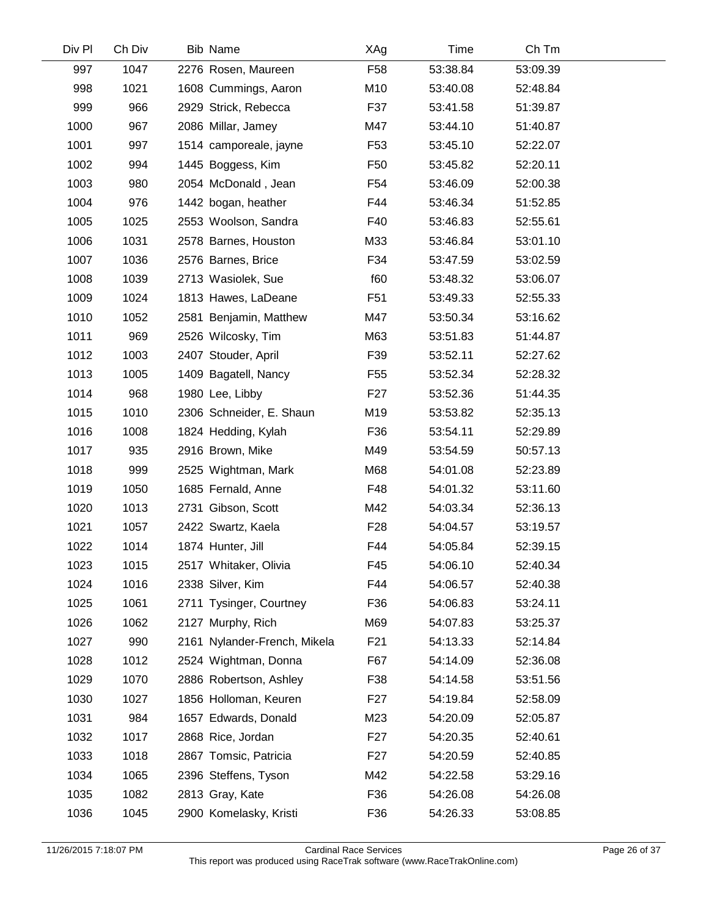| Div Pl | Ch Div | <b>Bib Name</b>              | XAg             | Time     | Ch Tm    |  |
|--------|--------|------------------------------|-----------------|----------|----------|--|
| 997    | 1047   | 2276 Rosen, Maureen          | F <sub>58</sub> | 53:38.84 | 53:09.39 |  |
| 998    | 1021   | 1608 Cummings, Aaron         | M10             | 53:40.08 | 52:48.84 |  |
| 999    | 966    | 2929 Strick, Rebecca         | F37             | 53:41.58 | 51:39.87 |  |
| 1000   | 967    | 2086 Millar, Jamey           | M47             | 53:44.10 | 51:40.87 |  |
| 1001   | 997    | 1514 camporeale, jayne       | F <sub>53</sub> | 53:45.10 | 52:22.07 |  |
| 1002   | 994    | 1445 Boggess, Kim            | F <sub>50</sub> | 53:45.82 | 52:20.11 |  |
| 1003   | 980    | 2054 McDonald, Jean          | F <sub>54</sub> | 53:46.09 | 52:00.38 |  |
| 1004   | 976    | 1442 bogan, heather          | F44             | 53:46.34 | 51:52.85 |  |
| 1005   | 1025   | 2553 Woolson, Sandra         | F40             | 53:46.83 | 52:55.61 |  |
| 1006   | 1031   | 2578 Barnes, Houston         | M33             | 53:46.84 | 53:01.10 |  |
| 1007   | 1036   | 2576 Barnes, Brice           | F34             | 53:47.59 | 53:02.59 |  |
| 1008   | 1039   | 2713 Wasiolek, Sue           | f60             | 53:48.32 | 53:06.07 |  |
| 1009   | 1024   | 1813 Hawes, LaDeane          | F <sub>51</sub> | 53:49.33 | 52:55.33 |  |
| 1010   | 1052   | 2581 Benjamin, Matthew       | M47             | 53:50.34 | 53:16.62 |  |
| 1011   | 969    | 2526 Wilcosky, Tim           | M63             | 53:51.83 | 51:44.87 |  |
| 1012   | 1003   | 2407 Stouder, April          | F39             | 53:52.11 | 52:27.62 |  |
| 1013   | 1005   | 1409 Bagatell, Nancy         | F55             | 53:52.34 | 52:28.32 |  |
| 1014   | 968    | 1980 Lee, Libby              | F <sub>27</sub> | 53:52.36 | 51:44.35 |  |
| 1015   | 1010   | 2306 Schneider, E. Shaun     | M19             | 53:53.82 | 52:35.13 |  |
| 1016   | 1008   | 1824 Hedding, Kylah          | F36             | 53:54.11 | 52:29.89 |  |
| 1017   | 935    | 2916 Brown, Mike             | M49             | 53:54.59 | 50:57.13 |  |
| 1018   | 999    | 2525 Wightman, Mark          | M68             | 54:01.08 | 52:23.89 |  |
| 1019   | 1050   | 1685 Fernald, Anne           | F48             | 54:01.32 | 53:11.60 |  |
| 1020   | 1013   | 2731 Gibson, Scott           | M42             | 54:03.34 | 52:36.13 |  |
| 1021   | 1057   | 2422 Swartz, Kaela           | F <sub>28</sub> | 54:04.57 | 53:19.57 |  |
| 1022   | 1014   | 1874 Hunter, Jill            | F44             | 54:05.84 | 52:39.15 |  |
| 1023   | 1015   | 2517 Whitaker, Olivia        | F45             | 54:06.10 | 52:40.34 |  |
| 1024   | 1016   | 2338 Silver, Kim             | F44             | 54:06.57 | 52:40.38 |  |
| 1025   | 1061   | 2711 Tysinger, Courtney      | F36             | 54:06.83 | 53:24.11 |  |
| 1026   | 1062   | 2127 Murphy, Rich            | M69             | 54:07.83 | 53:25.37 |  |
| 1027   | 990    | 2161 Nylander-French, Mikela | F21             | 54:13.33 | 52:14.84 |  |
| 1028   | 1012   | 2524 Wightman, Donna         | F67             | 54:14.09 | 52:36.08 |  |
| 1029   | 1070   | 2886 Robertson, Ashley       | F38             | 54:14.58 | 53:51.56 |  |
| 1030   | 1027   | 1856 Holloman, Keuren        | F <sub>27</sub> | 54:19.84 | 52:58.09 |  |
| 1031   | 984    | 1657 Edwards, Donald         | M23             | 54:20.09 | 52:05.87 |  |
| 1032   | 1017   | 2868 Rice, Jordan            | F <sub>27</sub> | 54:20.35 | 52:40.61 |  |
| 1033   | 1018   | 2867 Tomsic, Patricia        | F27             | 54:20.59 | 52:40.85 |  |
| 1034   | 1065   | 2396 Steffens, Tyson         | M42             | 54:22.58 | 53:29.16 |  |
| 1035   | 1082   | 2813 Gray, Kate              | F36             | 54:26.08 | 54:26.08 |  |
| 1036   | 1045   | 2900 Komelasky, Kristi       | F36             | 54:26.33 | 53:08.85 |  |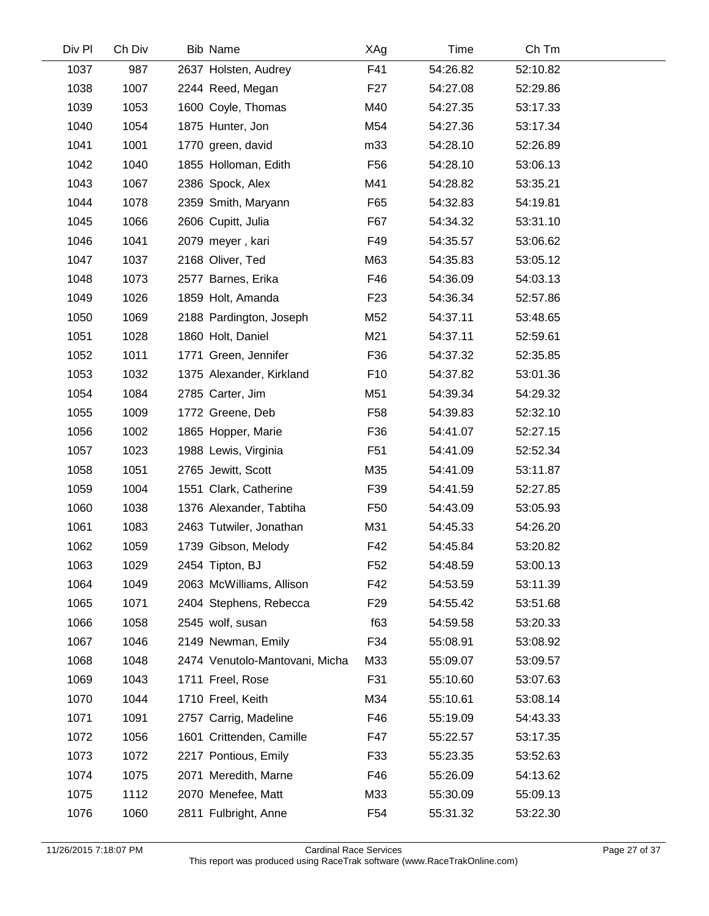| Div Pl | Ch Div | Bib Name                       | XAg             | Time     | Ch Tm    |  |
|--------|--------|--------------------------------|-----------------|----------|----------|--|
| 1037   | 987    | 2637 Holsten, Audrey           | F41             | 54:26.82 | 52:10.82 |  |
| 1038   | 1007   | 2244 Reed, Megan               | F <sub>27</sub> | 54:27.08 | 52:29.86 |  |
| 1039   | 1053   | 1600 Coyle, Thomas             | M40             | 54:27.35 | 53:17.33 |  |
| 1040   | 1054   | 1875 Hunter, Jon               | M54             | 54:27.36 | 53:17.34 |  |
| 1041   | 1001   | 1770 green, david              | m33             | 54:28.10 | 52:26.89 |  |
| 1042   | 1040   | 1855 Holloman, Edith           | F <sub>56</sub> | 54:28.10 | 53:06.13 |  |
| 1043   | 1067   | 2386 Spock, Alex               | M41             | 54:28.82 | 53:35.21 |  |
| 1044   | 1078   | 2359 Smith, Maryann            | F65             | 54:32.83 | 54:19.81 |  |
| 1045   | 1066   | 2606 Cupitt, Julia             | F67             | 54:34.32 | 53:31.10 |  |
| 1046   | 1041   | 2079 meyer, kari               | F49             | 54:35.57 | 53:06.62 |  |
| 1047   | 1037   | 2168 Oliver, Ted               | M63             | 54:35.83 | 53:05.12 |  |
| 1048   | 1073   | 2577 Barnes, Erika             | F46             | 54:36.09 | 54:03.13 |  |
| 1049   | 1026   | 1859 Holt, Amanda              | F <sub>23</sub> | 54:36.34 | 52:57.86 |  |
| 1050   | 1069   | 2188 Pardington, Joseph        | M52             | 54:37.11 | 53:48.65 |  |
| 1051   | 1028   | 1860 Holt, Daniel              | M21             | 54:37.11 | 52:59.61 |  |
| 1052   | 1011   | 1771 Green, Jennifer           | F36             | 54:37.32 | 52:35.85 |  |
| 1053   | 1032   | 1375 Alexander, Kirkland       | F <sub>10</sub> | 54:37.82 | 53:01.36 |  |
| 1054   | 1084   | 2785 Carter, Jim               | M51             | 54:39.34 | 54:29.32 |  |
| 1055   | 1009   | 1772 Greene, Deb               | F <sub>58</sub> | 54:39.83 | 52:32.10 |  |
| 1056   | 1002   | 1865 Hopper, Marie             | F36             | 54:41.07 | 52:27.15 |  |
| 1057   | 1023   | 1988 Lewis, Virginia           | F <sub>51</sub> | 54:41.09 | 52:52.34 |  |
| 1058   | 1051   | 2765 Jewitt, Scott             | M35             | 54:41.09 | 53:11.87 |  |
| 1059   | 1004   | 1551 Clark, Catherine          | F39             | 54:41.59 | 52:27.85 |  |
| 1060   | 1038   | 1376 Alexander, Tabtiha        | F <sub>50</sub> | 54:43.09 | 53:05.93 |  |
| 1061   | 1083   | 2463 Tutwiler, Jonathan        | M31             | 54:45.33 | 54:26.20 |  |
| 1062   | 1059   | 1739 Gibson, Melody            | F42             | 54:45.84 | 53:20.82 |  |
| 1063   | 1029   | 2454 Tipton, BJ                | F <sub>52</sub> | 54:48.59 | 53:00.13 |  |
| 1064   | 1049   | 2063 McWilliams, Allison       | F42             | 54:53.59 | 53:11.39 |  |
| 1065   | 1071   | 2404 Stephens, Rebecca         | F <sub>29</sub> | 54:55.42 | 53:51.68 |  |
| 1066   | 1058   | 2545 wolf, susan               | f63             | 54:59.58 | 53:20.33 |  |
| 1067   | 1046   | 2149 Newman, Emily             | F34             | 55:08.91 | 53:08.92 |  |
| 1068   | 1048   | 2474 Venutolo-Mantovani, Micha | M33             | 55:09.07 | 53:09.57 |  |
| 1069   | 1043   | 1711 Freel, Rose               | F31             | 55:10.60 | 53:07.63 |  |
| 1070   | 1044   | 1710 Freel, Keith              | M34             | 55:10.61 | 53:08.14 |  |
| 1071   | 1091   | 2757 Carrig, Madeline          | F46             | 55:19.09 | 54:43.33 |  |
| 1072   | 1056   | 1601 Crittenden, Camille       | F47             | 55:22.57 | 53:17.35 |  |
| 1073   | 1072   | 2217 Pontious, Emily           | F33             | 55:23.35 | 53:52.63 |  |
| 1074   | 1075   | 2071 Meredith, Marne           | F46             | 55:26.09 | 54:13.62 |  |
| 1075   | 1112   | 2070 Menefee, Matt             | M33             | 55:30.09 | 55:09.13 |  |
| 1076   | 1060   | 2811 Fulbright, Anne           | F <sub>54</sub> | 55:31.32 | 53:22.30 |  |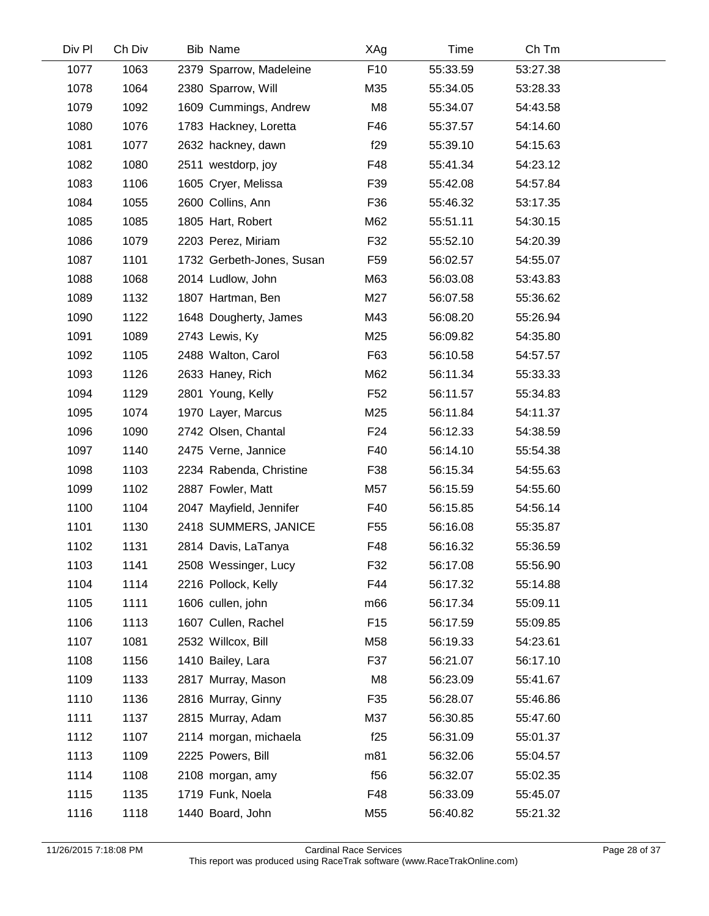| Div Pl | Ch Div | Bib Name                  | XAg             | Time     | Ch Tm    |  |
|--------|--------|---------------------------|-----------------|----------|----------|--|
| 1077   | 1063   | 2379 Sparrow, Madeleine   | F <sub>10</sub> | 55:33.59 | 53:27.38 |  |
| 1078   | 1064   | 2380 Sparrow, Will        | M35             | 55:34.05 | 53:28.33 |  |
| 1079   | 1092   | 1609 Cummings, Andrew     | M8              | 55:34.07 | 54:43.58 |  |
| 1080   | 1076   | 1783 Hackney, Loretta     | F46             | 55:37.57 | 54:14.60 |  |
| 1081   | 1077   | 2632 hackney, dawn        | f29             | 55:39.10 | 54:15.63 |  |
| 1082   | 1080   | 2511 westdorp, joy        | F48             | 55:41.34 | 54:23.12 |  |
| 1083   | 1106   | 1605 Cryer, Melissa       | F39             | 55:42.08 | 54:57.84 |  |
| 1084   | 1055   | 2600 Collins, Ann         | F36             | 55:46.32 | 53:17.35 |  |
| 1085   | 1085   | 1805 Hart, Robert         | M62             | 55:51.11 | 54:30.15 |  |
| 1086   | 1079   | 2203 Perez, Miriam        | F32             | 55:52.10 | 54:20.39 |  |
| 1087   | 1101   | 1732 Gerbeth-Jones, Susan | F <sub>59</sub> | 56:02.57 | 54:55.07 |  |
| 1088   | 1068   | 2014 Ludlow, John         | M63             | 56:03.08 | 53:43.83 |  |
| 1089   | 1132   | 1807 Hartman, Ben         | M27             | 56:07.58 | 55:36.62 |  |
| 1090   | 1122   | 1648 Dougherty, James     | M43             | 56:08.20 | 55:26.94 |  |
| 1091   | 1089   | 2743 Lewis, Ky            | M25             | 56:09.82 | 54:35.80 |  |
| 1092   | 1105   | 2488 Walton, Carol        | F63             | 56:10.58 | 54:57.57 |  |
| 1093   | 1126   | 2633 Haney, Rich          | M62             | 56:11.34 | 55:33.33 |  |
| 1094   | 1129   | 2801 Young, Kelly         | F <sub>52</sub> | 56:11.57 | 55:34.83 |  |
| 1095   | 1074   | 1970 Layer, Marcus        | M25             | 56:11.84 | 54:11.37 |  |
| 1096   | 1090   | 2742 Olsen, Chantal       | F <sub>24</sub> | 56:12.33 | 54:38.59 |  |
| 1097   | 1140   | 2475 Verne, Jannice       | F40             | 56:14.10 | 55:54.38 |  |
| 1098   | 1103   | 2234 Rabenda, Christine   | F38             | 56:15.34 | 54:55.63 |  |
| 1099   | 1102   | 2887 Fowler, Matt         | M57             | 56:15.59 | 54:55.60 |  |
| 1100   | 1104   | 2047 Mayfield, Jennifer   | F40             | 56:15.85 | 54:56.14 |  |
| 1101   | 1130   | 2418 SUMMERS, JANICE      | F55             | 56:16.08 | 55:35.87 |  |
| 1102   | 1131   | 2814 Davis, LaTanya       | F48             | 56:16.32 | 55:36.59 |  |
| 1103   | 1141   | 2508 Wessinger, Lucy      | F32             | 56:17.08 | 55:56.90 |  |
| 1104   | 1114   | 2216 Pollock, Kelly       | F44             | 56:17.32 | 55:14.88 |  |
| 1105   | 1111   | 1606 cullen, john         | m66             | 56:17.34 | 55:09.11 |  |
| 1106   | 1113   | 1607 Cullen, Rachel       | F <sub>15</sub> | 56:17.59 | 55:09.85 |  |
| 1107   | 1081   | 2532 Willcox, Bill        | M58             | 56:19.33 | 54:23.61 |  |
| 1108   | 1156   | 1410 Bailey, Lara         | F37             | 56:21.07 | 56:17.10 |  |
| 1109   | 1133   | 2817 Murray, Mason        | M8              | 56:23.09 | 55:41.67 |  |
| 1110   | 1136   | 2816 Murray, Ginny        | F35             | 56:28.07 | 55:46.86 |  |
| 1111   | 1137   | 2815 Murray, Adam         | M37             | 56:30.85 | 55:47.60 |  |
| 1112   | 1107   | 2114 morgan, michaela     | f25             | 56:31.09 | 55:01.37 |  |
| 1113   | 1109   | 2225 Powers, Bill         | m81             | 56:32.06 | 55:04.57 |  |
| 1114   | 1108   | 2108 morgan, amy          | f56             | 56:32.07 | 55:02.35 |  |
| 1115   | 1135   | 1719 Funk, Noela          | F48             | 56:33.09 | 55:45.07 |  |
| 1116   | 1118   | 1440 Board, John          | M55             | 56:40.82 | 55:21.32 |  |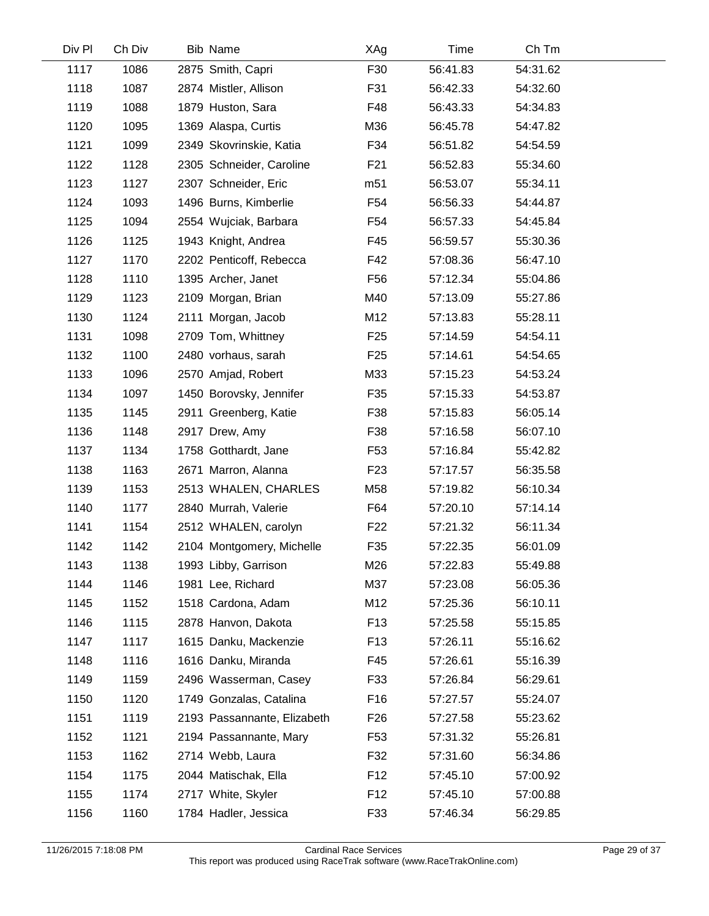| Div Pl | Ch Div | Bib Name                    | XAg             | Time     | Ch Tm    |  |
|--------|--------|-----------------------------|-----------------|----------|----------|--|
| 1117   | 1086   | 2875 Smith, Capri           | F30             | 56:41.83 | 54:31.62 |  |
| 1118   | 1087   | 2874 Mistler, Allison       | F31             | 56:42.33 | 54:32.60 |  |
| 1119   | 1088   | 1879 Huston, Sara           | F48             | 56:43.33 | 54:34.83 |  |
| 1120   | 1095   | 1369 Alaspa, Curtis         | M36             | 56:45.78 | 54:47.82 |  |
| 1121   | 1099   | 2349 Skovrinskie, Katia     | F34             | 56:51.82 | 54:54.59 |  |
| 1122   | 1128   | 2305 Schneider, Caroline    | F <sub>21</sub> | 56:52.83 | 55:34.60 |  |
| 1123   | 1127   | 2307 Schneider, Eric        | m <sub>51</sub> | 56:53.07 | 55:34.11 |  |
| 1124   | 1093   | 1496 Burns, Kimberlie       | F <sub>54</sub> | 56:56.33 | 54:44.87 |  |
| 1125   | 1094   | 2554 Wujciak, Barbara       | F <sub>54</sub> | 56:57.33 | 54:45.84 |  |
| 1126   | 1125   | 1943 Knight, Andrea         | F45             | 56:59.57 | 55:30.36 |  |
| 1127   | 1170   | 2202 Penticoff, Rebecca     | F42             | 57:08.36 | 56:47.10 |  |
| 1128   | 1110   | 1395 Archer, Janet          | F <sub>56</sub> | 57:12.34 | 55:04.86 |  |
| 1129   | 1123   | 2109 Morgan, Brian          | M40             | 57:13.09 | 55:27.86 |  |
| 1130   | 1124   | 2111 Morgan, Jacob          | M12             | 57:13.83 | 55:28.11 |  |
| 1131   | 1098   | 2709 Tom, Whittney          | F <sub>25</sub> | 57:14.59 | 54:54.11 |  |
| 1132   | 1100   | 2480 vorhaus, sarah         | F <sub>25</sub> | 57:14.61 | 54:54.65 |  |
| 1133   | 1096   | 2570 Amjad, Robert          | M33             | 57:15.23 | 54:53.24 |  |
| 1134   | 1097   | 1450 Borovsky, Jennifer     | F35             | 57:15.33 | 54:53.87 |  |
| 1135   | 1145   | 2911 Greenberg, Katie       | F38             | 57:15.83 | 56:05.14 |  |
| 1136   | 1148   | 2917 Drew, Amy              | F38             | 57:16.58 | 56:07.10 |  |
| 1137   | 1134   | 1758 Gotthardt, Jane        | F <sub>53</sub> | 57:16.84 | 55:42.82 |  |
| 1138   | 1163   | 2671 Marron, Alanna         | F <sub>23</sub> | 57:17.57 | 56:35.58 |  |
| 1139   | 1153   | 2513 WHALEN, CHARLES        | M58             | 57:19.82 | 56:10.34 |  |
| 1140   | 1177   | 2840 Murrah, Valerie        | F64             | 57:20.10 | 57:14.14 |  |
| 1141   | 1154   | 2512 WHALEN, carolyn        | F <sub>22</sub> | 57:21.32 | 56:11.34 |  |
| 1142   | 1142   | 2104 Montgomery, Michelle   | F35             | 57:22.35 | 56:01.09 |  |
| 1143   | 1138   | 1993 Libby, Garrison        | M26             | 57:22.83 | 55:49.88 |  |
| 1144   | 1146   | 1981 Lee, Richard           | M37             | 57:23.08 | 56:05.36 |  |
| 1145   | 1152   | 1518 Cardona, Adam          | M12             | 57:25.36 | 56:10.11 |  |
| 1146   | 1115   | 2878 Hanvon, Dakota         | F <sub>13</sub> | 57:25.58 | 55:15.85 |  |
| 1147   | 1117   | 1615 Danku, Mackenzie       | F <sub>13</sub> | 57:26.11 | 55:16.62 |  |
| 1148   | 1116   | 1616 Danku, Miranda         | F45             | 57:26.61 | 55:16.39 |  |
| 1149   | 1159   | 2496 Wasserman, Casey       | F33             | 57:26.84 | 56:29.61 |  |
| 1150   | 1120   | 1749 Gonzalas, Catalina     | F16             | 57:27.57 | 55:24.07 |  |
| 1151   | 1119   | 2193 Passannante, Elizabeth | F <sub>26</sub> | 57:27.58 | 55:23.62 |  |
| 1152   | 1121   | 2194 Passannante, Mary      | F53             | 57:31.32 | 55:26.81 |  |
| 1153   | 1162   | 2714 Webb, Laura            | F32             | 57:31.60 | 56:34.86 |  |
| 1154   | 1175   | 2044 Matischak, Ella        | F <sub>12</sub> | 57:45.10 | 57:00.92 |  |
| 1155   | 1174   | 2717 White, Skyler          | F <sub>12</sub> | 57:45.10 | 57:00.88 |  |
| 1156   | 1160   | 1784 Hadler, Jessica        | F33             | 57:46.34 | 56:29.85 |  |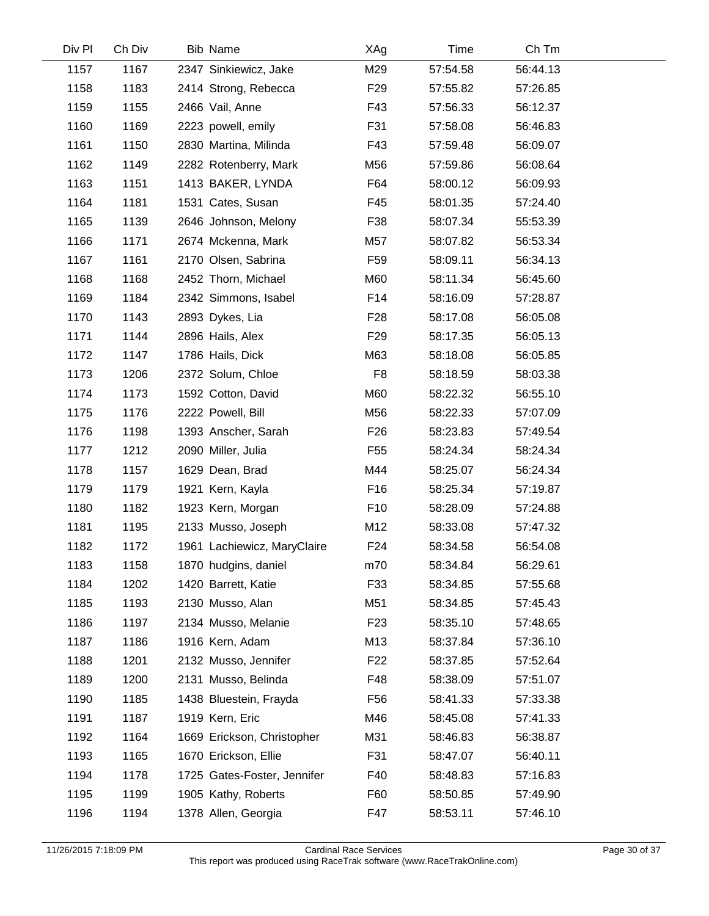| Div Pl | Ch Div | Bib Name                    | XAg             | Time     | Ch Tm    |  |
|--------|--------|-----------------------------|-----------------|----------|----------|--|
| 1157   | 1167   | 2347 Sinkiewicz, Jake       | M29             | 57:54.58 | 56:44.13 |  |
| 1158   | 1183   | 2414 Strong, Rebecca        | F <sub>29</sub> | 57:55.82 | 57:26.85 |  |
| 1159   | 1155   | 2466 Vail, Anne             | F43             | 57:56.33 | 56:12.37 |  |
| 1160   | 1169   | 2223 powell, emily          | F31             | 57:58.08 | 56:46.83 |  |
| 1161   | 1150   | 2830 Martina, Milinda       | F43             | 57:59.48 | 56:09.07 |  |
| 1162   | 1149   | 2282 Rotenberry, Mark       | M56             | 57:59.86 | 56:08.64 |  |
| 1163   | 1151   | 1413 BAKER, LYNDA           | F64             | 58:00.12 | 56:09.93 |  |
| 1164   | 1181   | 1531 Cates, Susan           | F45             | 58:01.35 | 57:24.40 |  |
| 1165   | 1139   | 2646 Johnson, Melony        | F38             | 58:07.34 | 55:53.39 |  |
| 1166   | 1171   | 2674 Mckenna, Mark          | M57             | 58:07.82 | 56:53.34 |  |
| 1167   | 1161   | 2170 Olsen, Sabrina         | F <sub>59</sub> | 58:09.11 | 56:34.13 |  |
| 1168   | 1168   | 2452 Thorn, Michael         | M60             | 58:11.34 | 56:45.60 |  |
| 1169   | 1184   | 2342 Simmons, Isabel        | F14             | 58:16.09 | 57:28.87 |  |
| 1170   | 1143   | 2893 Dykes, Lia             | F <sub>28</sub> | 58:17.08 | 56:05.08 |  |
| 1171   | 1144   | 2896 Hails, Alex            | F <sub>29</sub> | 58:17.35 | 56:05.13 |  |
| 1172   | 1147   | 1786 Hails, Dick            | M63             | 58:18.08 | 56:05.85 |  |
| 1173   | 1206   | 2372 Solum, Chloe           | F <sub>8</sub>  | 58:18.59 | 58:03.38 |  |
| 1174   | 1173   | 1592 Cotton, David          | M60             | 58:22.32 | 56:55.10 |  |
| 1175   | 1176   | 2222 Powell, Bill           | M56             | 58:22.33 | 57:07.09 |  |
| 1176   | 1198   | 1393 Anscher, Sarah         | F <sub>26</sub> | 58:23.83 | 57:49.54 |  |
| 1177   | 1212   | 2090 Miller, Julia          | F <sub>55</sub> | 58:24.34 | 58:24.34 |  |
| 1178   | 1157   | 1629 Dean, Brad             | M44             | 58:25.07 | 56:24.34 |  |
| 1179   | 1179   | 1921 Kern, Kayla            | F16             | 58:25.34 | 57:19.87 |  |
| 1180   | 1182   | 1923 Kern, Morgan           | F <sub>10</sub> | 58:28.09 | 57:24.88 |  |
| 1181   | 1195   | 2133 Musso, Joseph          | M12             | 58:33.08 | 57:47.32 |  |
| 1182   | 1172   | 1961 Lachiewicz, MaryClaire | F <sub>24</sub> | 58:34.58 | 56:54.08 |  |
| 1183   | 1158   | 1870 hudgins, daniel        | m70             | 58:34.84 | 56:29.61 |  |
| 1184   | 1202   | 1420 Barrett, Katie         | F33             | 58:34.85 | 57:55.68 |  |
| 1185   | 1193   | 2130 Musso, Alan            | M51             | 58:34.85 | 57:45.43 |  |
| 1186   | 1197   | 2134 Musso, Melanie         | F <sub>23</sub> | 58:35.10 | 57:48.65 |  |
| 1187   | 1186   | 1916 Kern, Adam             | M13             | 58:37.84 | 57:36.10 |  |
| 1188   | 1201   | 2132 Musso, Jennifer        | F <sub>22</sub> | 58:37.85 | 57:52.64 |  |
| 1189   | 1200   | 2131 Musso, Belinda         | F48             | 58:38.09 | 57:51.07 |  |
| 1190   | 1185   | 1438 Bluestein, Frayda      | F <sub>56</sub> | 58:41.33 | 57:33.38 |  |
| 1191   | 1187   | 1919 Kern, Eric             | M46             | 58:45.08 | 57:41.33 |  |
| 1192   | 1164   | 1669 Erickson, Christopher  | M31             | 58:46.83 | 56:38.87 |  |
| 1193   | 1165   | 1670 Erickson, Ellie        | F31             | 58:47.07 | 56:40.11 |  |
| 1194   | 1178   | 1725 Gates-Foster, Jennifer | F40             | 58:48.83 | 57:16.83 |  |
| 1195   | 1199   | 1905 Kathy, Roberts         | F60             | 58:50.85 | 57:49.90 |  |
| 1196   | 1194   | 1378 Allen, Georgia         | F47             | 58:53.11 | 57:46.10 |  |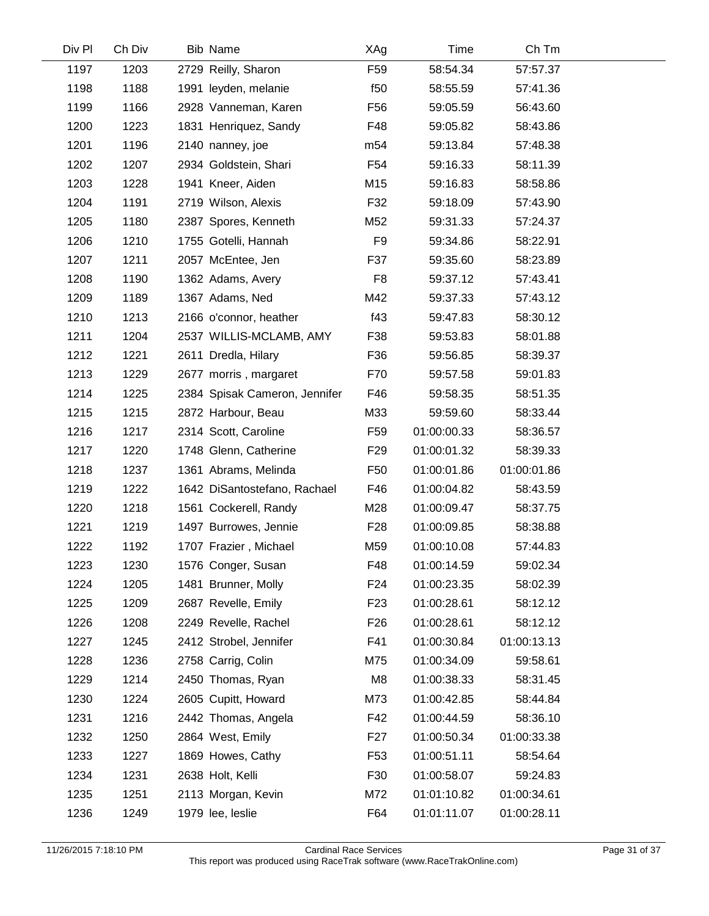| Div Pl | Ch Div | Bib Name                      | XAg             | Time        | Ch Tm       |  |
|--------|--------|-------------------------------|-----------------|-------------|-------------|--|
| 1197   | 1203   | 2729 Reilly, Sharon           | F <sub>59</sub> | 58:54.34    | 57:57.37    |  |
| 1198   | 1188   | 1991 leyden, melanie          | f <sub>50</sub> | 58:55.59    | 57:41.36    |  |
| 1199   | 1166   | 2928 Vanneman, Karen          | F <sub>56</sub> | 59:05.59    | 56:43.60    |  |
| 1200   | 1223   | 1831 Henriquez, Sandy         | F48             | 59:05.82    | 58:43.86    |  |
| 1201   | 1196   | 2140 nanney, joe              | m <sub>54</sub> | 59:13.84    | 57:48.38    |  |
| 1202   | 1207   | 2934 Goldstein, Shari         | F <sub>54</sub> | 59:16.33    | 58:11.39    |  |
| 1203   | 1228   | 1941 Kneer, Aiden             | M15             | 59:16.83    | 58:58.86    |  |
| 1204   | 1191   | 2719 Wilson, Alexis           | F32             | 59:18.09    | 57:43.90    |  |
| 1205   | 1180   | 2387 Spores, Kenneth          | M52             | 59:31.33    | 57:24.37    |  |
| 1206   | 1210   | 1755 Gotelli, Hannah          | F9              | 59:34.86    | 58:22.91    |  |
| 1207   | 1211   | 2057 McEntee, Jen             | F37             | 59:35.60    | 58:23.89    |  |
| 1208   | 1190   | 1362 Adams, Avery             | F <sub>8</sub>  | 59:37.12    | 57:43.41    |  |
| 1209   | 1189   | 1367 Adams, Ned               | M42             | 59:37.33    | 57:43.12    |  |
| 1210   | 1213   | 2166 o'connor, heather        | f43             | 59:47.83    | 58:30.12    |  |
| 1211   | 1204   | 2537 WILLIS-MCLAMB, AMY       | F38             | 59:53.83    | 58:01.88    |  |
| 1212   | 1221   | 2611 Dredla, Hilary           | F36             | 59:56.85    | 58:39.37    |  |
| 1213   | 1229   | 2677 morris, margaret         | F70             | 59:57.58    | 59:01.83    |  |
| 1214   | 1225   | 2384 Spisak Cameron, Jennifer | F46             | 59:58.35    | 58:51.35    |  |
| 1215   | 1215   | 2872 Harbour, Beau            | M33             | 59:59.60    | 58:33.44    |  |
| 1216   | 1217   | 2314 Scott, Caroline          | F <sub>59</sub> | 01:00:00.33 | 58:36.57    |  |
| 1217   | 1220   | 1748 Glenn, Catherine         | F <sub>29</sub> | 01:00:01.32 | 58:39.33    |  |
| 1218   | 1237   | 1361 Abrams, Melinda          | F <sub>50</sub> | 01:00:01.86 | 01:00:01.86 |  |
| 1219   | 1222   | 1642 DiSantostefano, Rachael  | F46             | 01:00:04.82 | 58:43.59    |  |
| 1220   | 1218   | 1561 Cockerell, Randy         | M28             | 01:00:09.47 | 58:37.75    |  |
| 1221   | 1219   | 1497 Burrowes, Jennie         | F <sub>28</sub> | 01:00:09.85 | 58:38.88    |  |
| 1222   | 1192   | 1707 Frazier, Michael         | M59             | 01:00:10.08 | 57:44.83    |  |
| 1223   | 1230   | 1576 Conger, Susan            | F48             | 01:00:14.59 | 59:02.34    |  |
| 1224   | 1205   | 1481 Brunner, Molly           | F <sub>24</sub> | 01:00:23.35 | 58:02.39    |  |
| 1225   | 1209   | 2687 Revelle, Emily           | F <sub>23</sub> | 01:00:28.61 | 58:12.12    |  |
| 1226   | 1208   | 2249 Revelle, Rachel          | F <sub>26</sub> | 01:00:28.61 | 58:12.12    |  |
| 1227   | 1245   | 2412 Strobel, Jennifer        | F41             | 01:00:30.84 | 01:00:13.13 |  |
| 1228   | 1236   | 2758 Carrig, Colin            | M75             | 01:00:34.09 | 59:58.61    |  |
| 1229   | 1214   | 2450 Thomas, Ryan             | M <sub>8</sub>  | 01:00:38.33 | 58:31.45    |  |
| 1230   | 1224   | 2605 Cupitt, Howard           | M73             | 01:00:42.85 | 58:44.84    |  |
| 1231   | 1216   | 2442 Thomas, Angela           | F42             | 01:00:44.59 | 58:36.10    |  |
| 1232   | 1250   | 2864 West, Emily              | F <sub>27</sub> | 01:00:50.34 | 01:00:33.38 |  |
| 1233   | 1227   | 1869 Howes, Cathy             | F <sub>53</sub> | 01:00:51.11 | 58:54.64    |  |
| 1234   | 1231   | 2638 Holt, Kelli              | F30             | 01:00:58.07 | 59:24.83    |  |
| 1235   | 1251   | 2113 Morgan, Kevin            | M72             | 01:01:10.82 | 01:00:34.61 |  |
| 1236   | 1249   | 1979 lee, leslie              | F64             | 01:01:11.07 | 01:00:28.11 |  |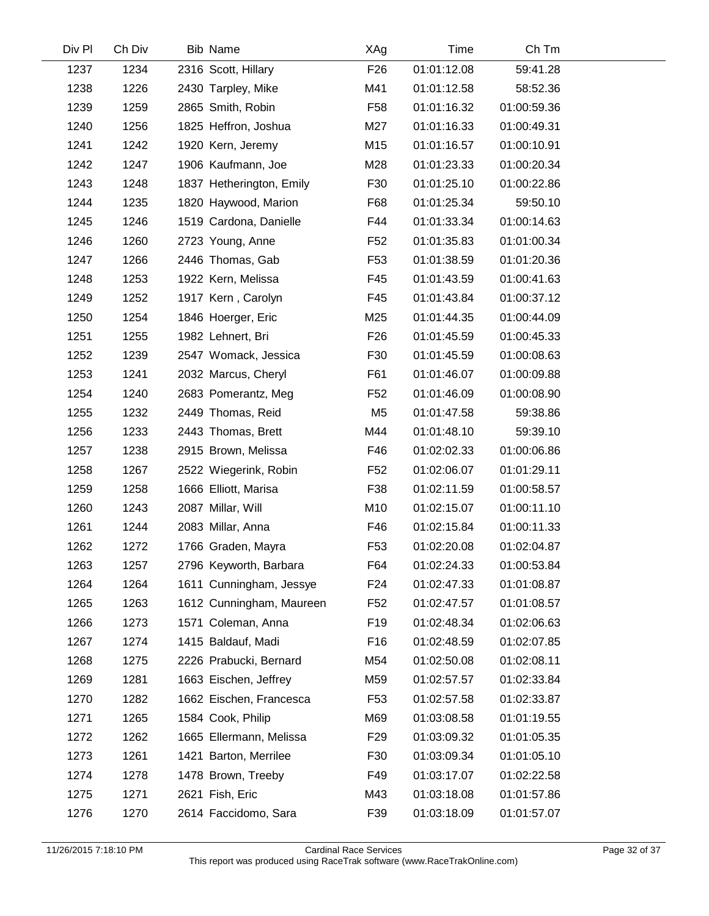| Div Pl | Ch Div | <b>Bib Name</b>          | XAg             | Time        | Ch Tm       |  |
|--------|--------|--------------------------|-----------------|-------------|-------------|--|
| 1237   | 1234   | 2316 Scott, Hillary      | F <sub>26</sub> | 01:01:12.08 | 59:41.28    |  |
| 1238   | 1226   | 2430 Tarpley, Mike       | M41             | 01:01:12.58 | 58:52.36    |  |
| 1239   | 1259   | 2865 Smith, Robin        | F <sub>58</sub> | 01:01:16.32 | 01:00:59.36 |  |
| 1240   | 1256   | 1825 Heffron, Joshua     | M27             | 01:01:16.33 | 01:00:49.31 |  |
| 1241   | 1242   | 1920 Kern, Jeremy        | M15             | 01:01:16.57 | 01:00:10.91 |  |
| 1242   | 1247   | 1906 Kaufmann, Joe       | M28             | 01:01:23.33 | 01:00:20.34 |  |
| 1243   | 1248   | 1837 Hetherington, Emily | F30             | 01:01:25.10 | 01:00:22.86 |  |
| 1244   | 1235   | 1820 Haywood, Marion     | F68             | 01:01:25.34 | 59:50.10    |  |
| 1245   | 1246   | 1519 Cardona, Danielle   | F44             | 01:01:33.34 | 01:00:14.63 |  |
| 1246   | 1260   | 2723 Young, Anne         | F <sub>52</sub> | 01:01:35.83 | 01:01:00.34 |  |
| 1247   | 1266   | 2446 Thomas, Gab         | F <sub>53</sub> | 01:01:38.59 | 01:01:20.36 |  |
| 1248   | 1253   | 1922 Kern, Melissa       | F45             | 01:01:43.59 | 01:00:41.63 |  |
| 1249   | 1252   | 1917 Kern, Carolyn       | F45             | 01:01:43.84 | 01:00:37.12 |  |
| 1250   | 1254   | 1846 Hoerger, Eric       | M25             | 01:01:44.35 | 01:00:44.09 |  |
| 1251   | 1255   | 1982 Lehnert, Bri        | F <sub>26</sub> | 01:01:45.59 | 01:00:45.33 |  |
| 1252   | 1239   | 2547 Womack, Jessica     | F30             | 01:01:45.59 | 01:00:08.63 |  |
| 1253   | 1241   | 2032 Marcus, Cheryl      | F61             | 01:01:46.07 | 01:00:09.88 |  |
| 1254   | 1240   | 2683 Pomerantz, Meg      | F <sub>52</sub> | 01:01:46.09 | 01:00:08.90 |  |
| 1255   | 1232   | 2449 Thomas, Reid        | M <sub>5</sub>  | 01:01:47.58 | 59:38.86    |  |
| 1256   | 1233   | 2443 Thomas, Brett       | M44             | 01:01:48.10 | 59:39.10    |  |
| 1257   | 1238   | 2915 Brown, Melissa      | F46             | 01:02:02.33 | 01:00:06.86 |  |
| 1258   | 1267   | 2522 Wiegerink, Robin    | F <sub>52</sub> | 01:02:06.07 | 01:01:29.11 |  |
| 1259   | 1258   | 1666 Elliott, Marisa     | F38             | 01:02:11.59 | 01:00:58.57 |  |
| 1260   | 1243   | 2087 Millar, Will        | M10             | 01:02:15.07 | 01:00:11.10 |  |
| 1261   | 1244   | 2083 Millar, Anna        | F46             | 01:02:15.84 | 01:00:11.33 |  |
| 1262   | 1272   | 1766 Graden, Mayra       | F <sub>53</sub> | 01:02:20.08 | 01:02:04.87 |  |
| 1263   | 1257   | 2796 Keyworth, Barbara   | F64             | 01:02:24.33 | 01:00:53.84 |  |
| 1264   | 1264   | 1611 Cunningham, Jessye  | F <sub>24</sub> | 01:02:47.33 | 01:01:08.87 |  |
| 1265   | 1263   | 1612 Cunningham, Maureen | F52             | 01:02:47.57 | 01:01:08.57 |  |
| 1266   | 1273   | 1571 Coleman, Anna       | F <sub>19</sub> | 01:02:48.34 | 01:02:06.63 |  |
| 1267   | 1274   | 1415 Baldauf, Madi       | F <sub>16</sub> | 01:02:48.59 | 01:02:07.85 |  |
| 1268   | 1275   | 2226 Prabucki, Bernard   | M54             | 01:02:50.08 | 01:02:08.11 |  |
| 1269   | 1281   | 1663 Eischen, Jeffrey    | M59             | 01:02:57.57 | 01:02:33.84 |  |
| 1270   | 1282   | 1662 Eischen, Francesca  | F <sub>53</sub> | 01:02:57.58 | 01:02:33.87 |  |
| 1271   | 1265   | 1584 Cook, Philip        | M69             | 01:03:08.58 | 01:01:19.55 |  |
| 1272   | 1262   | 1665 Ellermann, Melissa  | F <sub>29</sub> | 01:03:09.32 | 01:01:05.35 |  |
| 1273   | 1261   | 1421 Barton, Merrilee    | F30             | 01:03:09.34 | 01:01:05.10 |  |
| 1274   | 1278   | 1478 Brown, Treeby       | F49             | 01:03:17.07 | 01:02:22.58 |  |
| 1275   | 1271   | 2621 Fish, Eric          | M43             | 01:03:18.08 | 01:01:57.86 |  |
| 1276   | 1270   | 2614 Faccidomo, Sara     | F39             | 01:03:18.09 | 01:01:57.07 |  |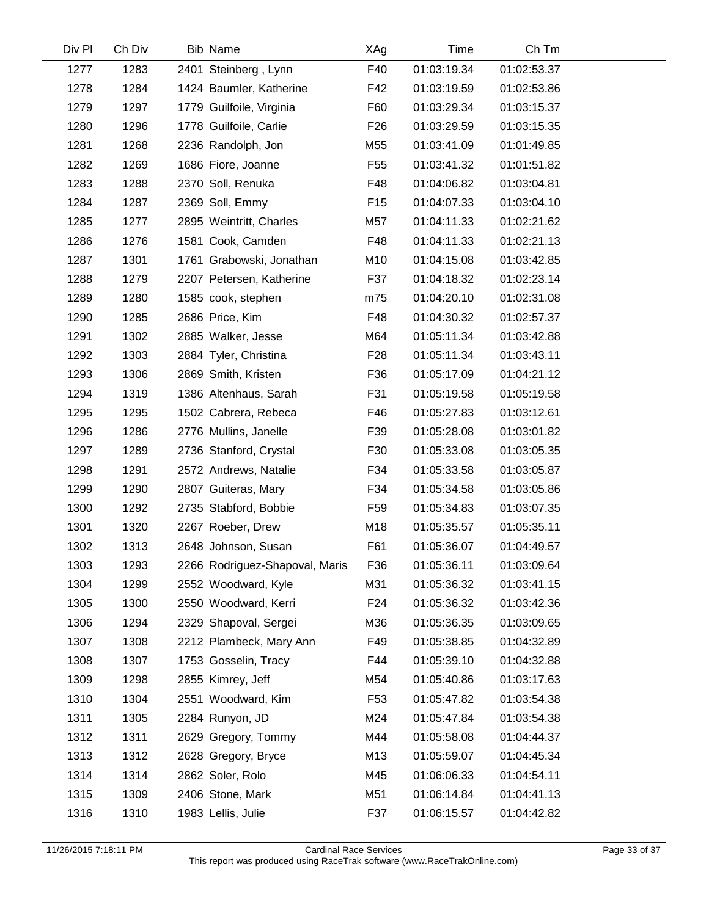| Div Pl | Ch Div | Bib Name                       | XAg             | Time        | Ch Tm       |  |
|--------|--------|--------------------------------|-----------------|-------------|-------------|--|
| 1277   | 1283   | 2401 Steinberg, Lynn           | F40             | 01:03:19.34 | 01:02:53.37 |  |
| 1278   | 1284   | 1424 Baumler, Katherine        | F42             | 01:03:19.59 | 01:02:53.86 |  |
| 1279   | 1297   | 1779 Guilfoile, Virginia       | F60             | 01:03:29.34 | 01:03:15.37 |  |
| 1280   | 1296   | 1778 Guilfoile, Carlie         | F <sub>26</sub> | 01:03:29.59 | 01:03:15.35 |  |
| 1281   | 1268   | 2236 Randolph, Jon             | M55             | 01:03:41.09 | 01:01:49.85 |  |
| 1282   | 1269   | 1686 Fiore, Joanne             | F <sub>55</sub> | 01:03:41.32 | 01:01:51.82 |  |
| 1283   | 1288   | 2370 Soll, Renuka              | F48             | 01:04:06.82 | 01:03:04.81 |  |
| 1284   | 1287   | 2369 Soll, Emmy                | F <sub>15</sub> | 01:04:07.33 | 01:03:04.10 |  |
| 1285   | 1277   | 2895 Weintritt, Charles        | M57             | 01:04:11.33 | 01:02:21.62 |  |
| 1286   | 1276   | 1581 Cook, Camden              | F48             | 01:04:11.33 | 01:02:21.13 |  |
| 1287   | 1301   | 1761 Grabowski, Jonathan       | M10             | 01:04:15.08 | 01:03:42.85 |  |
| 1288   | 1279   | 2207 Petersen, Katherine       | F37             | 01:04:18.32 | 01:02:23.14 |  |
| 1289   | 1280   | 1585 cook, stephen             | m75             | 01:04:20.10 | 01:02:31.08 |  |
| 1290   | 1285   | 2686 Price, Kim                | F48             | 01:04:30.32 | 01:02:57.37 |  |
| 1291   | 1302   | 2885 Walker, Jesse             | M64             | 01:05:11.34 | 01:03:42.88 |  |
| 1292   | 1303   | 2884 Tyler, Christina          | F <sub>28</sub> | 01:05:11.34 | 01:03:43.11 |  |
| 1293   | 1306   | 2869 Smith, Kristen            | F36             | 01:05:17.09 | 01:04:21.12 |  |
| 1294   | 1319   | 1386 Altenhaus, Sarah          | F31             | 01:05:19.58 | 01:05:19.58 |  |
| 1295   | 1295   | 1502 Cabrera, Rebeca           | F46             | 01:05:27.83 | 01:03:12.61 |  |
| 1296   | 1286   | 2776 Mullins, Janelle          | F39             | 01:05:28.08 | 01:03:01.82 |  |
| 1297   | 1289   | 2736 Stanford, Crystal         | F30             | 01:05:33.08 | 01:03:05.35 |  |
| 1298   | 1291   | 2572 Andrews, Natalie          | F34             | 01:05:33.58 | 01:03:05.87 |  |
| 1299   | 1290   | 2807 Guiteras, Mary            | F34             | 01:05:34.58 | 01:03:05.86 |  |
| 1300   | 1292   | 2735 Stabford, Bobbie          | F <sub>59</sub> | 01:05:34.83 | 01:03:07.35 |  |
| 1301   | 1320   | 2267 Roeber, Drew              | M18             | 01:05:35.57 | 01:05:35.11 |  |
| 1302   | 1313   | 2648 Johnson, Susan            | F61             | 01:05:36.07 | 01:04:49.57 |  |
| 1303   | 1293   | 2266 Rodriguez-Shapoval, Maris | F36             | 01:05:36.11 | 01:03:09.64 |  |
| 1304   | 1299   | 2552 Woodward, Kyle            | M31             | 01:05:36.32 | 01:03:41.15 |  |
| 1305   | 1300   | 2550 Woodward, Kerri           | F24             | 01:05:36.32 | 01:03:42.36 |  |
| 1306   | 1294   | 2329 Shapoval, Sergei          | M36             | 01:05:36.35 | 01:03:09.65 |  |
| 1307   | 1308   | 2212 Plambeck, Mary Ann        | F49             | 01:05:38.85 | 01:04:32.89 |  |
| 1308   | 1307   | 1753 Gosselin, Tracy           | F44             | 01:05:39.10 | 01:04:32.88 |  |
| 1309   | 1298   | 2855 Kimrey, Jeff              | M54             | 01:05:40.86 | 01:03:17.63 |  |
| 1310   | 1304   | 2551 Woodward, Kim             | F <sub>53</sub> | 01:05:47.82 | 01:03:54.38 |  |
| 1311   | 1305   | 2284 Runyon, JD                | M24             | 01:05:47.84 | 01:03:54.38 |  |
| 1312   | 1311   | 2629 Gregory, Tommy            | M44             | 01:05:58.08 | 01:04:44.37 |  |
| 1313   | 1312   | 2628 Gregory, Bryce            | M13             | 01:05:59.07 | 01:04:45.34 |  |
| 1314   | 1314   | 2862 Soler, Rolo               | M45             | 01:06:06.33 | 01:04:54.11 |  |
| 1315   | 1309   | 2406 Stone, Mark               | M51             | 01:06:14.84 | 01:04:41.13 |  |
| 1316   | 1310   | 1983 Lellis, Julie             | F37             | 01:06:15.57 | 01:04:42.82 |  |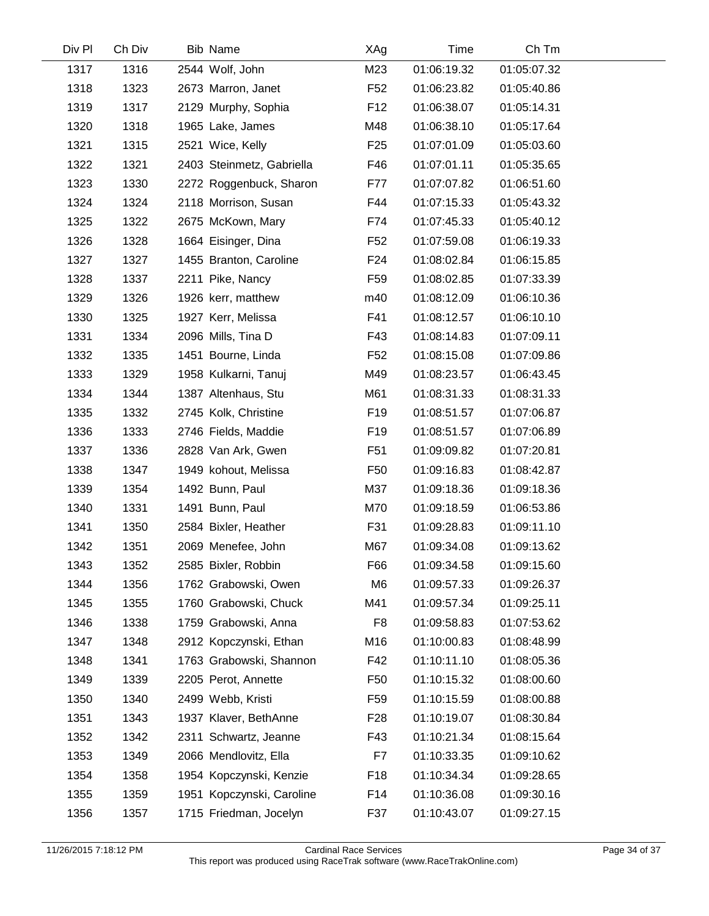| Div Pl | Ch Div | <b>Bib Name</b>           | XAg             | Time        | Ch Tm       |  |
|--------|--------|---------------------------|-----------------|-------------|-------------|--|
| 1317   | 1316   | 2544 Wolf, John           | M23             | 01:06:19.32 | 01:05:07.32 |  |
| 1318   | 1323   | 2673 Marron, Janet        | F <sub>52</sub> | 01:06:23.82 | 01:05:40.86 |  |
| 1319   | 1317   | 2129 Murphy, Sophia       | F <sub>12</sub> | 01:06:38.07 | 01:05:14.31 |  |
| 1320   | 1318   | 1965 Lake, James          | M48             | 01:06:38.10 | 01:05:17.64 |  |
| 1321   | 1315   | 2521 Wice, Kelly          | F <sub>25</sub> | 01:07:01.09 | 01:05:03.60 |  |
| 1322   | 1321   | 2403 Steinmetz, Gabriella | F46             | 01:07:01.11 | 01:05:35.65 |  |
| 1323   | 1330   | 2272 Roggenbuck, Sharon   | F77             | 01:07:07.82 | 01:06:51.60 |  |
| 1324   | 1324   | 2118 Morrison, Susan      | F44             | 01:07:15.33 | 01:05:43.32 |  |
| 1325   | 1322   | 2675 McKown, Mary         | F74             | 01:07:45.33 | 01:05:40.12 |  |
| 1326   | 1328   | 1664 Eisinger, Dina       | F <sub>52</sub> | 01:07:59.08 | 01:06:19.33 |  |
| 1327   | 1327   | 1455 Branton, Caroline    | F <sub>24</sub> | 01:08:02.84 | 01:06:15.85 |  |
| 1328   | 1337   | 2211 Pike, Nancy          | F <sub>59</sub> | 01:08:02.85 | 01:07:33.39 |  |
| 1329   | 1326   | 1926 kerr, matthew        | m40             | 01:08:12.09 | 01:06:10.36 |  |
| 1330   | 1325   | 1927 Kerr, Melissa        | F41             | 01:08:12.57 | 01:06:10.10 |  |
| 1331   | 1334   | 2096 Mills, Tina D        | F43             | 01:08:14.83 | 01:07:09.11 |  |
| 1332   | 1335   | 1451 Bourne, Linda        | F <sub>52</sub> | 01:08:15.08 | 01:07:09.86 |  |
| 1333   | 1329   | 1958 Kulkarni, Tanuj      | M49             | 01:08:23.57 | 01:06:43.45 |  |
| 1334   | 1344   | 1387 Altenhaus, Stu       | M61             | 01:08:31.33 | 01:08:31.33 |  |
| 1335   | 1332   | 2745 Kolk, Christine      | F <sub>19</sub> | 01:08:51.57 | 01:07:06.87 |  |
| 1336   | 1333   | 2746 Fields, Maddie       | F <sub>19</sub> | 01:08:51.57 | 01:07:06.89 |  |
| 1337   | 1336   | 2828 Van Ark, Gwen        | F <sub>51</sub> | 01:09:09.82 | 01:07:20.81 |  |
| 1338   | 1347   | 1949 kohout, Melissa      | F50             | 01:09:16.83 | 01:08:42.87 |  |
| 1339   | 1354   | 1492 Bunn, Paul           | M37             | 01:09:18.36 | 01:09:18.36 |  |
| 1340   | 1331   | 1491 Bunn, Paul           | M70             | 01:09:18.59 | 01:06:53.86 |  |
| 1341   | 1350   | 2584 Bixler, Heather      | F31             | 01:09:28.83 | 01:09:11.10 |  |
| 1342   | 1351   | 2069 Menefee, John        | M67             | 01:09:34.08 | 01:09:13.62 |  |
| 1343   | 1352   | 2585 Bixler, Robbin       | F66             | 01:09:34.58 | 01:09:15.60 |  |
| 1344   | 1356   | 1762 Grabowski, Owen      | M <sub>6</sub>  | 01:09:57.33 | 01:09:26.37 |  |
| 1345   | 1355   | 1760 Grabowski, Chuck     | M41             | 01:09:57.34 | 01:09:25.11 |  |
| 1346   | 1338   | 1759 Grabowski, Anna      | F8              | 01:09:58.83 | 01:07:53.62 |  |
| 1347   | 1348   | 2912 Kopczynski, Ethan    | M16             | 01:10:00.83 | 01:08:48.99 |  |
| 1348   | 1341   | 1763 Grabowski, Shannon   | F42             | 01:10:11.10 | 01:08:05.36 |  |
| 1349   | 1339   | 2205 Perot, Annette       | F <sub>50</sub> | 01:10:15.32 | 01:08:00.60 |  |
| 1350   | 1340   | 2499 Webb, Kristi         | F59             | 01:10:15.59 | 01:08:00.88 |  |
| 1351   | 1343   | 1937 Klaver, BethAnne     | F <sub>28</sub> | 01:10:19.07 | 01:08:30.84 |  |
| 1352   | 1342   | 2311 Schwartz, Jeanne     | F43             | 01:10:21.34 | 01:08:15.64 |  |
| 1353   | 1349   | 2066 Mendlovitz, Ella     | F7              | 01:10:33.35 | 01:09:10.62 |  |
| 1354   | 1358   | 1954 Kopczynski, Kenzie   | F <sub>18</sub> | 01:10:34.34 | 01:09:28.65 |  |
| 1355   | 1359   | 1951 Kopczynski, Caroline | F14             | 01:10:36.08 | 01:09:30.16 |  |
| 1356   | 1357   | 1715 Friedman, Jocelyn    | F37             | 01:10:43.07 | 01:09:27.15 |  |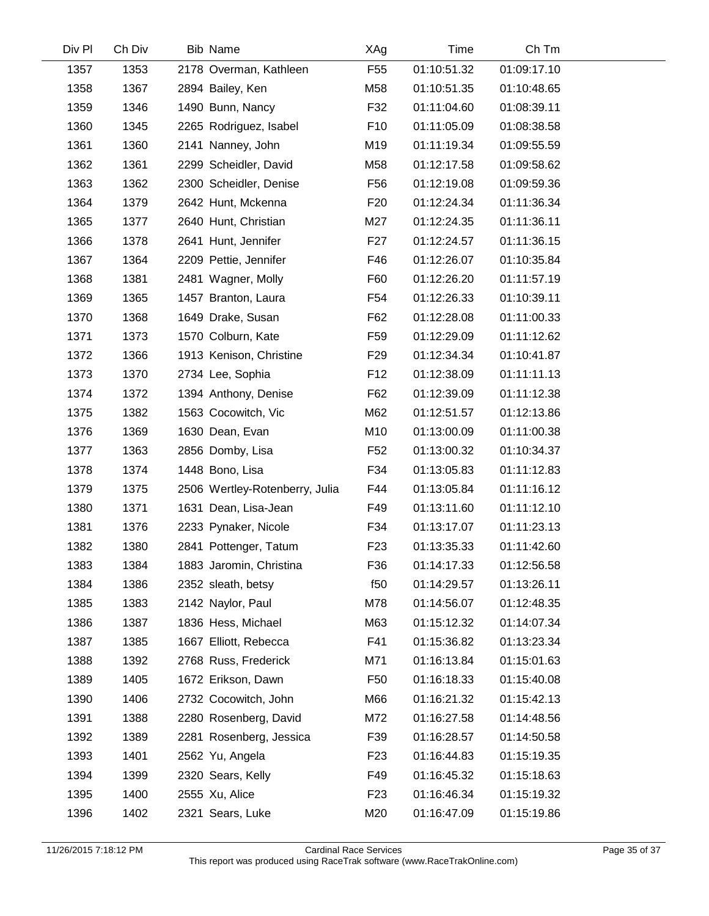| Div Pl | Ch Div | <b>Bib Name</b>                | XAg             | Time        | Ch Tm       |  |
|--------|--------|--------------------------------|-----------------|-------------|-------------|--|
| 1357   | 1353   | 2178 Overman, Kathleen         | F <sub>55</sub> | 01:10:51.32 | 01:09:17.10 |  |
| 1358   | 1367   | 2894 Bailey, Ken               | M58             | 01:10:51.35 | 01:10:48.65 |  |
| 1359   | 1346   | 1490 Bunn, Nancy               | F32             | 01:11:04.60 | 01:08:39.11 |  |
| 1360   | 1345   | 2265 Rodriguez, Isabel         | F <sub>10</sub> | 01:11:05.09 | 01:08:38.58 |  |
| 1361   | 1360   | 2141 Nanney, John              | M19             | 01:11:19.34 | 01:09:55.59 |  |
| 1362   | 1361   | 2299 Scheidler, David          | M58             | 01:12:17.58 | 01:09:58.62 |  |
| 1363   | 1362   | 2300 Scheidler, Denise         | F <sub>56</sub> | 01:12:19.08 | 01:09:59.36 |  |
| 1364   | 1379   | 2642 Hunt, Mckenna             | F <sub>20</sub> | 01:12:24.34 | 01:11:36.34 |  |
| 1365   | 1377   | 2640 Hunt, Christian           | M27             | 01:12:24.35 | 01:11:36.11 |  |
| 1366   | 1378   | 2641 Hunt, Jennifer            | F <sub>27</sub> | 01:12:24.57 | 01:11:36.15 |  |
| 1367   | 1364   | 2209 Pettie, Jennifer          | F46             | 01:12:26.07 | 01:10:35.84 |  |
| 1368   | 1381   | 2481 Wagner, Molly             | F60             | 01:12:26.20 | 01:11:57.19 |  |
| 1369   | 1365   | 1457 Branton, Laura            | F54             | 01:12:26.33 | 01:10:39.11 |  |
| 1370   | 1368   | 1649 Drake, Susan              | F62             | 01:12:28.08 | 01:11:00.33 |  |
| 1371   | 1373   | 1570 Colburn, Kate             | F <sub>59</sub> | 01:12:29.09 | 01:11:12.62 |  |
| 1372   | 1366   | 1913 Kenison, Christine        | F <sub>29</sub> | 01:12:34.34 | 01:10:41.87 |  |
| 1373   | 1370   | 2734 Lee, Sophia               | F <sub>12</sub> | 01:12:38.09 | 01:11:11.13 |  |
| 1374   | 1372   | 1394 Anthony, Denise           | F62             | 01:12:39.09 | 01:11:12.38 |  |
| 1375   | 1382   | 1563 Cocowitch, Vic            | M62             | 01:12:51.57 | 01:12:13.86 |  |
| 1376   | 1369   | 1630 Dean, Evan                | M10             | 01:13:00.09 | 01:11:00.38 |  |
| 1377   | 1363   | 2856 Domby, Lisa               | F <sub>52</sub> | 01:13:00.32 | 01:10:34.37 |  |
| 1378   | 1374   | 1448 Bono, Lisa                | F34             | 01:13:05.83 | 01:11:12.83 |  |
| 1379   | 1375   | 2506 Wertley-Rotenberry, Julia | F44             | 01:13:05.84 | 01:11:16.12 |  |
| 1380   | 1371   | 1631 Dean, Lisa-Jean           | F49             | 01:13:11.60 | 01:11:12.10 |  |
| 1381   | 1376   | 2233 Pynaker, Nicole           | F34             | 01:13:17.07 | 01:11:23.13 |  |
| 1382   | 1380   | 2841 Pottenger, Tatum          | F <sub>23</sub> | 01:13:35.33 | 01:11:42.60 |  |
| 1383   | 1384   | 1883 Jaromin, Christina        | F36             | 01:14:17.33 | 01:12:56.58 |  |
| 1384   | 1386   | 2352 sleath, betsy             | f50             | 01:14:29.57 | 01:13:26.11 |  |
| 1385   | 1383   | 2142 Naylor, Paul              | M78             | 01:14:56.07 | 01:12:48.35 |  |
| 1386   | 1387   | 1836 Hess, Michael             | M63             | 01:15:12.32 | 01:14:07.34 |  |
| 1387   | 1385   | 1667 Elliott, Rebecca          | F41             | 01:15:36.82 | 01:13:23.34 |  |
| 1388   | 1392   | 2768 Russ, Frederick           | M71             | 01:16:13.84 | 01:15:01.63 |  |
| 1389   | 1405   | 1672 Erikson, Dawn             | F <sub>50</sub> | 01:16:18.33 | 01:15:40.08 |  |
| 1390   | 1406   | 2732 Cocowitch, John           | M66             | 01:16:21.32 | 01:15:42.13 |  |
| 1391   | 1388   | 2280 Rosenberg, David          | M72             | 01:16:27.58 | 01:14:48.56 |  |
| 1392   | 1389   | 2281 Rosenberg, Jessica        | F39             | 01:16:28.57 | 01:14:50.58 |  |
| 1393   | 1401   | 2562 Yu, Angela                | F <sub>23</sub> | 01:16:44.83 | 01:15:19.35 |  |
| 1394   | 1399   | 2320 Sears, Kelly              | F49             | 01:16:45.32 | 01:15:18.63 |  |
| 1395   | 1400   | 2555 Xu, Alice                 | F <sub>23</sub> | 01:16:46.34 | 01:15:19.32 |  |
| 1396   | 1402   | 2321 Sears, Luke               | M20             | 01:16:47.09 | 01:15:19.86 |  |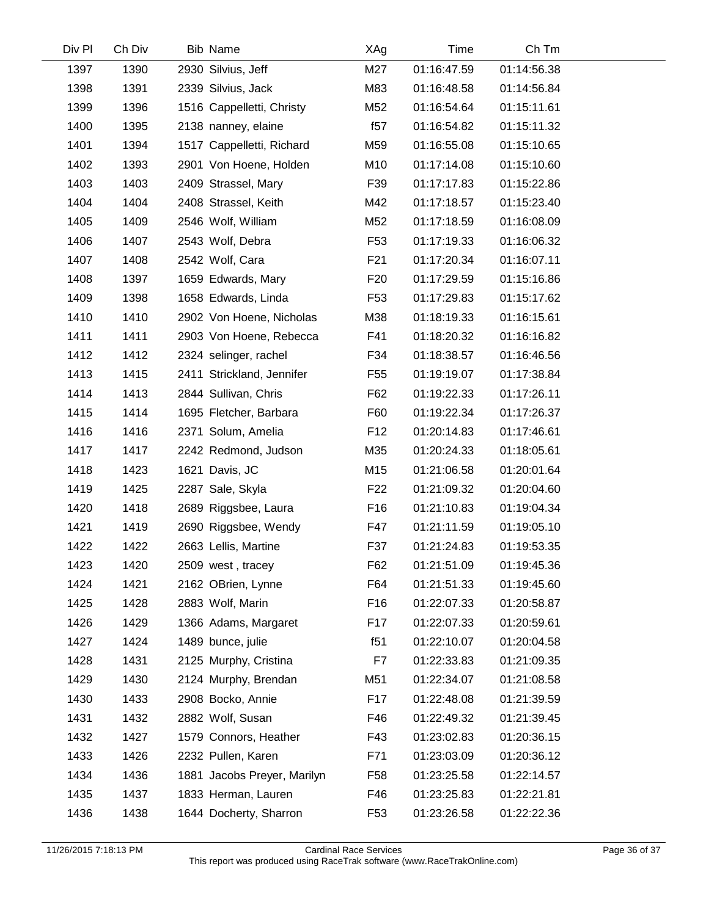| Div Pl | Ch Div | <b>Bib Name</b>             | XAg             | Time        | Ch Tm       |  |
|--------|--------|-----------------------------|-----------------|-------------|-------------|--|
| 1397   | 1390   | 2930 Silvius, Jeff          | M27             | 01:16:47.59 | 01:14:56.38 |  |
| 1398   | 1391   | 2339 Silvius, Jack          | M83             | 01:16:48.58 | 01:14:56.84 |  |
| 1399   | 1396   | 1516 Cappelletti, Christy   | M52             | 01:16:54.64 | 01:15:11.61 |  |
| 1400   | 1395   | 2138 nanney, elaine         | f57             | 01:16:54.82 | 01:15:11.32 |  |
| 1401   | 1394   | 1517 Cappelletti, Richard   | M59             | 01:16:55.08 | 01:15:10.65 |  |
| 1402   | 1393   | 2901 Von Hoene, Holden      | M10             | 01:17:14.08 | 01:15:10.60 |  |
| 1403   | 1403   | 2409 Strassel, Mary         | F39             | 01:17:17.83 | 01:15:22.86 |  |
| 1404   | 1404   | 2408 Strassel, Keith        | M42             | 01:17:18.57 | 01:15:23.40 |  |
| 1405   | 1409   | 2546 Wolf, William          | M52             | 01:17:18.59 | 01:16:08.09 |  |
| 1406   | 1407   | 2543 Wolf, Debra            | F <sub>53</sub> | 01:17:19.33 | 01:16:06.32 |  |
| 1407   | 1408   | 2542 Wolf, Cara             | F <sub>21</sub> | 01:17:20.34 | 01:16:07.11 |  |
| 1408   | 1397   | 1659 Edwards, Mary          | F <sub>20</sub> | 01:17:29.59 | 01:15:16.86 |  |
| 1409   | 1398   | 1658 Edwards, Linda         | F <sub>53</sub> | 01:17:29.83 | 01:15:17.62 |  |
| 1410   | 1410   | 2902 Von Hoene, Nicholas    | M38             | 01:18:19.33 | 01:16:15.61 |  |
| 1411   | 1411   | 2903 Von Hoene, Rebecca     | F41             | 01:18:20.32 | 01:16:16.82 |  |
| 1412   | 1412   | 2324 selinger, rachel       | F34             | 01:18:38.57 | 01:16:46.56 |  |
| 1413   | 1415   | 2411 Strickland, Jennifer   | F <sub>55</sub> | 01:19:19.07 | 01:17:38.84 |  |
| 1414   | 1413   | 2844 Sullivan, Chris        | F62             | 01:19:22.33 | 01:17:26.11 |  |
| 1415   | 1414   | 1695 Fletcher, Barbara      | F60             | 01:19:22.34 | 01:17:26.37 |  |
| 1416   | 1416   | 2371 Solum, Amelia          | F <sub>12</sub> | 01:20:14.83 | 01:17:46.61 |  |
| 1417   | 1417   | 2242 Redmond, Judson        | M35             | 01:20:24.33 | 01:18:05.61 |  |
| 1418   | 1423   | 1621 Davis, JC              | M15             | 01:21:06.58 | 01:20:01.64 |  |
| 1419   | 1425   | 2287 Sale, Skyla            | F <sub>22</sub> | 01:21:09.32 | 01:20:04.60 |  |
| 1420   | 1418   | 2689 Riggsbee, Laura        | F <sub>16</sub> | 01:21:10.83 | 01:19:04.34 |  |
| 1421   | 1419   | 2690 Riggsbee, Wendy        | F47             | 01:21:11.59 | 01:19:05.10 |  |
| 1422   | 1422   | 2663 Lellis, Martine        | F37             | 01:21:24.83 | 01:19:53.35 |  |
| 1423   | 1420   | 2509 west, tracey           | F62             | 01:21:51.09 | 01:19:45.36 |  |
| 1424   | 1421   | 2162 OBrien, Lynne          | F64             | 01:21:51.33 | 01:19:45.60 |  |
| 1425   | 1428   | 2883 Wolf, Marin            | F16             | 01:22:07.33 | 01:20:58.87 |  |
| 1426   | 1429   | 1366 Adams, Margaret        | F17             | 01:22:07.33 | 01:20:59.61 |  |
| 1427   | 1424   | 1489 bunce, julie           | f51             | 01:22:10.07 | 01:20:04.58 |  |
| 1428   | 1431   | 2125 Murphy, Cristina       | F7              | 01:22:33.83 | 01:21:09.35 |  |
| 1429   | 1430   | 2124 Murphy, Brendan        | M51             | 01:22:34.07 | 01:21:08.58 |  |
| 1430   | 1433   | 2908 Bocko, Annie           | F17             | 01:22:48.08 | 01:21:39.59 |  |
| 1431   | 1432   | 2882 Wolf, Susan            | F46             | 01:22:49.32 | 01:21:39.45 |  |
| 1432   | 1427   | 1579 Connors, Heather       | F43             | 01:23:02.83 | 01:20:36.15 |  |
| 1433   | 1426   | 2232 Pullen, Karen          | F71             | 01:23:03.09 | 01:20:36.12 |  |
| 1434   | 1436   | 1881 Jacobs Preyer, Marilyn | F <sub>58</sub> | 01:23:25.58 | 01:22:14.57 |  |
| 1435   | 1437   | 1833 Herman, Lauren         | F46             | 01:23:25.83 | 01:22:21.81 |  |
| 1436   | 1438   | 1644 Docherty, Sharron      | F <sub>53</sub> | 01:23:26.58 | 01:22:22.36 |  |